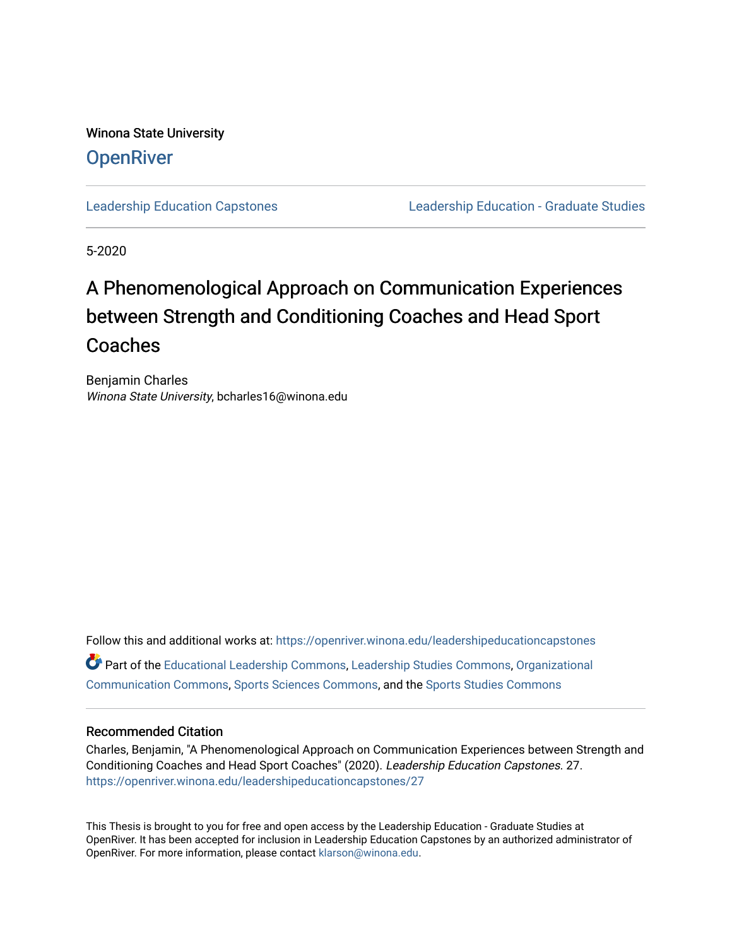Winona State University **OpenRiver** 

[Leadership Education Capstones](https://openriver.winona.edu/leadershipeducationcapstones) [Leadership Education - Graduate Studies](https://openriver.winona.edu/leadershipeducation) 

5-2020

# A Phenomenological Approach on Communication Experiences between Strength and Conditioning Coaches and Head Sport Coaches

Benjamin Charles Winona State University, bcharles16@winona.edu

Follow this and additional works at: [https://openriver.winona.edu/leadershipeducationcapstones](https://openriver.winona.edu/leadershipeducationcapstones?utm_source=openriver.winona.edu%2Fleadershipeducationcapstones%2F27&utm_medium=PDF&utm_campaign=PDFCoverPages)  Part of the [Educational Leadership Commons,](http://network.bepress.com/hgg/discipline/1230?utm_source=openriver.winona.edu%2Fleadershipeducationcapstones%2F27&utm_medium=PDF&utm_campaign=PDFCoverPages) [Leadership Studies Commons,](http://network.bepress.com/hgg/discipline/1250?utm_source=openriver.winona.edu%2Fleadershipeducationcapstones%2F27&utm_medium=PDF&utm_campaign=PDFCoverPages) [Organizational](http://network.bepress.com/hgg/discipline/335?utm_source=openriver.winona.edu%2Fleadershipeducationcapstones%2F27&utm_medium=PDF&utm_campaign=PDFCoverPages) [Communication Commons](http://network.bepress.com/hgg/discipline/335?utm_source=openriver.winona.edu%2Fleadershipeducationcapstones%2F27&utm_medium=PDF&utm_campaign=PDFCoverPages), [Sports Sciences Commons](http://network.bepress.com/hgg/discipline/759?utm_source=openriver.winona.edu%2Fleadershipeducationcapstones%2F27&utm_medium=PDF&utm_campaign=PDFCoverPages), and the [Sports Studies Commons](http://network.bepress.com/hgg/discipline/1198?utm_source=openriver.winona.edu%2Fleadershipeducationcapstones%2F27&utm_medium=PDF&utm_campaign=PDFCoverPages) 

# Recommended Citation

Charles, Benjamin, "A Phenomenological Approach on Communication Experiences between Strength and Conditioning Coaches and Head Sport Coaches" (2020). Leadership Education Capstones. 27. [https://openriver.winona.edu/leadershipeducationcapstones/27](https://openriver.winona.edu/leadershipeducationcapstones/27?utm_source=openriver.winona.edu%2Fleadershipeducationcapstones%2F27&utm_medium=PDF&utm_campaign=PDFCoverPages) 

This Thesis is brought to you for free and open access by the Leadership Education - Graduate Studies at OpenRiver. It has been accepted for inclusion in Leadership Education Capstones by an authorized administrator of OpenRiver. For more information, please contact [klarson@winona.edu](mailto:klarson@winona.edu).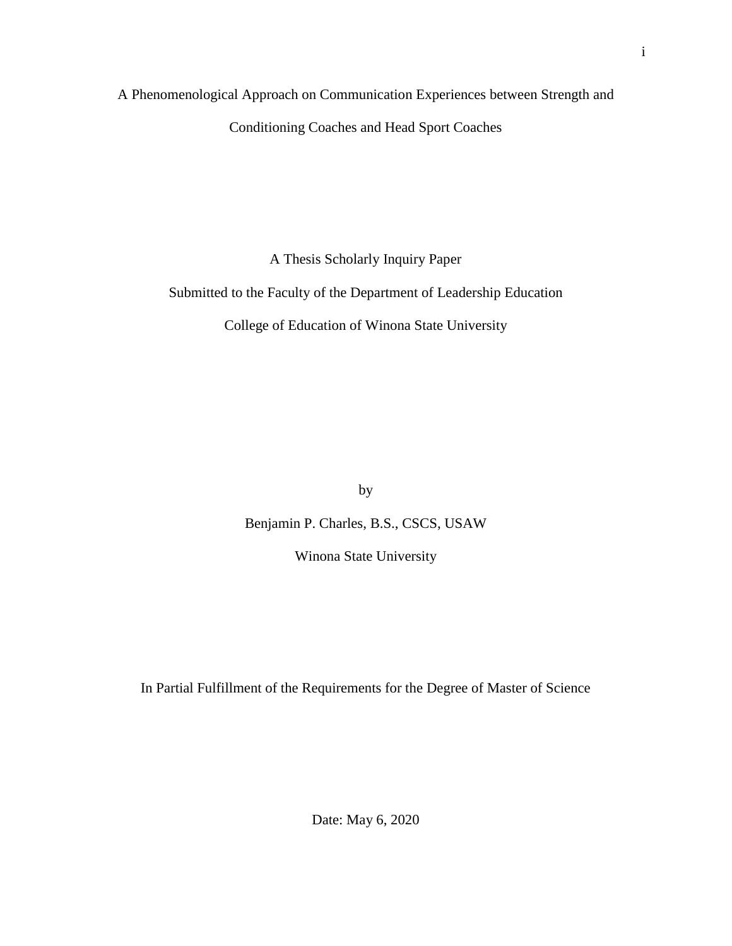A Phenomenological Approach on Communication Experiences between Strength and

Conditioning Coaches and Head Sport Coaches

A Thesis Scholarly Inquiry Paper

Submitted to the Faculty of the Department of Leadership Education

College of Education of Winona State University

by

Benjamin P. Charles, B.S., CSCS, USAW

Winona State University

In Partial Fulfillment of the Requirements for the Degree of Master of Science

Date: May 6, 2020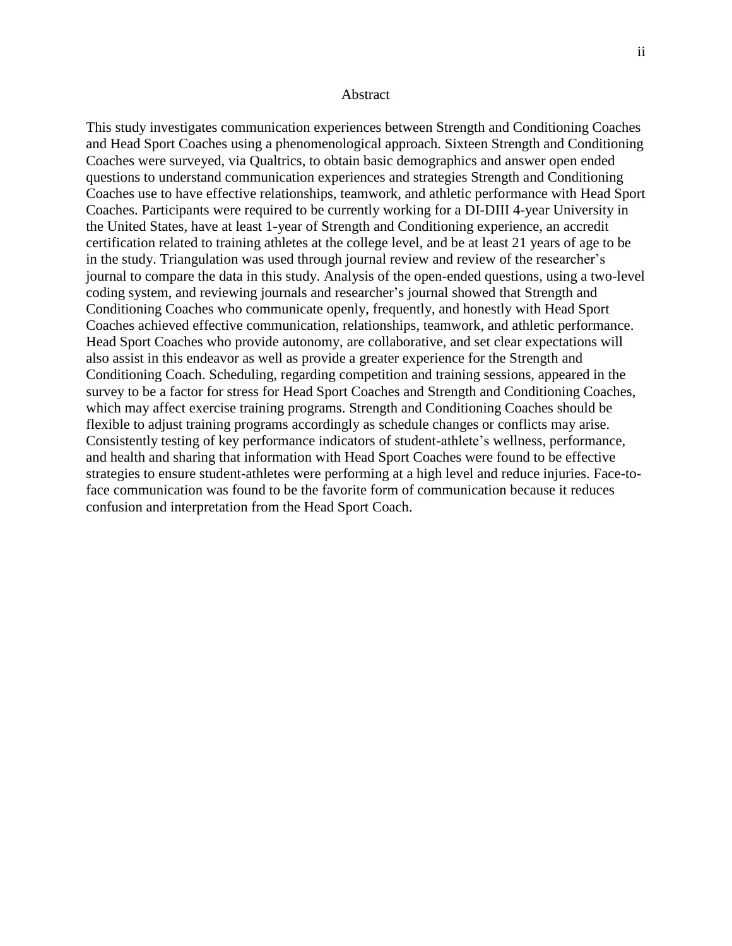#### Abstract

<span id="page-2-0"></span>This study investigates communication experiences between Strength and Conditioning Coaches and Head Sport Coaches using a phenomenological approach. Sixteen Strength and Conditioning Coaches were surveyed, via Qualtrics, to obtain basic demographics and answer open ended questions to understand communication experiences and strategies Strength and Conditioning Coaches use to have effective relationships, teamwork, and athletic performance with Head Sport Coaches. Participants were required to be currently working for a DI-DIII 4-year University in the United States, have at least 1-year of Strength and Conditioning experience, an accredit certification related to training athletes at the college level, and be at least 21 years of age to be in the study. Triangulation was used through journal review and review of the researcher's journal to compare the data in this study. Analysis of the open-ended questions, using a two-level coding system, and reviewing journals and researcher's journal showed that Strength and Conditioning Coaches who communicate openly, frequently, and honestly with Head Sport Coaches achieved effective communication, relationships, teamwork, and athletic performance. Head Sport Coaches who provide autonomy, are collaborative, and set clear expectations will also assist in this endeavor as well as provide a greater experience for the Strength and Conditioning Coach. Scheduling, regarding competition and training sessions, appeared in the survey to be a factor for stress for Head Sport Coaches and Strength and Conditioning Coaches, which may affect exercise training programs. Strength and Conditioning Coaches should be flexible to adjust training programs accordingly as schedule changes or conflicts may arise. Consistently testing of key performance indicators of student-athlete's wellness, performance, and health and sharing that information with Head Sport Coaches were found to be effective strategies to ensure student-athletes were performing at a high level and reduce injuries. Face-toface communication was found to be the favorite form of communication because it reduces confusion and interpretation from the Head Sport Coach.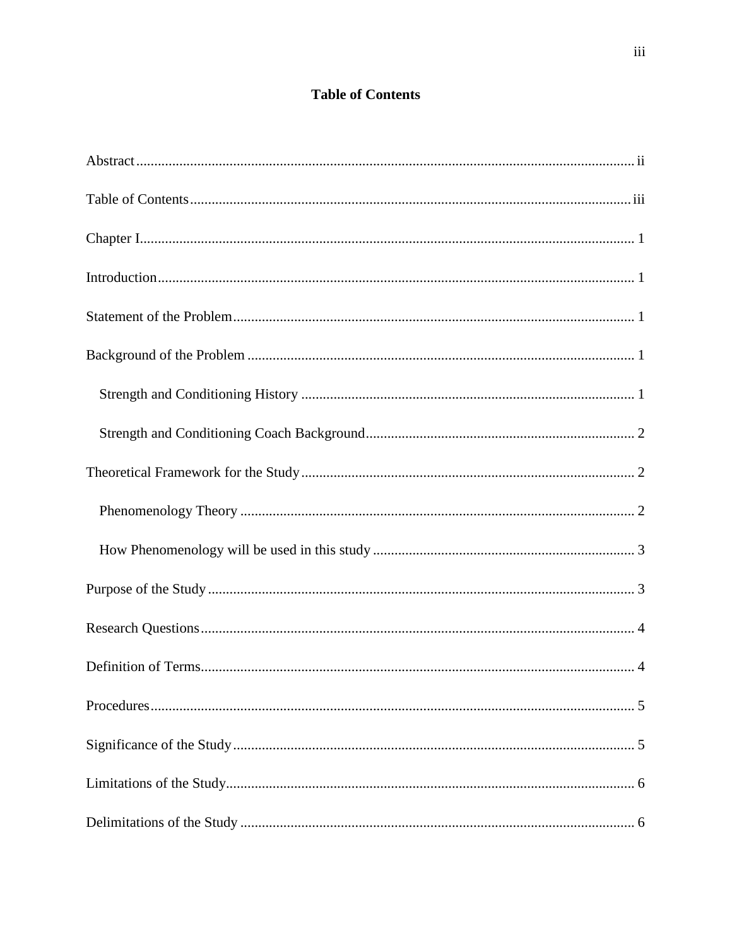# **Table of Contents**

<span id="page-3-0"></span>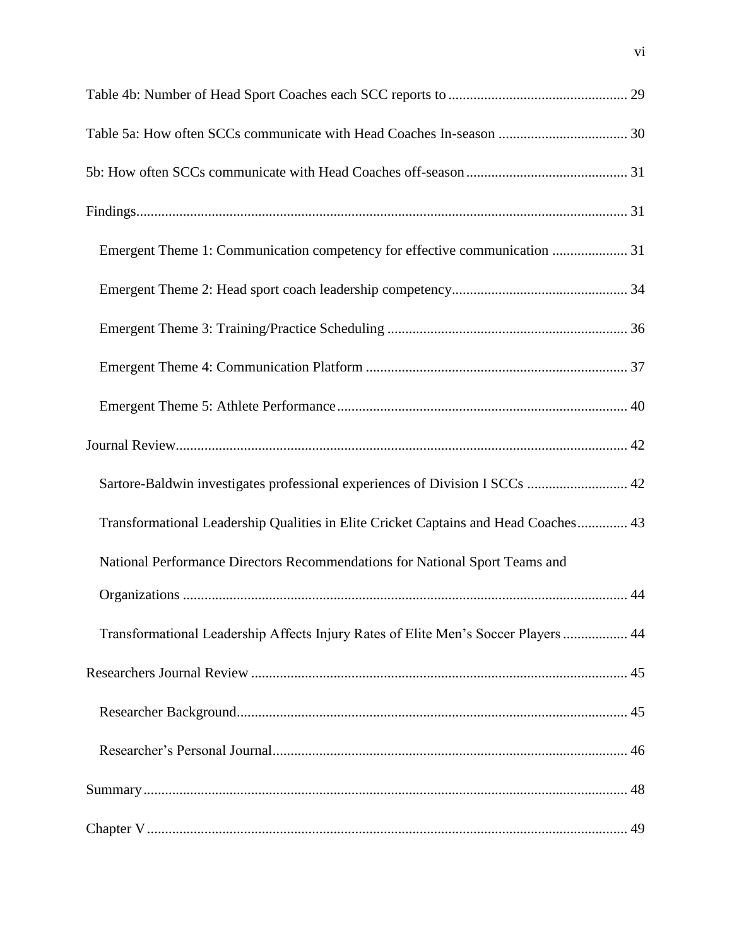| Emergent Theme 1: Communication competency for effective communication  31          |
|-------------------------------------------------------------------------------------|
|                                                                                     |
|                                                                                     |
|                                                                                     |
|                                                                                     |
|                                                                                     |
| Sartore-Baldwin investigates professional experiences of Division I SCCs  42        |
| Transformational Leadership Qualities in Elite Cricket Captains and Head Coaches 43 |
| National Performance Directors Recommendations for National Sport Teams and         |
|                                                                                     |
| Transformational Leadership Affects Injury Rates of Elite Men's Soccer Players  44  |
|                                                                                     |
|                                                                                     |
|                                                                                     |
|                                                                                     |
|                                                                                     |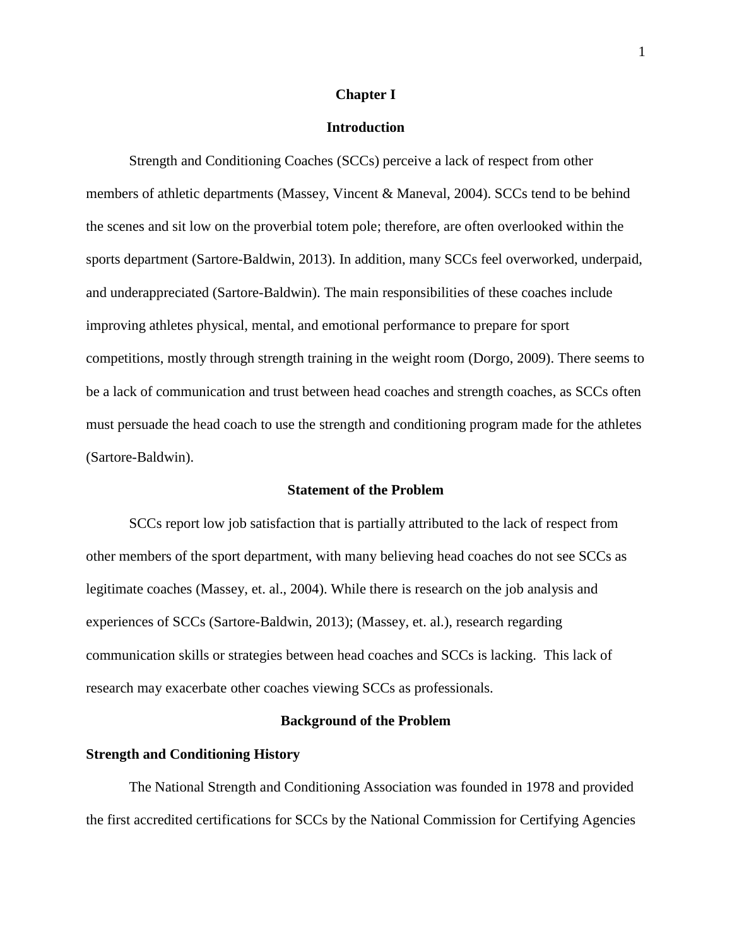# **Chapter I**

# **Introduction**

<span id="page-8-1"></span><span id="page-8-0"></span>Strength and Conditioning Coaches (SCCs) perceive a lack of respect from other members of athletic departments (Massey, Vincent & Maneval, 2004). SCCs tend to be behind the scenes and sit low on the proverbial totem pole; therefore, are often overlooked within the sports department (Sartore-Baldwin, 2013). In addition, many SCCs feel overworked, underpaid, and underappreciated (Sartore-Baldwin). The main responsibilities of these coaches include improving athletes physical, mental, and emotional performance to prepare for sport competitions, mostly through strength training in the weight room (Dorgo, 2009). There seems to be a lack of communication and trust between head coaches and strength coaches, as SCCs often must persuade the head coach to use the strength and conditioning program made for the athletes (Sartore-Baldwin).

# **Statement of the Problem**

<span id="page-8-2"></span>SCCs report low job satisfaction that is partially attributed to the lack of respect from other members of the sport department, with many believing head coaches do not see SCCs as legitimate coaches (Massey, et. al., 2004). While there is research on the job analysis and experiences of SCCs (Sartore-Baldwin, 2013); (Massey, et. al.), research regarding communication skills or strategies between head coaches and SCCs is lacking. This lack of research may exacerbate other coaches viewing SCCs as professionals.

#### **Background of the Problem**

#### <span id="page-8-4"></span><span id="page-8-3"></span>**Strength and Conditioning History**

The National Strength and Conditioning Association was founded in 1978 and provided the first accredited certifications for SCCs by the National Commission for Certifying Agencies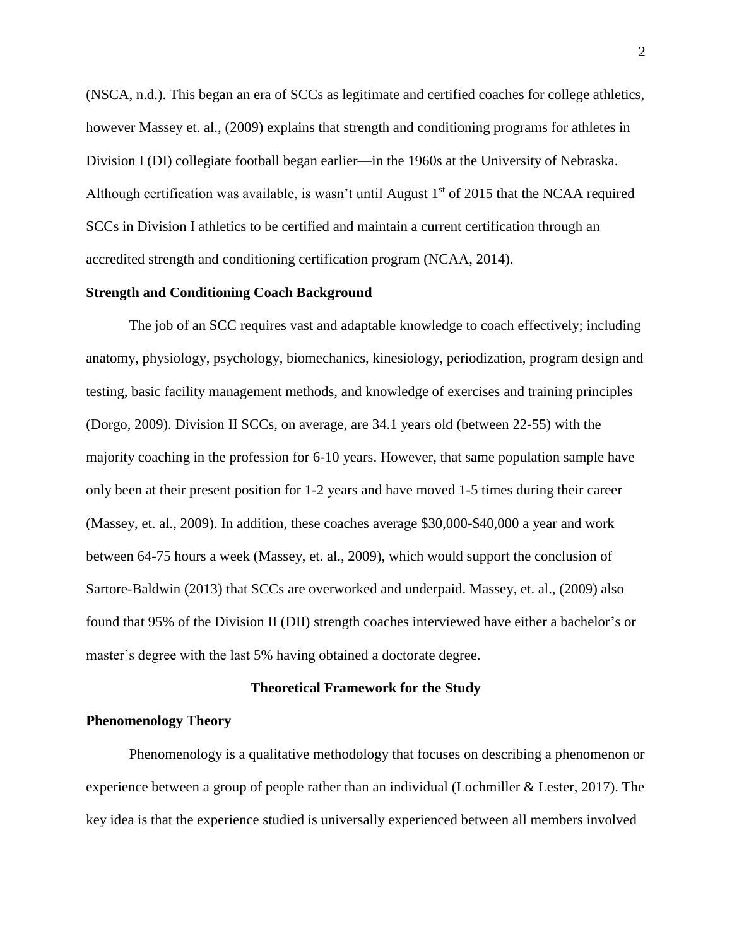(NSCA, n.d.). This began an era of SCCs as legitimate and certified coaches for college athletics, however Massey et. al., (2009) explains that strength and conditioning programs for athletes in Division I (DI) collegiate football began earlier—in the 1960s at the University of Nebraska. Although certification was available, is wasn't until August  $1<sup>st</sup>$  of 2015 that the NCAA required SCCs in Division I athletics to be certified and maintain a current certification through an accredited strength and conditioning certification program (NCAA, 2014).

#### <span id="page-9-0"></span>**Strength and Conditioning Coach Background**

The job of an SCC requires vast and adaptable knowledge to coach effectively; including anatomy, physiology, psychology, biomechanics, kinesiology, periodization, program design and testing, basic facility management methods, and knowledge of exercises and training principles (Dorgo, 2009). Division II SCCs, on average, are 34.1 years old (between 22-55) with the majority coaching in the profession for 6-10 years. However, that same population sample have only been at their present position for 1-2 years and have moved 1-5 times during their career (Massey, et. al., 2009). In addition, these coaches average \$30,000-\$40,000 a year and work between 64-75 hours a week (Massey, et. al., 2009), which would support the conclusion of Sartore-Baldwin (2013) that SCCs are overworked and underpaid. Massey, et. al., (2009) also found that 95% of the Division II (DII) strength coaches interviewed have either a bachelor's or master's degree with the last 5% having obtained a doctorate degree.

#### **Theoretical Framework for the Study**

# <span id="page-9-2"></span><span id="page-9-1"></span>**Phenomenology Theory**

Phenomenology is a qualitative methodology that focuses on describing a phenomenon or experience between a group of people rather than an individual (Lochmiller & Lester, 2017). The key idea is that the experience studied is universally experienced between all members involved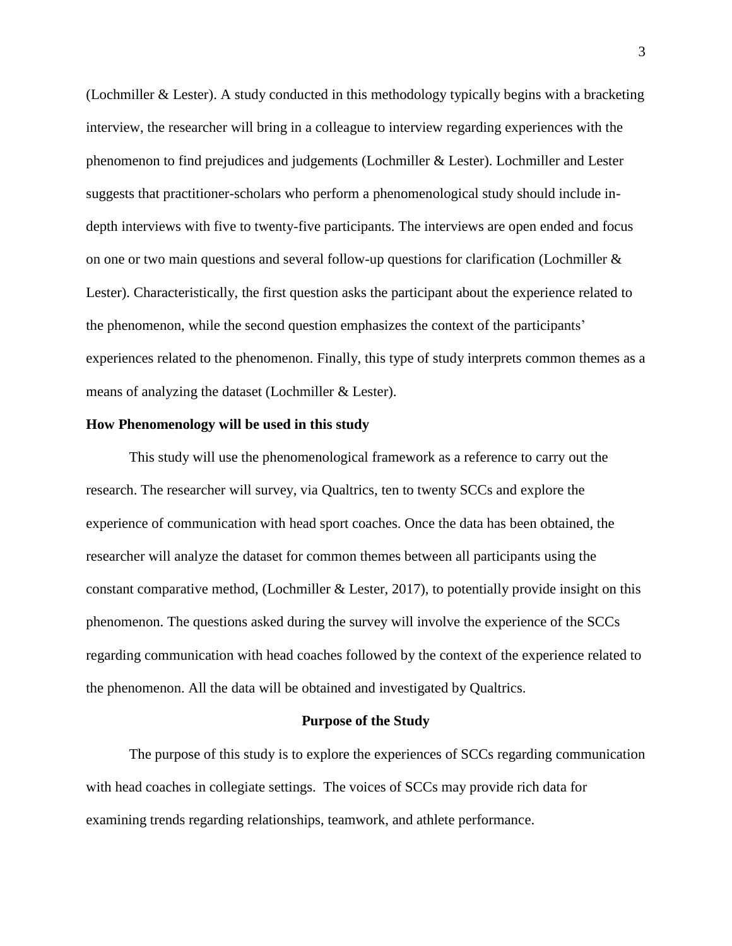(Lochmiller & Lester). A study conducted in this methodology typically begins with a bracketing interview, the researcher will bring in a colleague to interview regarding experiences with the phenomenon to find prejudices and judgements (Lochmiller & Lester). Lochmiller and Lester suggests that practitioner-scholars who perform a phenomenological study should include indepth interviews with five to twenty-five participants. The interviews are open ended and focus on one or two main questions and several follow-up questions for clarification (Lochmiller & Lester). Characteristically, the first question asks the participant about the experience related to the phenomenon, while the second question emphasizes the context of the participants' experiences related to the phenomenon. Finally, this type of study interprets common themes as a means of analyzing the dataset (Lochmiller & Lester).

# <span id="page-10-0"></span>**How Phenomenology will be used in this study**

This study will use the phenomenological framework as a reference to carry out the research. The researcher will survey, via Qualtrics, ten to twenty SCCs and explore the experience of communication with head sport coaches. Once the data has been obtained, the researcher will analyze the dataset for common themes between all participants using the constant comparative method, (Lochmiller & Lester, 2017), to potentially provide insight on this phenomenon. The questions asked during the survey will involve the experience of the SCCs regarding communication with head coaches followed by the context of the experience related to the phenomenon. All the data will be obtained and investigated by Qualtrics.

#### **Purpose of the Study**

<span id="page-10-1"></span>The purpose of this study is to explore the experiences of SCCs regarding communication with head coaches in collegiate settings. The voices of SCCs may provide rich data for examining trends regarding relationships, teamwork, and athlete performance.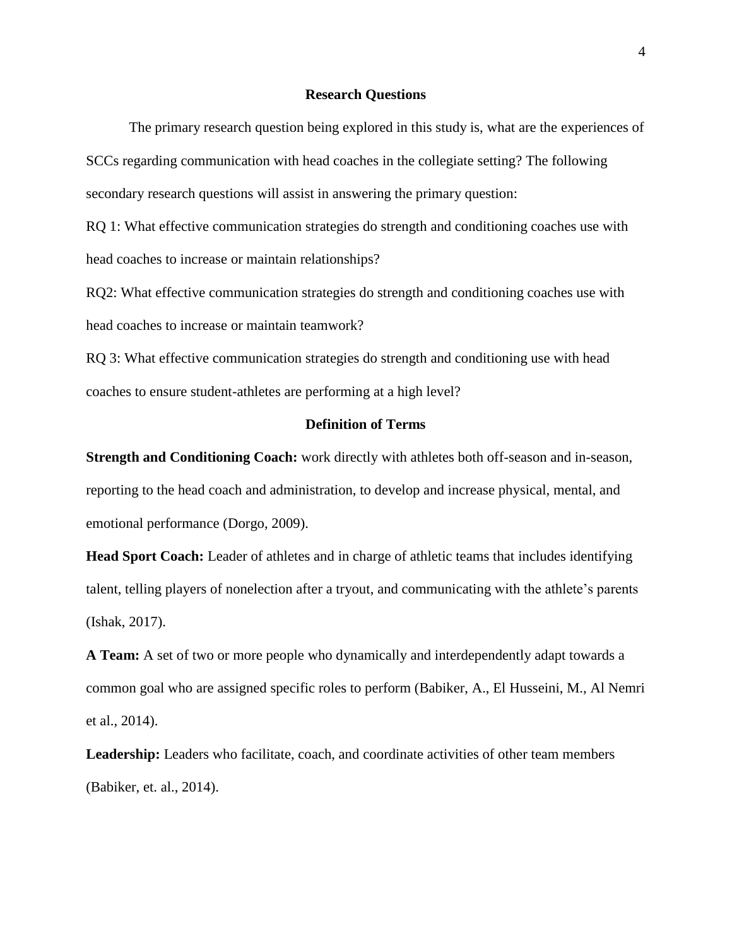#### **Research Questions**

<span id="page-11-0"></span>The primary research question being explored in this study is, what are the experiences of SCCs regarding communication with head coaches in the collegiate setting? The following secondary research questions will assist in answering the primary question:

RQ 1: What effective communication strategies do strength and conditioning coaches use with head coaches to increase or maintain relationships?

RQ2: What effective communication strategies do strength and conditioning coaches use with head coaches to increase or maintain teamwork?

RQ 3: What effective communication strategies do strength and conditioning use with head coaches to ensure student-athletes are performing at a high level?

# **Definition of Terms**

<span id="page-11-1"></span>**Strength and Conditioning Coach:** work directly with athletes both off-season and in-season, reporting to the head coach and administration, to develop and increase physical, mental, and emotional performance (Dorgo, 2009).

**Head Sport Coach:** Leader of athletes and in charge of athletic teams that includes identifying talent, telling players of nonelection after a tryout, and communicating with the athlete's parents (Ishak, 2017).

**A Team:** A set of two or more people who dynamically and interdependently adapt towards a common goal who are assigned specific roles to perform (Babiker, A., El Husseini, M., Al Nemri et al., 2014).

Leadership: Leaders who facilitate, coach, and coordinate activities of other team members (Babiker, et. al., 2014).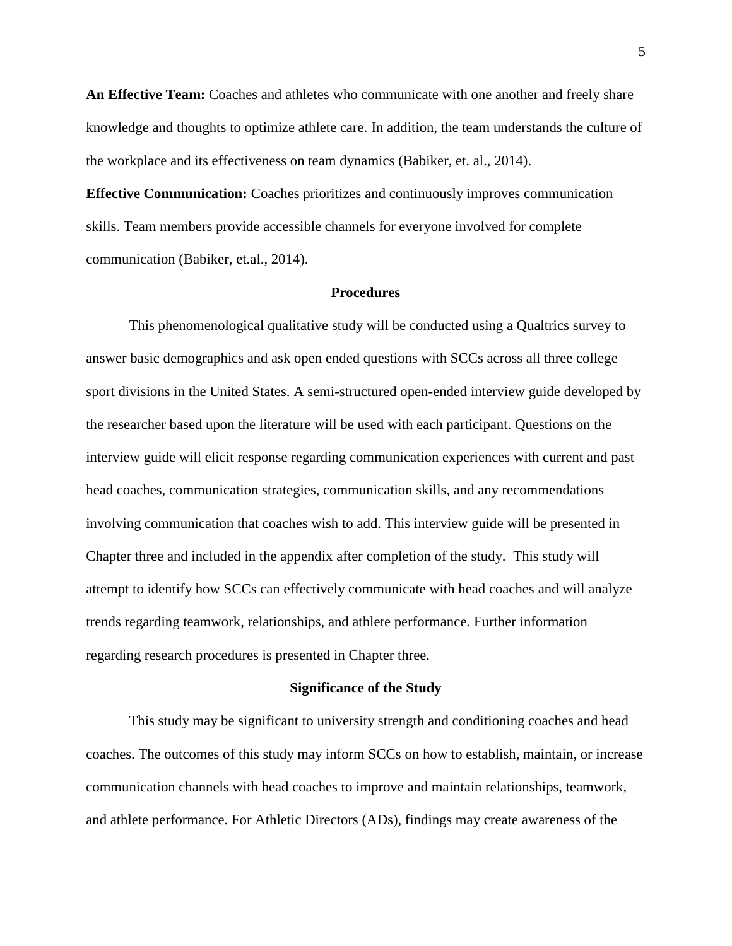**An Effective Team:** Coaches and athletes who communicate with one another and freely share knowledge and thoughts to optimize athlete care. In addition, the team understands the culture of the workplace and its effectiveness on team dynamics (Babiker, et. al., 2014).

**Effective Communication:** Coaches prioritizes and continuously improves communication skills. Team members provide accessible channels for everyone involved for complete communication (Babiker, et.al., 2014).

#### **Procedures**

<span id="page-12-0"></span>This phenomenological qualitative study will be conducted using a Qualtrics survey to answer basic demographics and ask open ended questions with SCCs across all three college sport divisions in the United States. A semi-structured open-ended interview guide developed by the researcher based upon the literature will be used with each participant. Questions on the interview guide will elicit response regarding communication experiences with current and past head coaches, communication strategies, communication skills, and any recommendations involving communication that coaches wish to add. This interview guide will be presented in Chapter three and included in the appendix after completion of the study. This study will attempt to identify how SCCs can effectively communicate with head coaches and will analyze trends regarding teamwork, relationships, and athlete performance. Further information regarding research procedures is presented in Chapter three.

#### **Significance of the Study**

<span id="page-12-1"></span>This study may be significant to university strength and conditioning coaches and head coaches. The outcomes of this study may inform SCCs on how to establish, maintain, or increase communication channels with head coaches to improve and maintain relationships, teamwork, and athlete performance. For Athletic Directors (ADs), findings may create awareness of the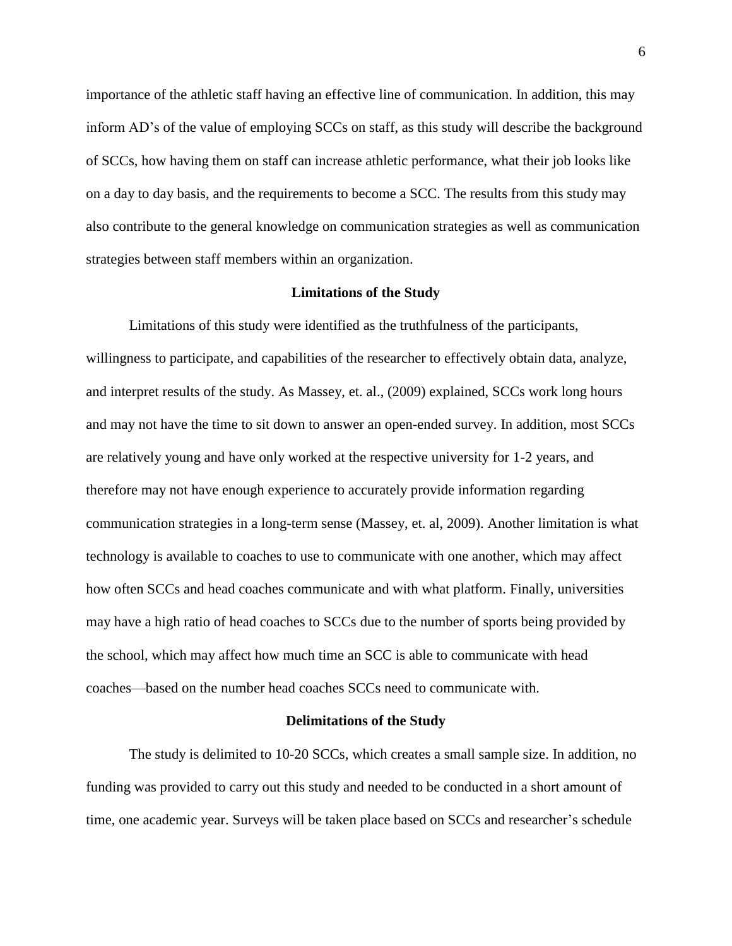importance of the athletic staff having an effective line of communication. In addition, this may inform AD's of the value of employing SCCs on staff, as this study will describe the background of SCCs, how having them on staff can increase athletic performance, what their job looks like on a day to day basis, and the requirements to become a SCC. The results from this study may also contribute to the general knowledge on communication strategies as well as communication strategies between staff members within an organization.

#### **Limitations of the Study**

<span id="page-13-0"></span>Limitations of this study were identified as the truthfulness of the participants, willingness to participate, and capabilities of the researcher to effectively obtain data, analyze, and interpret results of the study. As Massey, et. al., (2009) explained, SCCs work long hours and may not have the time to sit down to answer an open-ended survey. In addition, most SCCs are relatively young and have only worked at the respective university for 1-2 years, and therefore may not have enough experience to accurately provide information regarding communication strategies in a long-term sense (Massey, et. al, 2009). Another limitation is what technology is available to coaches to use to communicate with one another, which may affect how often SCCs and head coaches communicate and with what platform. Finally, universities may have a high ratio of head coaches to SCCs due to the number of sports being provided by the school, which may affect how much time an SCC is able to communicate with head coaches—based on the number head coaches SCCs need to communicate with.

#### **Delimitations of the Study**

<span id="page-13-1"></span>The study is delimited to 10-20 SCCs, which creates a small sample size. In addition, no funding was provided to carry out this study and needed to be conducted in a short amount of time, one academic year. Surveys will be taken place based on SCCs and researcher's schedule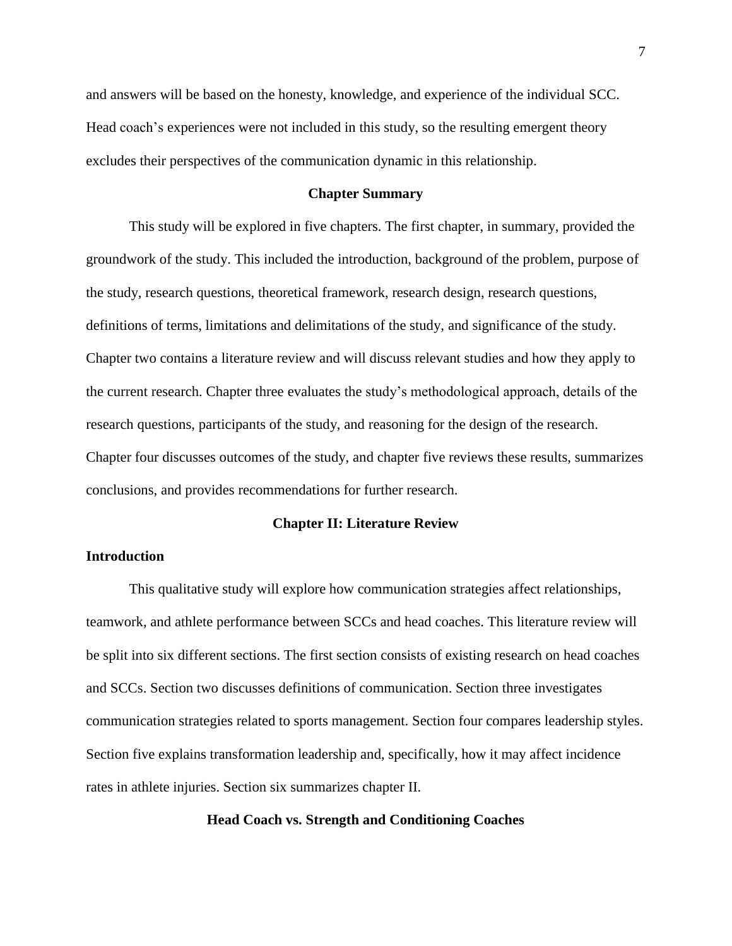and answers will be based on the honesty, knowledge, and experience of the individual SCC. Head coach's experiences were not included in this study, so the resulting emergent theory excludes their perspectives of the communication dynamic in this relationship.

# **Chapter Summary**

<span id="page-14-0"></span>This study will be explored in five chapters. The first chapter, in summary, provided the groundwork of the study. This included the introduction, background of the problem, purpose of the study, research questions, theoretical framework, research design, research questions, definitions of terms, limitations and delimitations of the study, and significance of the study. Chapter two contains a literature review and will discuss relevant studies and how they apply to the current research. Chapter three evaluates the study's methodological approach, details of the research questions, participants of the study, and reasoning for the design of the research. Chapter four discusses outcomes of the study, and chapter five reviews these results, summarizes conclusions, and provides recommendations for further research.

#### **Chapter II: Literature Review**

# <span id="page-14-2"></span><span id="page-14-1"></span>**Introduction**

This qualitative study will explore how communication strategies affect relationships, teamwork, and athlete performance between SCCs and head coaches. This literature review will be split into six different sections. The first section consists of existing research on head coaches and SCCs. Section two discusses definitions of communication. Section three investigates communication strategies related to sports management. Section four compares leadership styles. Section five explains transformation leadership and, specifically, how it may affect incidence rates in athlete injuries. Section six summarizes chapter II.

# <span id="page-14-3"></span>**Head Coach vs. Strength and Conditioning Coaches**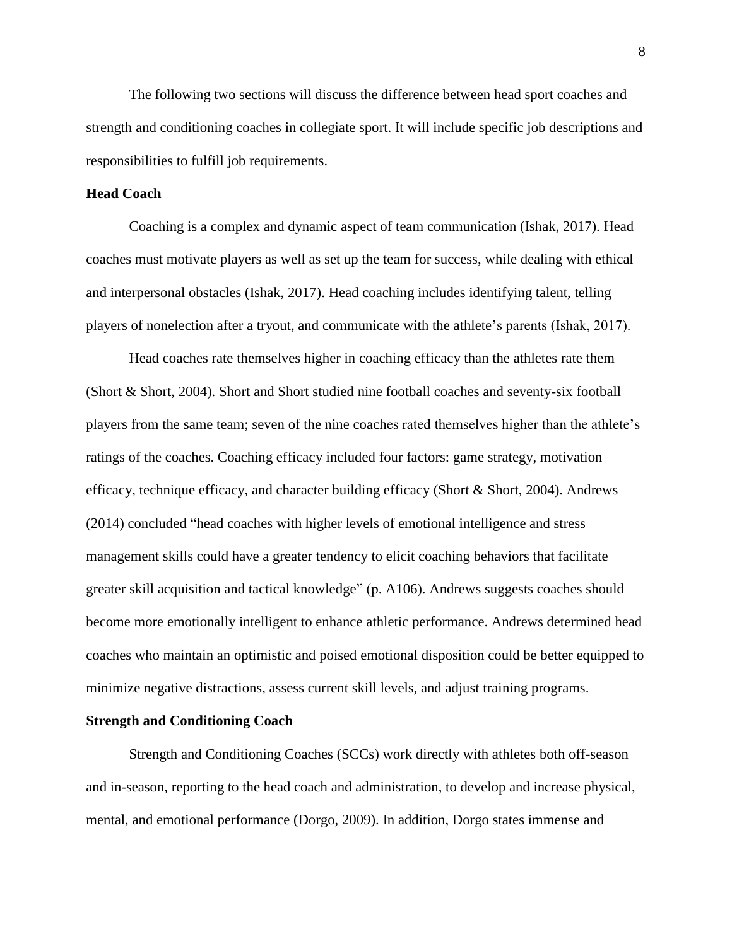The following two sections will discuss the difference between head sport coaches and strength and conditioning coaches in collegiate sport. It will include specific job descriptions and responsibilities to fulfill job requirements.

# <span id="page-15-0"></span>**Head Coach**

Coaching is a complex and dynamic aspect of team communication (Ishak, 2017). Head coaches must motivate players as well as set up the team for success, while dealing with ethical and interpersonal obstacles (Ishak, 2017). Head coaching includes identifying talent, telling players of nonelection after a tryout, and communicate with the athlete's parents (Ishak, 2017).

Head coaches rate themselves higher in coaching efficacy than the athletes rate them (Short & Short, 2004). Short and Short studied nine football coaches and seventy-six football players from the same team; seven of the nine coaches rated themselves higher than the athlete's ratings of the coaches. Coaching efficacy included four factors: game strategy, motivation efficacy, technique efficacy, and character building efficacy (Short & Short, 2004). Andrews (2014) concluded "head coaches with higher levels of emotional intelligence and stress management skills could have a greater tendency to elicit coaching behaviors that facilitate greater skill acquisition and tactical knowledge" (p. A106). Andrews suggests coaches should become more emotionally intelligent to enhance athletic performance. Andrews determined head coaches who maintain an optimistic and poised emotional disposition could be better equipped to minimize negative distractions, assess current skill levels, and adjust training programs.

#### <span id="page-15-1"></span>**Strength and Conditioning Coach**

Strength and Conditioning Coaches (SCCs) work directly with athletes both off-season and in-season, reporting to the head coach and administration, to develop and increase physical, mental, and emotional performance (Dorgo, 2009). In addition, Dorgo states immense and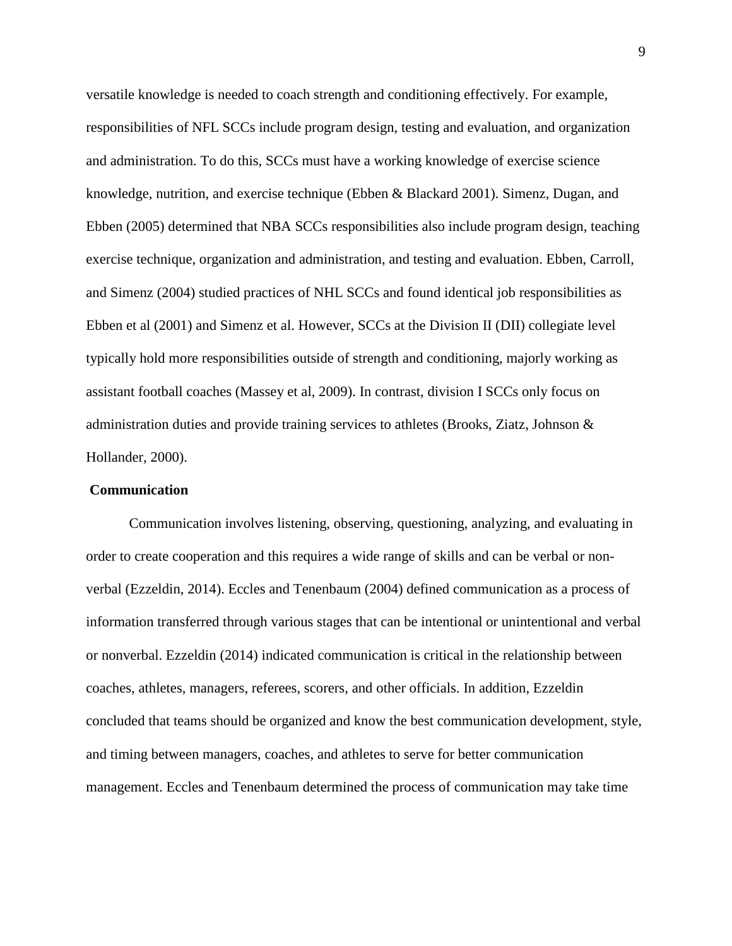versatile knowledge is needed to coach strength and conditioning effectively. For example, responsibilities of NFL SCCs include program design, testing and evaluation, and organization and administration. To do this, SCCs must have a working knowledge of exercise science knowledge, nutrition, and exercise technique (Ebben & Blackard 2001). Simenz, Dugan, and Ebben (2005) determined that NBA SCCs responsibilities also include program design, teaching exercise technique, organization and administration, and testing and evaluation. Ebben, Carroll, and Simenz (2004) studied practices of NHL SCCs and found identical job responsibilities as Ebben et al (2001) and Simenz et al. However, SCCs at the Division II (DII) collegiate level typically hold more responsibilities outside of strength and conditioning, majorly working as assistant football coaches (Massey et al, 2009). In contrast, division I SCCs only focus on administration duties and provide training services to athletes (Brooks, Ziatz, Johnson & Hollander, 2000).

#### <span id="page-16-0"></span>**Communication**

Communication involves listening, observing, questioning, analyzing, and evaluating in order to create cooperation and this requires a wide range of skills and can be verbal or nonverbal (Ezzeldin, 2014). Eccles and Tenenbaum (2004) defined communication as a process of information transferred through various stages that can be intentional or unintentional and verbal or nonverbal. Ezzeldin (2014) indicated communication is critical in the relationship between coaches, athletes, managers, referees, scorers, and other officials. In addition, Ezzeldin concluded that teams should be organized and know the best communication development, style, and timing between managers, coaches, and athletes to serve for better communication management. Eccles and Tenenbaum determined the process of communication may take time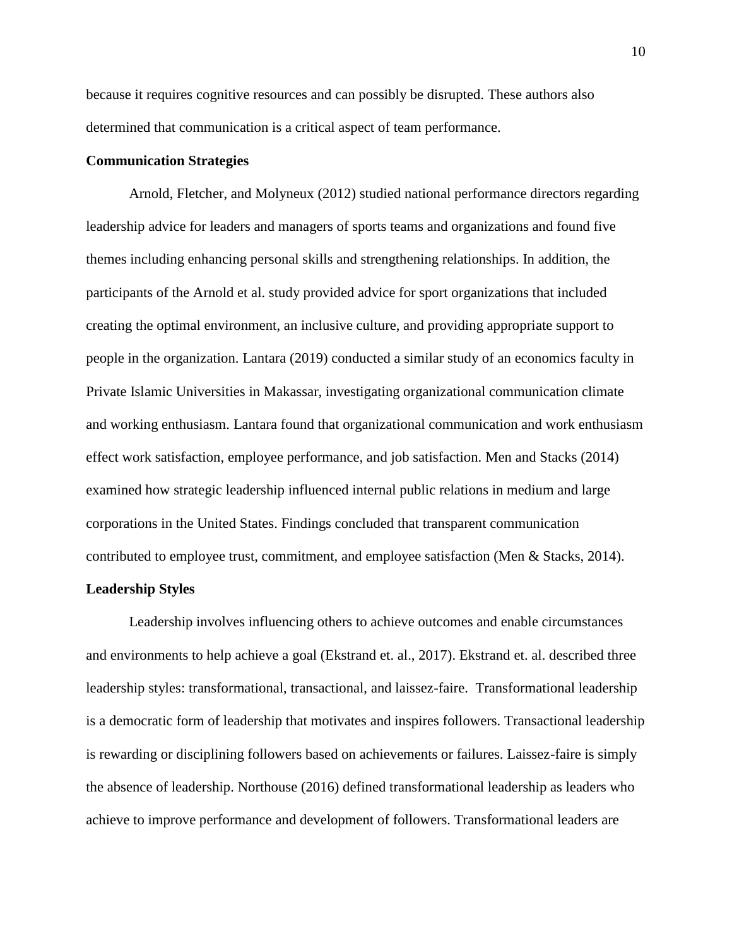because it requires cognitive resources and can possibly be disrupted. These authors also determined that communication is a critical aspect of team performance.

# <span id="page-17-0"></span>**Communication Strategies**

Arnold, Fletcher, and Molyneux (2012) studied national performance directors regarding leadership advice for leaders and managers of sports teams and organizations and found five themes including enhancing personal skills and strengthening relationships. In addition, the participants of the Arnold et al. study provided advice for sport organizations that included creating the optimal environment, an inclusive culture, and providing appropriate support to people in the organization. Lantara (2019) conducted a similar study of an economics faculty in Private Islamic Universities in Makassar, investigating organizational communication climate and working enthusiasm. Lantara found that organizational communication and work enthusiasm effect work satisfaction, employee performance, and job satisfaction. Men and Stacks (2014) examined how strategic leadership influenced internal public relations in medium and large corporations in the United States. Findings concluded that transparent communication contributed to employee trust, commitment, and employee satisfaction (Men & Stacks, 2014).

## <span id="page-17-1"></span>**Leadership Styles**

Leadership involves influencing others to achieve outcomes and enable circumstances and environments to help achieve a goal (Ekstrand et. al., 2017). Ekstrand et. al. described three leadership styles: transformational, transactional, and laissez-faire. Transformational leadership is a democratic form of leadership that motivates and inspires followers. Transactional leadership is rewarding or disciplining followers based on achievements or failures. Laissez-faire is simply the absence of leadership. Northouse (2016) defined transformational leadership as leaders who achieve to improve performance and development of followers. Transformational leaders are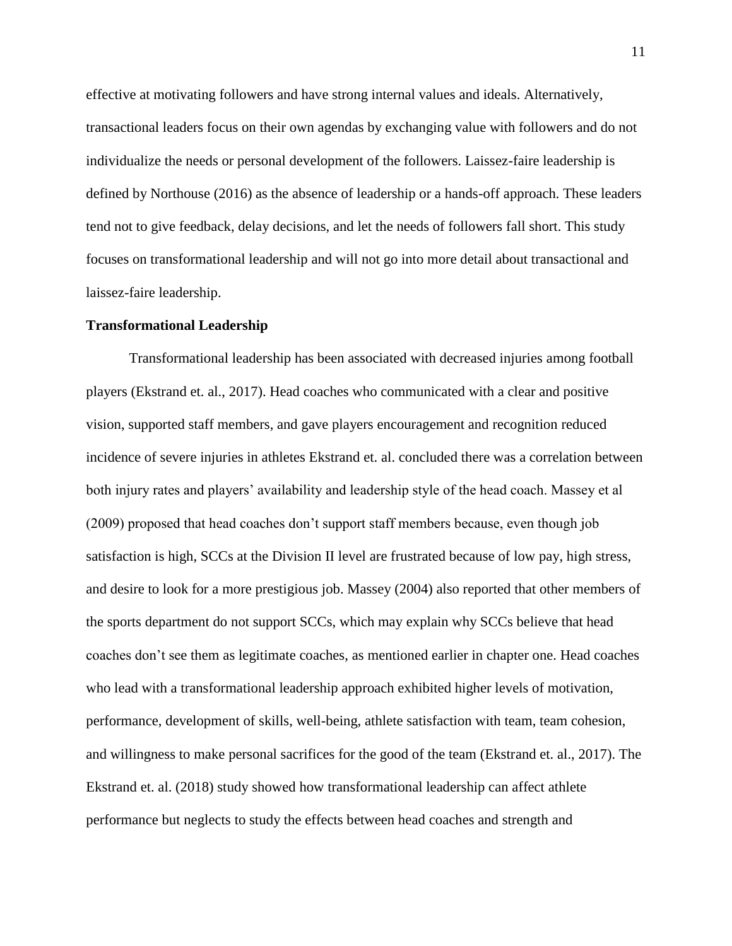effective at motivating followers and have strong internal values and ideals. Alternatively, transactional leaders focus on their own agendas by exchanging value with followers and do not individualize the needs or personal development of the followers. Laissez-faire leadership is defined by Northouse (2016) as the absence of leadership or a hands-off approach. These leaders tend not to give feedback, delay decisions, and let the needs of followers fall short. This study focuses on transformational leadership and will not go into more detail about transactional and laissez-faire leadership.

#### <span id="page-18-0"></span>**Transformational Leadership**

Transformational leadership has been associated with decreased injuries among football players (Ekstrand et. al., 2017). Head coaches who communicated with a clear and positive vision, supported staff members, and gave players encouragement and recognition reduced incidence of severe injuries in athletes Ekstrand et. al. concluded there was a correlation between both injury rates and players' availability and leadership style of the head coach. Massey et al (2009) proposed that head coaches don't support staff members because, even though job satisfaction is high, SCCs at the Division II level are frustrated because of low pay, high stress, and desire to look for a more prestigious job. Massey (2004) also reported that other members of the sports department do not support SCCs, which may explain why SCCs believe that head coaches don't see them as legitimate coaches, as mentioned earlier in chapter one. Head coaches who lead with a transformational leadership approach exhibited higher levels of motivation, performance, development of skills, well-being, athlete satisfaction with team, team cohesion, and willingness to make personal sacrifices for the good of the team (Ekstrand et. al., 2017). The Ekstrand et. al. (2018) study showed how transformational leadership can affect athlete performance but neglects to study the effects between head coaches and strength and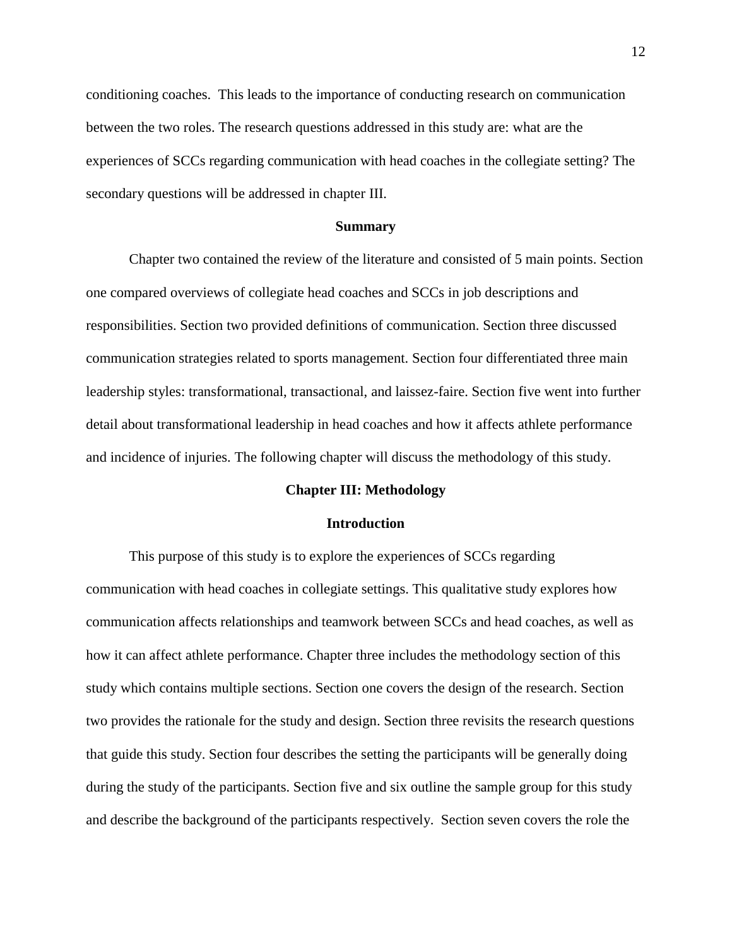conditioning coaches. This leads to the importance of conducting research on communication between the two roles. The research questions addressed in this study are: what are the experiences of SCCs regarding communication with head coaches in the collegiate setting? The secondary questions will be addressed in chapter III.

#### **Summary**

<span id="page-19-0"></span>Chapter two contained the review of the literature and consisted of 5 main points. Section one compared overviews of collegiate head coaches and SCCs in job descriptions and responsibilities. Section two provided definitions of communication. Section three discussed communication strategies related to sports management. Section four differentiated three main leadership styles: transformational, transactional, and laissez-faire. Section five went into further detail about transformational leadership in head coaches and how it affects athlete performance and incidence of injuries. The following chapter will discuss the methodology of this study.

#### **Chapter III: Methodology**

#### **Introduction**

<span id="page-19-2"></span><span id="page-19-1"></span>This purpose of this study is to explore the experiences of SCCs regarding communication with head coaches in collegiate settings. This qualitative study explores how communication affects relationships and teamwork between SCCs and head coaches, as well as how it can affect athlete performance. Chapter three includes the methodology section of this study which contains multiple sections. Section one covers the design of the research. Section two provides the rationale for the study and design. Section three revisits the research questions that guide this study. Section four describes the setting the participants will be generally doing during the study of the participants. Section five and six outline the sample group for this study and describe the background of the participants respectively. Section seven covers the role the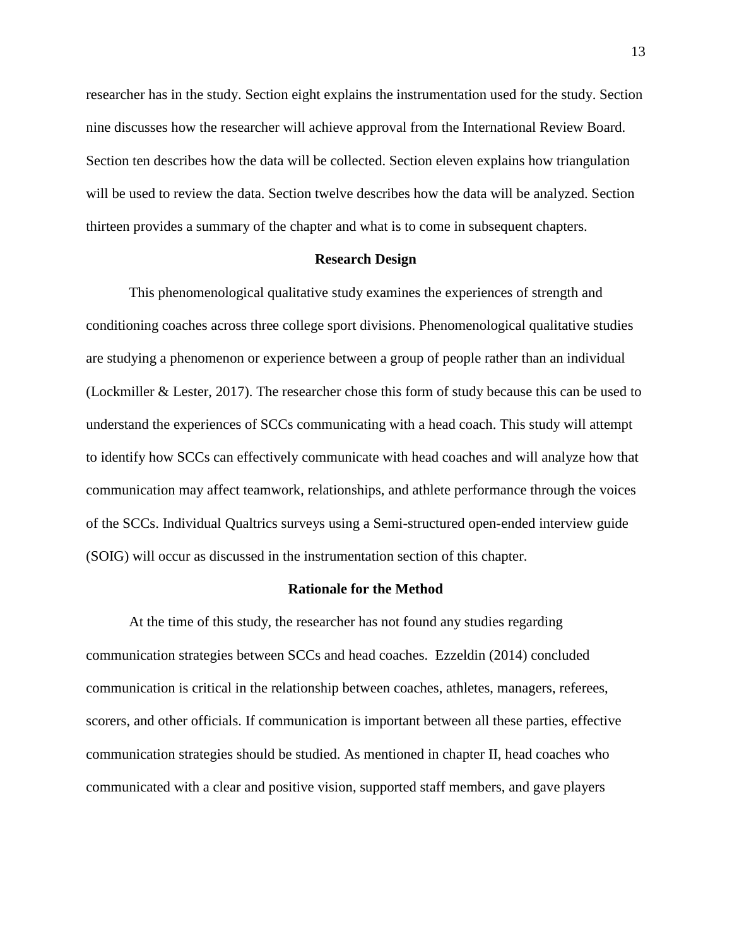researcher has in the study. Section eight explains the instrumentation used for the study. Section nine discusses how the researcher will achieve approval from the International Review Board. Section ten describes how the data will be collected. Section eleven explains how triangulation will be used to review the data. Section twelve describes how the data will be analyzed. Section thirteen provides a summary of the chapter and what is to come in subsequent chapters.

## **Research Design**

<span id="page-20-0"></span>This phenomenological qualitative study examines the experiences of strength and conditioning coaches across three college sport divisions. Phenomenological qualitative studies are studying a phenomenon or experience between a group of people rather than an individual (Lockmiller & Lester, 2017). The researcher chose this form of study because this can be used to understand the experiences of SCCs communicating with a head coach. This study will attempt to identify how SCCs can effectively communicate with head coaches and will analyze how that communication may affect teamwork, relationships, and athlete performance through the voices of the SCCs. Individual Qualtrics surveys using a Semi-structured open-ended interview guide (SOIG) will occur as discussed in the instrumentation section of this chapter.

#### **Rationale for the Method**

<span id="page-20-1"></span>At the time of this study, the researcher has not found any studies regarding communication strategies between SCCs and head coaches. Ezzeldin (2014) concluded communication is critical in the relationship between coaches, athletes, managers, referees, scorers, and other officials. If communication is important between all these parties, effective communication strategies should be studied. As mentioned in chapter II, head coaches who communicated with a clear and positive vision, supported staff members, and gave players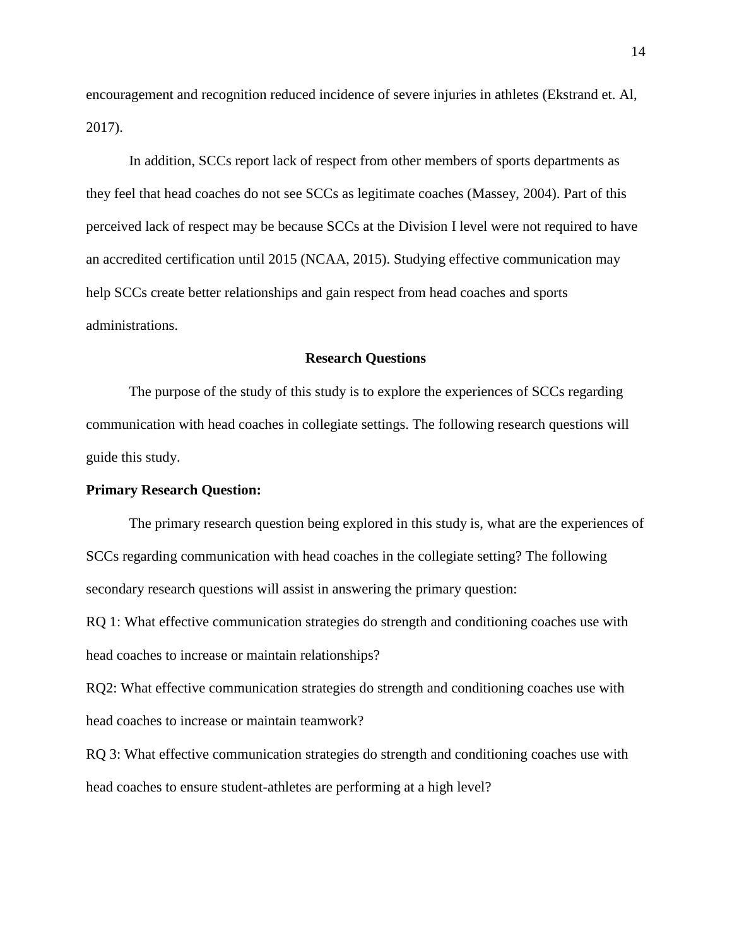encouragement and recognition reduced incidence of severe injuries in athletes (Ekstrand et. Al, 2017).

In addition, SCCs report lack of respect from other members of sports departments as they feel that head coaches do not see SCCs as legitimate coaches (Massey, 2004). Part of this perceived lack of respect may be because SCCs at the Division I level were not required to have an accredited certification until 2015 (NCAA, 2015). Studying effective communication may help SCCs create better relationships and gain respect from head coaches and sports administrations.

#### **Research Questions**

<span id="page-21-0"></span>The purpose of the study of this study is to explore the experiences of SCCs regarding communication with head coaches in collegiate settings. The following research questions will guide this study.

# <span id="page-21-1"></span>**Primary Research Question:**

The primary research question being explored in this study is, what are the experiences of SCCs regarding communication with head coaches in the collegiate setting? The following secondary research questions will assist in answering the primary question:

RQ 1: What effective communication strategies do strength and conditioning coaches use with head coaches to increase or maintain relationships?

RQ2: What effective communication strategies do strength and conditioning coaches use with head coaches to increase or maintain teamwork?

RQ 3: What effective communication strategies do strength and conditioning coaches use with head coaches to ensure student-athletes are performing at a high level?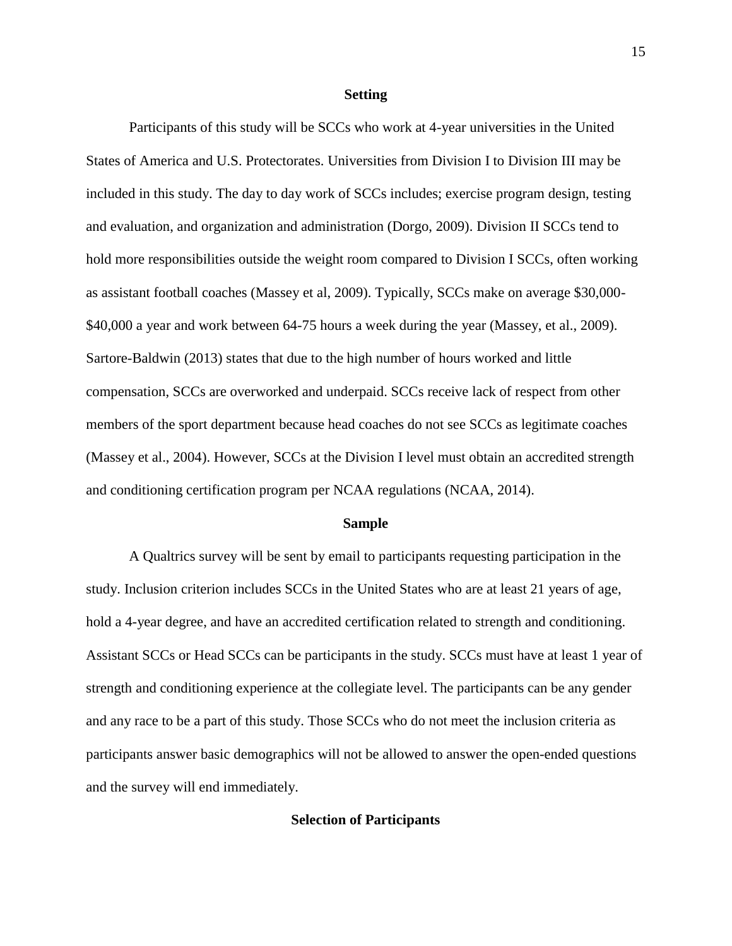#### **Setting**

<span id="page-22-0"></span>Participants of this study will be SCCs who work at 4-year universities in the United States of America and U.S. Protectorates. Universities from Division I to Division III may be included in this study. The day to day work of SCCs includes; exercise program design, testing and evaluation, and organization and administration (Dorgo, 2009). Division II SCCs tend to hold more responsibilities outside the weight room compared to Division I SCCs, often working as assistant football coaches (Massey et al, 2009). Typically, SCCs make on average \$30,000- \$40,000 a year and work between 64-75 hours a week during the year (Massey, et al., 2009). Sartore-Baldwin (2013) states that due to the high number of hours worked and little compensation, SCCs are overworked and underpaid. SCCs receive lack of respect from other members of the sport department because head coaches do not see SCCs as legitimate coaches (Massey et al., 2004). However, SCCs at the Division I level must obtain an accredited strength and conditioning certification program per NCAA regulations (NCAA, 2014).

#### **Sample**

<span id="page-22-1"></span>A Qualtrics survey will be sent by email to participants requesting participation in the study. Inclusion criterion includes SCCs in the United States who are at least 21 years of age, hold a 4-year degree, and have an accredited certification related to strength and conditioning. Assistant SCCs or Head SCCs can be participants in the study. SCCs must have at least 1 year of strength and conditioning experience at the collegiate level. The participants can be any gender and any race to be a part of this study. Those SCCs who do not meet the inclusion criteria as participants answer basic demographics will not be allowed to answer the open-ended questions and the survey will end immediately.

# <span id="page-22-2"></span>**Selection of Participants**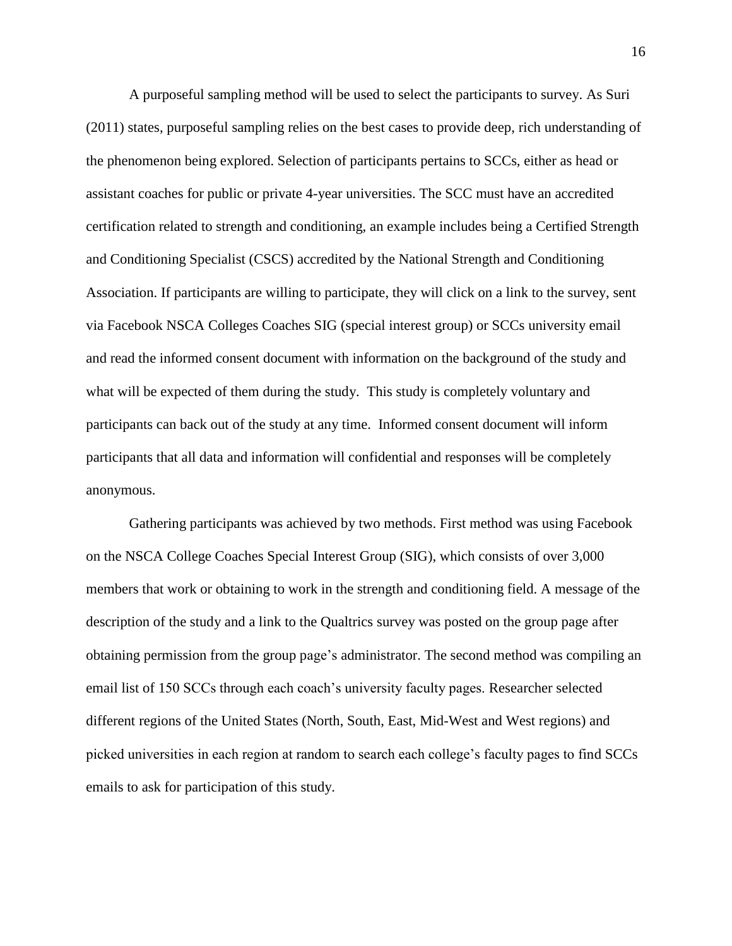A purposeful sampling method will be used to select the participants to survey. As Suri (2011) states, purposeful sampling relies on the best cases to provide deep, rich understanding of the phenomenon being explored. Selection of participants pertains to SCCs, either as head or assistant coaches for public or private 4-year universities. The SCC must have an accredited certification related to strength and conditioning, an example includes being a Certified Strength and Conditioning Specialist (CSCS) accredited by the National Strength and Conditioning Association. If participants are willing to participate, they will click on a link to the survey, sent via Facebook NSCA Colleges Coaches SIG (special interest group) or SCCs university email and read the informed consent document with information on the background of the study and what will be expected of them during the study. This study is completely voluntary and participants can back out of the study at any time. Informed consent document will inform participants that all data and information will confidential and responses will be completely anonymous.

Gathering participants was achieved by two methods. First method was using Facebook on the NSCA College Coaches Special Interest Group (SIG), which consists of over 3,000 members that work or obtaining to work in the strength and conditioning field. A message of the description of the study and a link to the Qualtrics survey was posted on the group page after obtaining permission from the group page's administrator. The second method was compiling an email list of 150 SCCs through each coach's university faculty pages. Researcher selected different regions of the United States (North, South, East, Mid-West and West regions) and picked universities in each region at random to search each college's faculty pages to find SCCs emails to ask for participation of this study.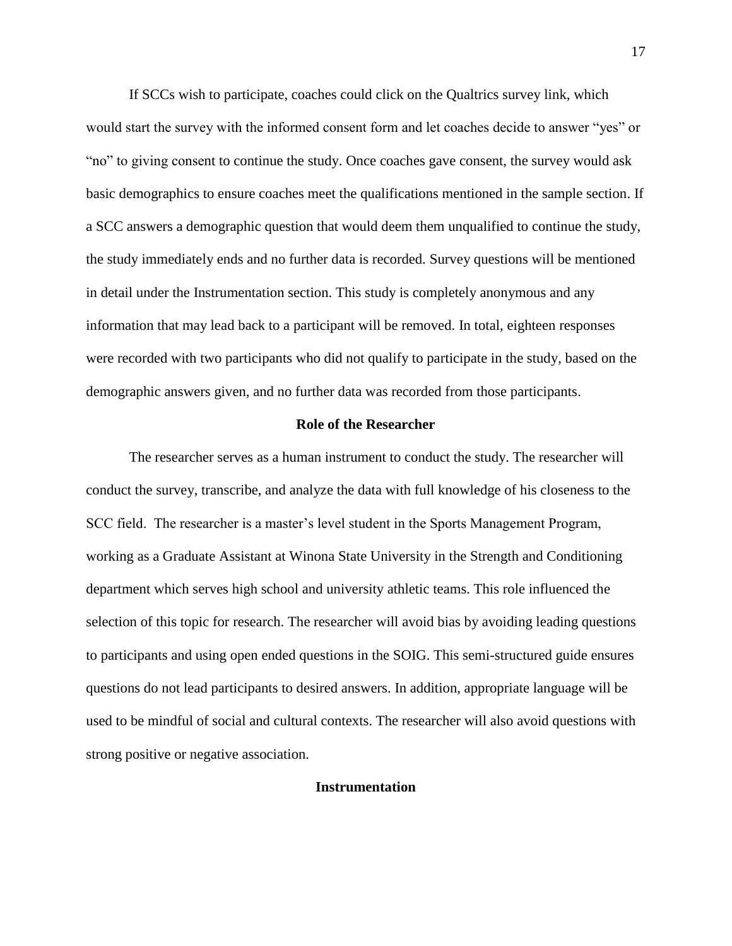If SCCs wish to participate, coaches could click on the Qualtrics survey link, which would start the survey with the informed consent form and let coaches decide to answer "yes" or "no" to giving consent to continue the study. Once coaches gave consent, the survey would ask basic demographics to ensure coaches meet the qualifications mentioned in the sample section. If a SCC answers a demographic question that would deem them unqualified to continue the study, the study immediately ends and no further data is recorded. Survey questions will be mentioned in detail under the Instrumentation section. This study is completely anonymous and any information that may lead back to a participant will be removed. In total, eighteen responses were recorded with two participants who did not qualify to participate in the study, based on the demographic answers given, and no further data was recorded from those participants.

#### **Role of the Researcher**

<span id="page-24-0"></span>The researcher serves as a human instrument to conduct the study. The researcher will conduct the survey, transcribe, and analyze the data with full knowledge of his closeness to the SCC field. The researcher is a master's level student in the Sports Management Program, working as a Graduate Assistant at Winona State University in the Strength and Conditioning department which serves high school and university athletic teams. This role influenced the selection of this topic for research. The researcher will avoid bias by avoiding leading questions to participants and using open ended questions in the SOIG. This semi-structured guide ensures questions do not lead participants to desired answers. In addition, appropriate language will be used to be mindful of social and cultural contexts. The researcher will also avoid questions with strong positive or negative association.

# <span id="page-24-1"></span>**Instrumentation**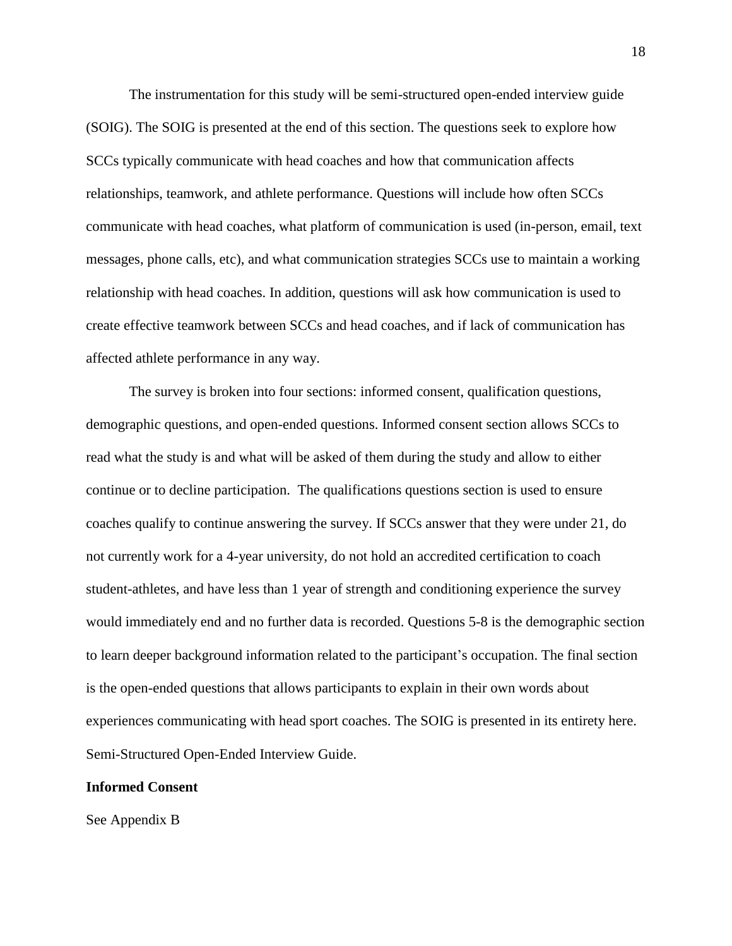The instrumentation for this study will be semi-structured open-ended interview guide (SOIG). The SOIG is presented at the end of this section. The questions seek to explore how SCCs typically communicate with head coaches and how that communication affects relationships, teamwork, and athlete performance. Questions will include how often SCCs communicate with head coaches, what platform of communication is used (in-person, email, text messages, phone calls, etc), and what communication strategies SCCs use to maintain a working relationship with head coaches. In addition, questions will ask how communication is used to create effective teamwork between SCCs and head coaches, and if lack of communication has affected athlete performance in any way.

The survey is broken into four sections: informed consent, qualification questions, demographic questions, and open-ended questions. Informed consent section allows SCCs to read what the study is and what will be asked of them during the study and allow to either continue or to decline participation. The qualifications questions section is used to ensure coaches qualify to continue answering the survey. If SCCs answer that they were under 21, do not currently work for a 4-year university, do not hold an accredited certification to coach student-athletes, and have less than 1 year of strength and conditioning experience the survey would immediately end and no further data is recorded. Questions 5-8 is the demographic section to learn deeper background information related to the participant's occupation. The final section is the open-ended questions that allows participants to explain in their own words about experiences communicating with head sport coaches. The SOIG is presented in its entirety here. Semi-Structured Open-Ended Interview Guide.

# **Informed Consent**

See Appendix B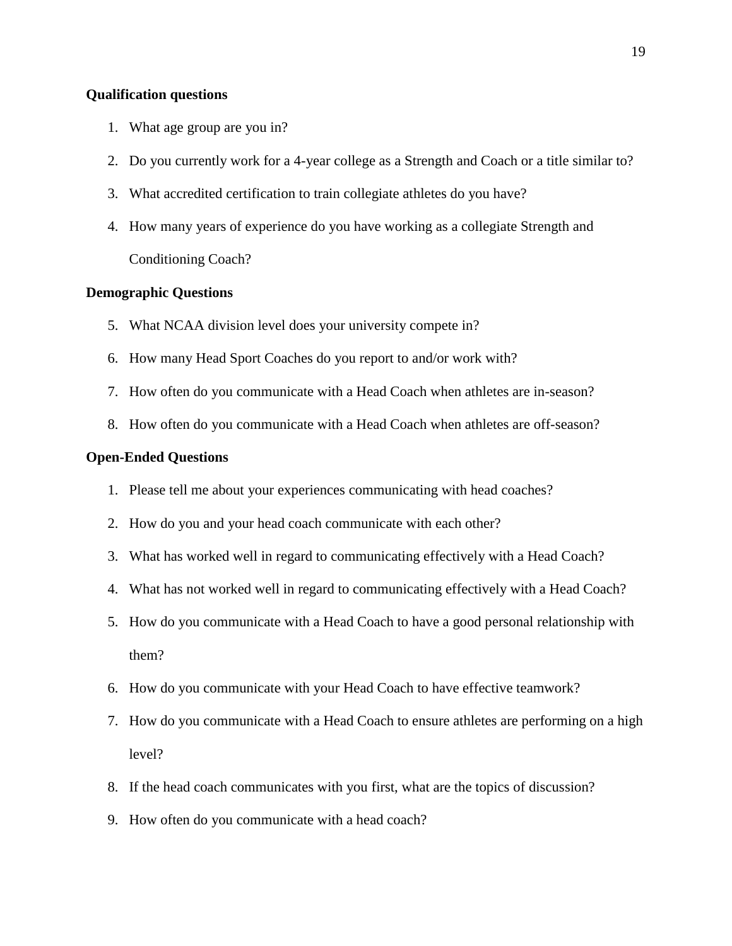# **Qualification questions**

- 1. What age group are you in?
- 2. Do you currently work for a 4-year college as a Strength and Coach or a title similar to?
- 3. What accredited certification to train collegiate athletes do you have?
- 4. How many years of experience do you have working as a collegiate Strength and Conditioning Coach?

#### **Demographic Questions**

- 5. What NCAA division level does your university compete in?
- 6. How many Head Sport Coaches do you report to and/or work with?
- 7. How often do you communicate with a Head Coach when athletes are in-season?
- 8. How often do you communicate with a Head Coach when athletes are off-season?

#### <span id="page-26-0"></span>**Open-Ended Questions**

- 1. Please tell me about your experiences communicating with head coaches?
- 2. How do you and your head coach communicate with each other?
- 3. What has worked well in regard to communicating effectively with a Head Coach?
- 4. What has not worked well in regard to communicating effectively with a Head Coach?
- 5. How do you communicate with a Head Coach to have a good personal relationship with them?
- 6. How do you communicate with your Head Coach to have effective teamwork?
- 7. How do you communicate with a Head Coach to ensure athletes are performing on a high level?
- 8. If the head coach communicates with you first, what are the topics of discussion?
- 9. How often do you communicate with a head coach?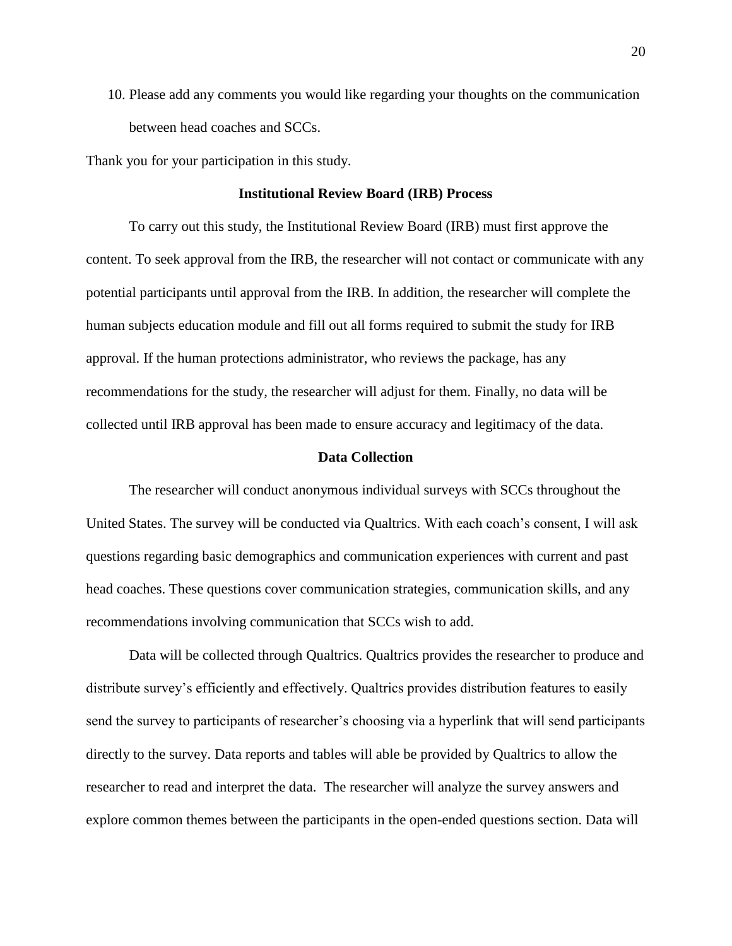10. Please add any comments you would like regarding your thoughts on the communication between head coaches and SCCs.

<span id="page-27-0"></span>Thank you for your participation in this study.

## **Institutional Review Board (IRB) Process**

To carry out this study, the Institutional Review Board (IRB) must first approve the content. To seek approval from the IRB, the researcher will not contact or communicate with any potential participants until approval from the IRB. In addition, the researcher will complete the human subjects education module and fill out all forms required to submit the study for IRB approval. If the human protections administrator, who reviews the package, has any recommendations for the study, the researcher will adjust for them. Finally, no data will be collected until IRB approval has been made to ensure accuracy and legitimacy of the data.

## **Data Collection**

<span id="page-27-1"></span>The researcher will conduct anonymous individual surveys with SCCs throughout the United States. The survey will be conducted via Qualtrics. With each coach's consent, I will ask questions regarding basic demographics and communication experiences with current and past head coaches. These questions cover communication strategies, communication skills, and any recommendations involving communication that SCCs wish to add.

Data will be collected through Qualtrics. Qualtrics provides the researcher to produce and distribute survey's efficiently and effectively. Qualtrics provides distribution features to easily send the survey to participants of researcher's choosing via a hyperlink that will send participants directly to the survey. Data reports and tables will able be provided by Qualtrics to allow the researcher to read and interpret the data. The researcher will analyze the survey answers and explore common themes between the participants in the open-ended questions section. Data will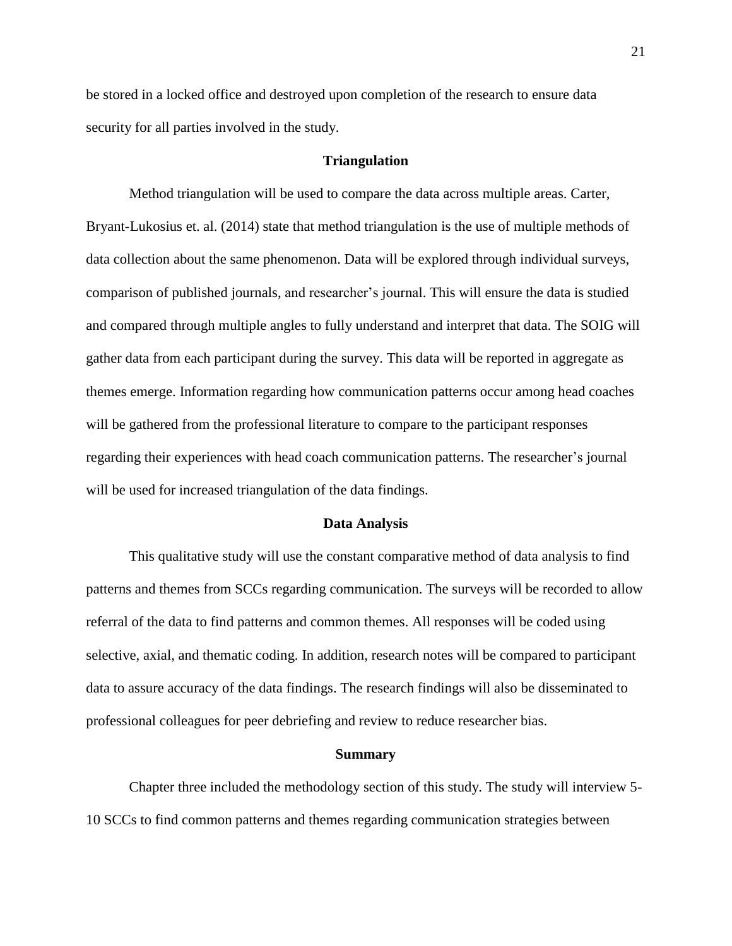be stored in a locked office and destroyed upon completion of the research to ensure data security for all parties involved in the study.

# **Triangulation**

<span id="page-28-0"></span>Method triangulation will be used to compare the data across multiple areas. Carter, Bryant-Lukosius et. al. (2014) state that method triangulation is the use of multiple methods of data collection about the same phenomenon. Data will be explored through individual surveys, comparison of published journals, and researcher's journal. This will ensure the data is studied and compared through multiple angles to fully understand and interpret that data. The SOIG will gather data from each participant during the survey. This data will be reported in aggregate as themes emerge. Information regarding how communication patterns occur among head coaches will be gathered from the professional literature to compare to the participant responses regarding their experiences with head coach communication patterns. The researcher's journal will be used for increased triangulation of the data findings.

#### **Data Analysis**

<span id="page-28-1"></span>This qualitative study will use the constant comparative method of data analysis to find patterns and themes from SCCs regarding communication. The surveys will be recorded to allow referral of the data to find patterns and common themes. All responses will be coded using selective, axial, and thematic coding. In addition, research notes will be compared to participant data to assure accuracy of the data findings. The research findings will also be disseminated to professional colleagues for peer debriefing and review to reduce researcher bias.

#### **Summary**

<span id="page-28-2"></span>Chapter three included the methodology section of this study. The study will interview 5- 10 SCCs to find common patterns and themes regarding communication strategies between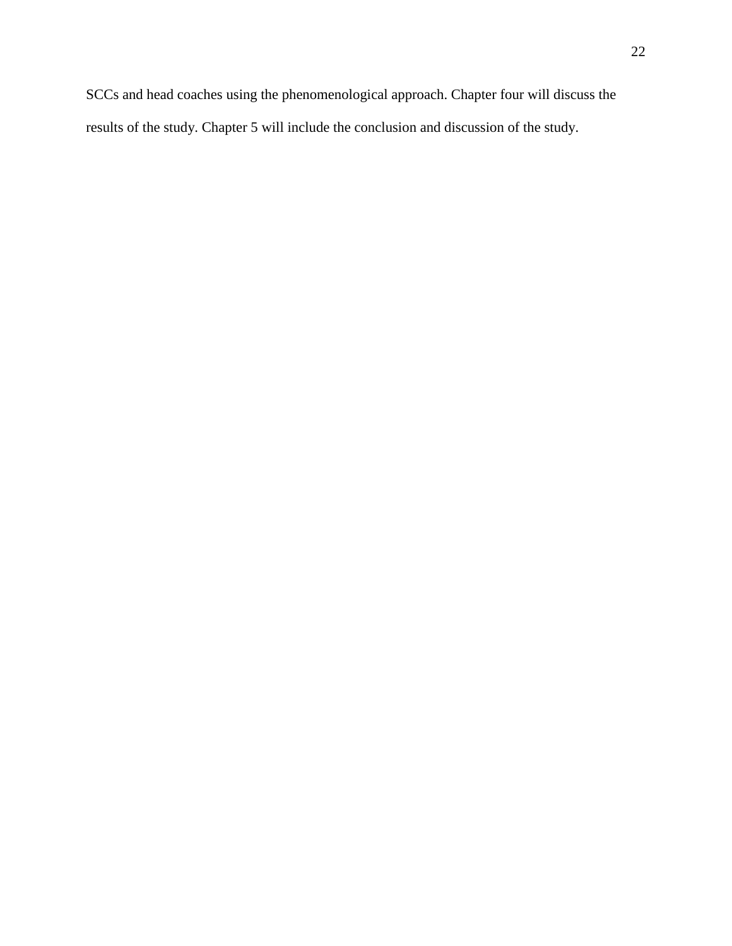results of the study. Chapter 5 will include the conclusion and discussion of the study.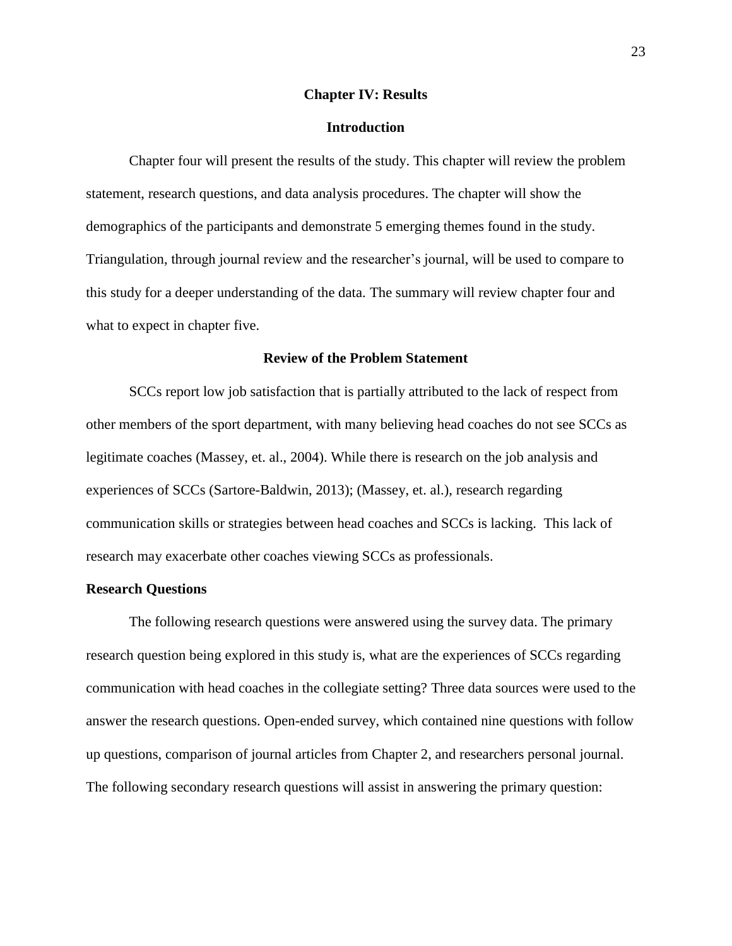#### **Chapter IV: Results**

# **Introduction**

<span id="page-30-1"></span><span id="page-30-0"></span>Chapter four will present the results of the study. This chapter will review the problem statement, research questions, and data analysis procedures. The chapter will show the demographics of the participants and demonstrate 5 emerging themes found in the study. Triangulation, through journal review and the researcher's journal, will be used to compare to this study for a deeper understanding of the data. The summary will review chapter four and what to expect in chapter five.

# **Review of the Problem Statement**

<span id="page-30-2"></span>SCCs report low job satisfaction that is partially attributed to the lack of respect from other members of the sport department, with many believing head coaches do not see SCCs as legitimate coaches (Massey, et. al., 2004). While there is research on the job analysis and experiences of SCCs (Sartore-Baldwin, 2013); (Massey, et. al.), research regarding communication skills or strategies between head coaches and SCCs is lacking. This lack of research may exacerbate other coaches viewing SCCs as professionals.

# <span id="page-30-3"></span>**Research Questions**

The following research questions were answered using the survey data. The primary research question being explored in this study is, what are the experiences of SCCs regarding communication with head coaches in the collegiate setting? Three data sources were used to the answer the research questions. Open-ended survey, which contained nine questions with follow up questions, comparison of journal articles from Chapter 2, and researchers personal journal. The following secondary research questions will assist in answering the primary question: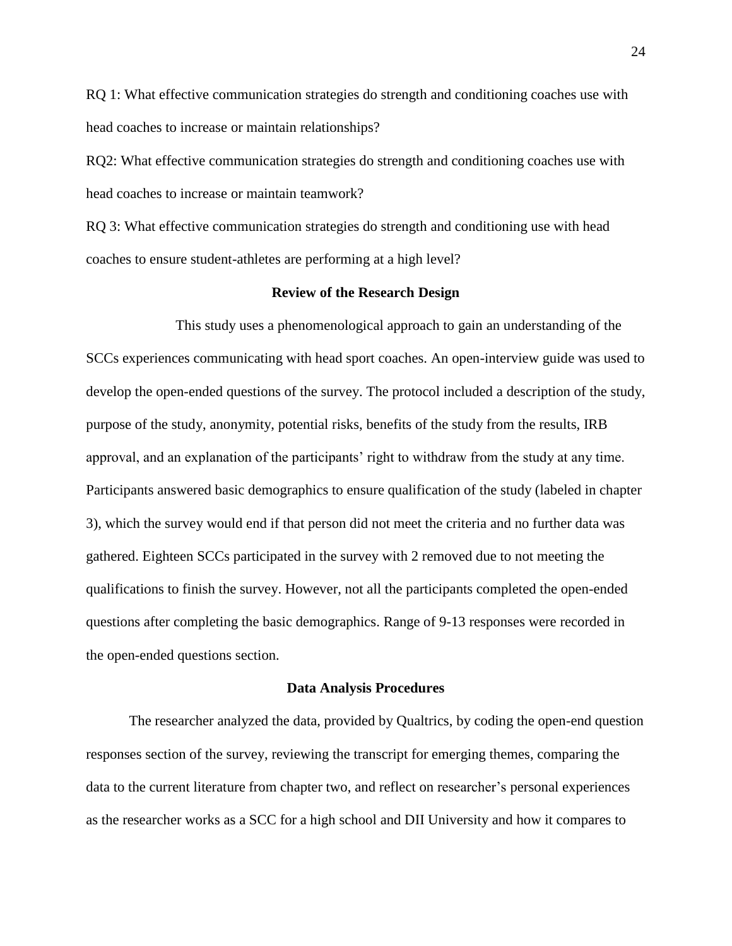RQ 1: What effective communication strategies do strength and conditioning coaches use with head coaches to increase or maintain relationships?

RQ2: What effective communication strategies do strength and conditioning coaches use with head coaches to increase or maintain teamwork?

RQ 3: What effective communication strategies do strength and conditioning use with head coaches to ensure student-athletes are performing at a high level?

# **Review of the Research Design**

<span id="page-31-0"></span>This study uses a phenomenological approach to gain an understanding of the SCCs experiences communicating with head sport coaches. An open-interview guide was used to develop the open-ended questions of the survey. The protocol included a description of the study, purpose of the study, anonymity, potential risks, benefits of the study from the results, IRB approval, and an explanation of the participants' right to withdraw from the study at any time. Participants answered basic demographics to ensure qualification of the study (labeled in chapter 3), which the survey would end if that person did not meet the criteria and no further data was gathered. Eighteen SCCs participated in the survey with 2 removed due to not meeting the qualifications to finish the survey. However, not all the participants completed the open-ended questions after completing the basic demographics. Range of 9-13 responses were recorded in the open-ended questions section.

#### **Data Analysis Procedures**

<span id="page-31-1"></span>The researcher analyzed the data, provided by Qualtrics, by coding the open-end question responses section of the survey, reviewing the transcript for emerging themes, comparing the data to the current literature from chapter two, and reflect on researcher's personal experiences as the researcher works as a SCC for a high school and DII University and how it compares to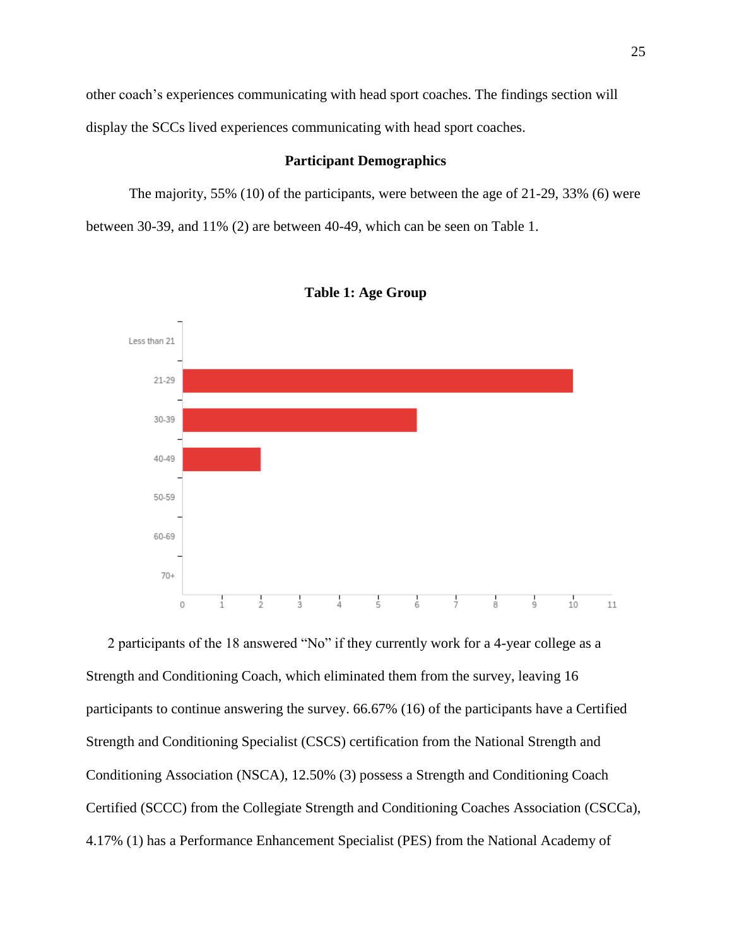other coach's experiences communicating with head sport coaches. The findings section will display the SCCs lived experiences communicating with head sport coaches.

# **Participant Demographics**

<span id="page-32-0"></span>The majority, 55% (10) of the participants, were between the age of 21-29, 33% (6) were between 30-39, and 11% (2) are between 40-49, which can be seen on Table 1.

<span id="page-32-1"></span>



2 participants of the 18 answered "No" if they currently work for a 4-year college as a Strength and Conditioning Coach, which eliminated them from the survey, leaving 16 participants to continue answering the survey. 66.67% (16) of the participants have a Certified Strength and Conditioning Specialist (CSCS) certification from the National Strength and Conditioning Association (NSCA), 12.50% (3) possess a Strength and Conditioning Coach Certified (SCCC) from the Collegiate Strength and Conditioning Coaches Association (CSCCa), 4.17% (1) has a Performance Enhancement Specialist (PES) from the National Academy of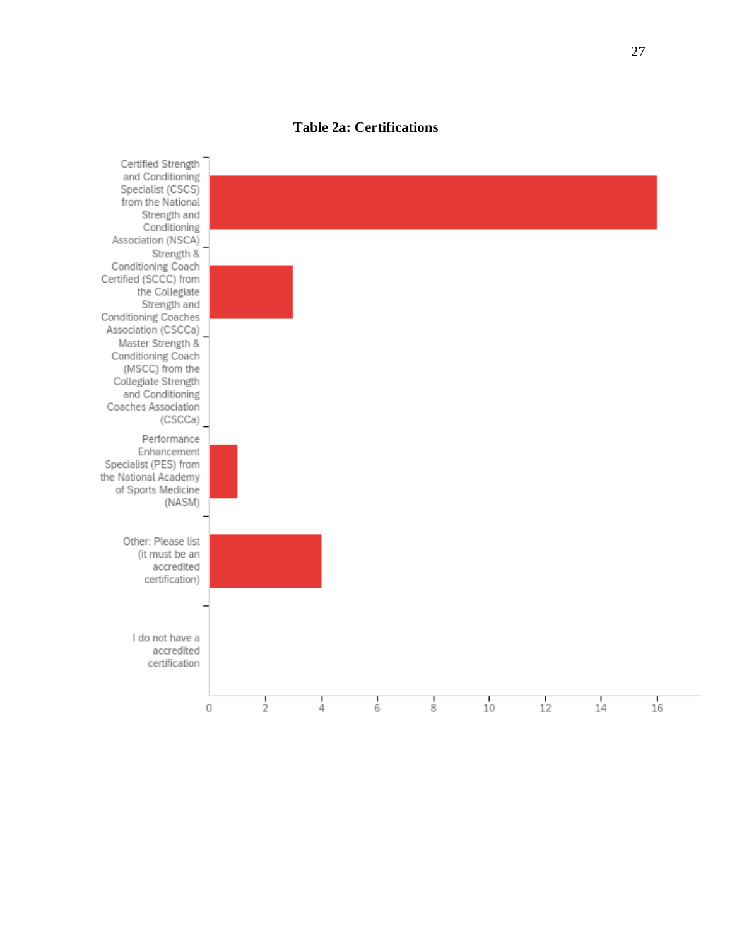# **Table 2a: Certifications**

<span id="page-34-0"></span>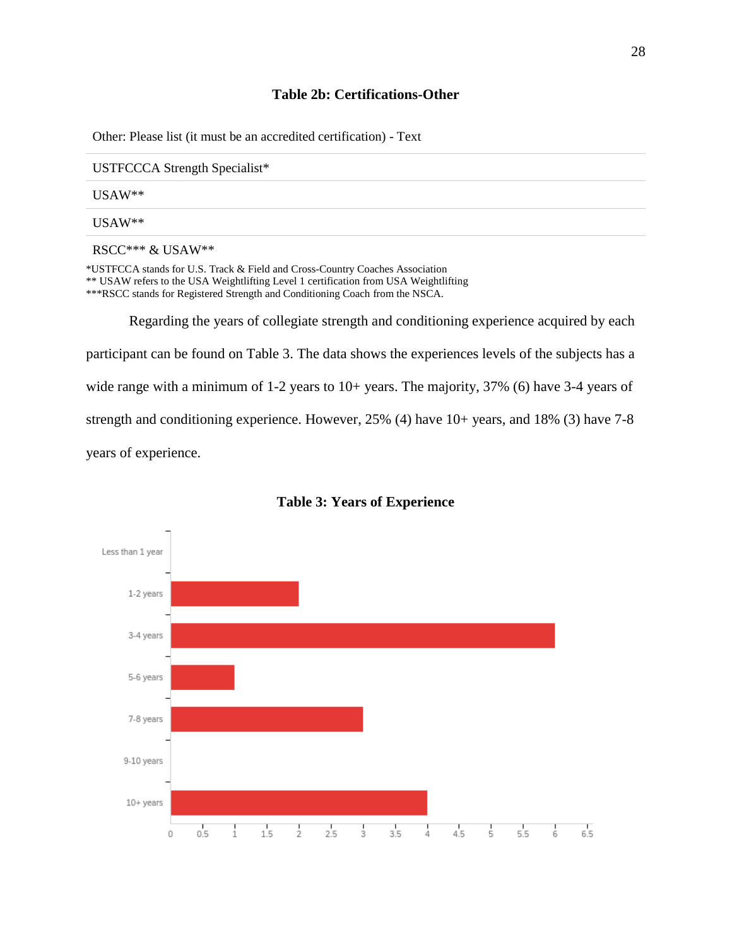# **Table 2b: Certifications-Other**

<span id="page-35-0"></span>Other: Please list (it must be an accredited certification) - Text

USTFCCCA Strength Specialist\*

USAW\*\*

USAW\*\*

RSCC\*\*\* & USAW\*\*

\*USTFCCA stands for U.S. Track & Field and Cross-Country Coaches Association

\*\* USAW refers to the USA Weightlifting Level 1 certification from USA Weightlifting

\*\*\*RSCC stands for Registered Strength and Conditioning Coach from the NSCA.

Regarding the years of collegiate strength and conditioning experience acquired by each participant can be found on Table 3. The data shows the experiences levels of the subjects has a wide range with a minimum of 1-2 years to 10+ years. The majority, 37% (6) have 3-4 years of strength and conditioning experience. However, 25% (4) have 10+ years, and 18% (3) have 7-8 years of experience.

<span id="page-35-1"></span>

## **Table 3: Years of Experience**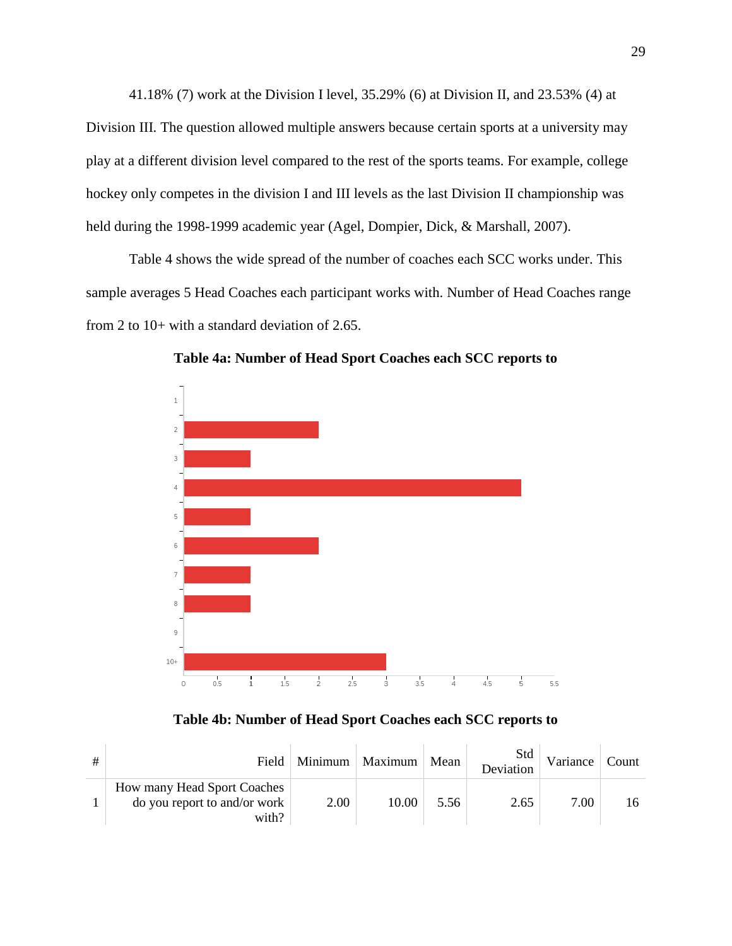41.18% (7) work at the Division I level, 35.29% (6) at Division II, and 23.53% (4) at Division III. The question allowed multiple answers because certain sports at a university may play at a different division level compared to the rest of the sports teams. For example, college hockey only competes in the division I and III levels as the last Division II championship was held during the 1998-1999 academic year (Agel, Dompier, Dick, & Marshall, 2007).

Table 4 shows the wide spread of the number of coaches each SCC works under. This sample averages 5 Head Coaches each participant works with. Number of Head Coaches range from 2 to 10+ with a standard deviation of 2.65.



**Table 4a: Number of Head Sport Coaches each SCC reports to**

## **Table 4b: Number of Head Sport Coaches each SCC reports to**

| Field                                                                | Minimum | Maximum | Mean | Std<br>Deviation | Variance | Count |
|----------------------------------------------------------------------|---------|---------|------|------------------|----------|-------|
| How many Head Sport Coaches<br>do you report to and/or work<br>with? | 2.00    | 10.00   | 5.56 | 2.65             | 7.00     |       |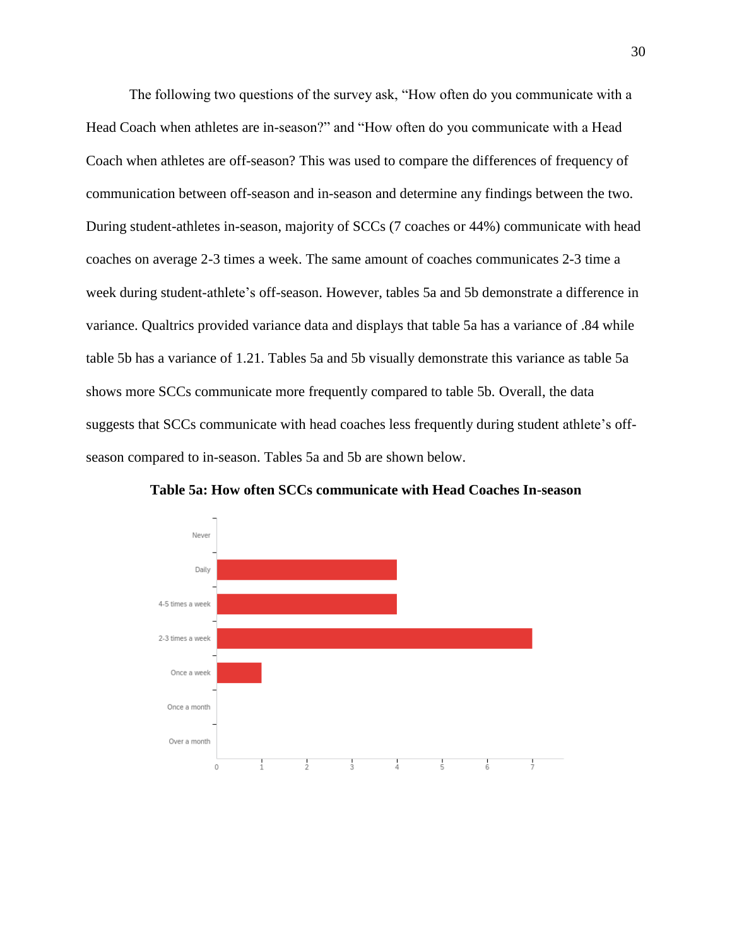The following two questions of the survey ask, "How often do you communicate with a Head Coach when athletes are in-season?" and "How often do you communicate with a Head Coach when athletes are off-season? This was used to compare the differences of frequency of communication between off-season and in-season and determine any findings between the two. During student-athletes in-season, majority of SCCs (7 coaches or 44%) communicate with head coaches on average 2-3 times a week. The same amount of coaches communicates 2-3 time a week during student-athlete's off-season. However, tables 5a and 5b demonstrate a difference in variance. Qualtrics provided variance data and displays that table 5a has a variance of .84 while table 5b has a variance of 1.21. Tables 5a and 5b visually demonstrate this variance as table 5a shows more SCCs communicate more frequently compared to table 5b. Overall, the data suggests that SCCs communicate with head coaches less frequently during student athlete's offseason compared to in-season. Tables 5a and 5b are shown below.



**Table 5a: How often SCCs communicate with Head Coaches In-season**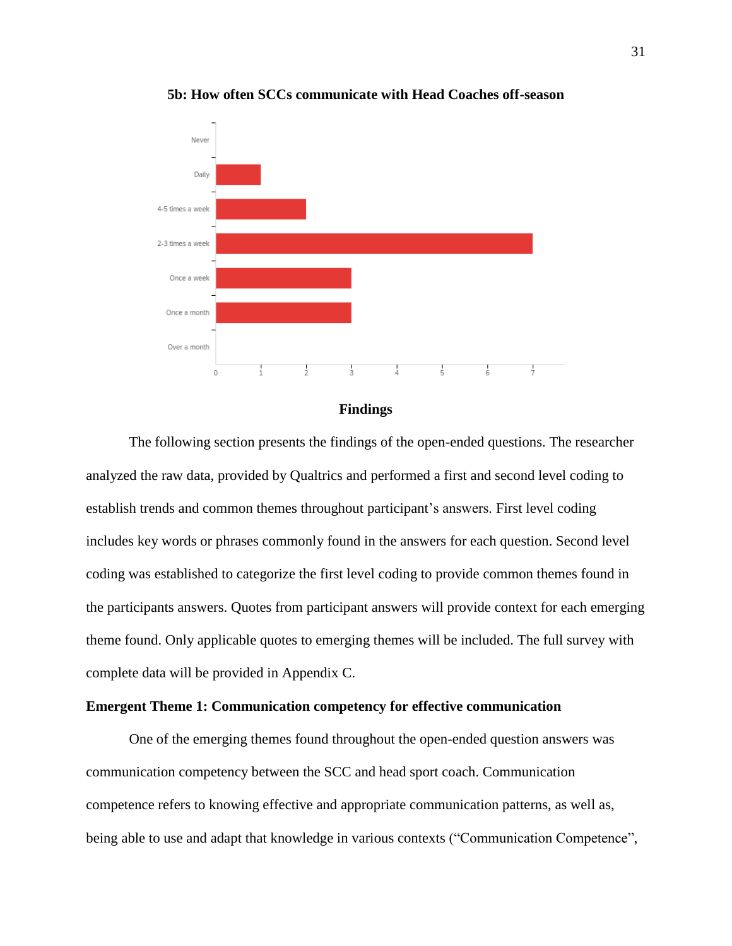

**5b: How often SCCs communicate with Head Coaches off-season**

**Findings**

The following section presents the findings of the open-ended questions. The researcher analyzed the raw data, provided by Qualtrics and performed a first and second level coding to establish trends and common themes throughout participant's answers. First level coding includes key words or phrases commonly found in the answers for each question. Second level coding was established to categorize the first level coding to provide common themes found in the participants answers. Quotes from participant answers will provide context for each emerging theme found. Only applicable quotes to emerging themes will be included. The full survey with complete data will be provided in Appendix C.

## **Emergent Theme 1: Communication competency for effective communication**

One of the emerging themes found throughout the open-ended question answers was communication competency between the SCC and head sport coach. Communication competence refers to knowing effective and appropriate communication patterns, as well as, being able to use and adapt that knowledge in various contexts ("Communication Competence",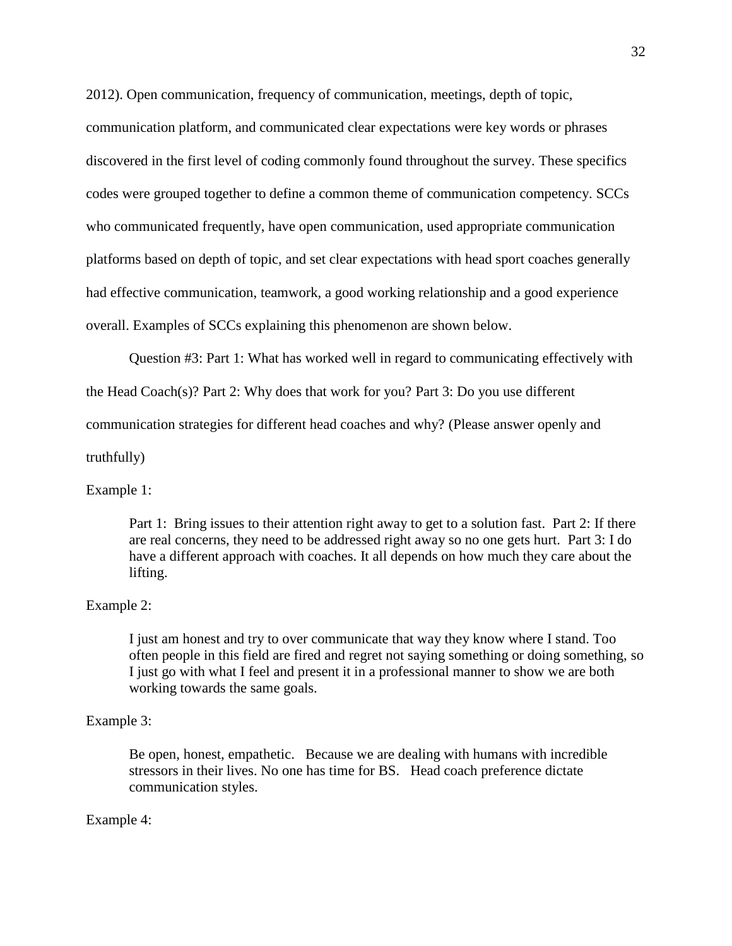2012). Open communication, frequency of communication, meetings, depth of topic,

communication platform, and communicated clear expectations were key words or phrases discovered in the first level of coding commonly found throughout the survey. These specifics codes were grouped together to define a common theme of communication competency. SCCs who communicated frequently, have open communication, used appropriate communication platforms based on depth of topic, and set clear expectations with head sport coaches generally had effective communication, teamwork, a good working relationship and a good experience overall. Examples of SCCs explaining this phenomenon are shown below.

Question #3: Part 1: What has worked well in regard to communicating effectively with

the Head Coach(s)? Part 2: Why does that work for you? Part 3: Do you use different

communication strategies for different head coaches and why? (Please answer openly and

truthfully)

#### Example 1:

Part 1: Bring issues to their attention right away to get to a solution fast. Part 2: If there are real concerns, they need to be addressed right away so no one gets hurt. Part 3: I do have a different approach with coaches. It all depends on how much they care about the lifting.

#### Example 2:

I just am honest and try to over communicate that way they know where I stand. Too often people in this field are fired and regret not saying something or doing something, so I just go with what I feel and present it in a professional manner to show we are both working towards the same goals.

#### Example 3:

Be open, honest, empathetic. Because we are dealing with humans with incredible stressors in their lives. No one has time for BS. Head coach preference dictate communication styles.

#### Example 4: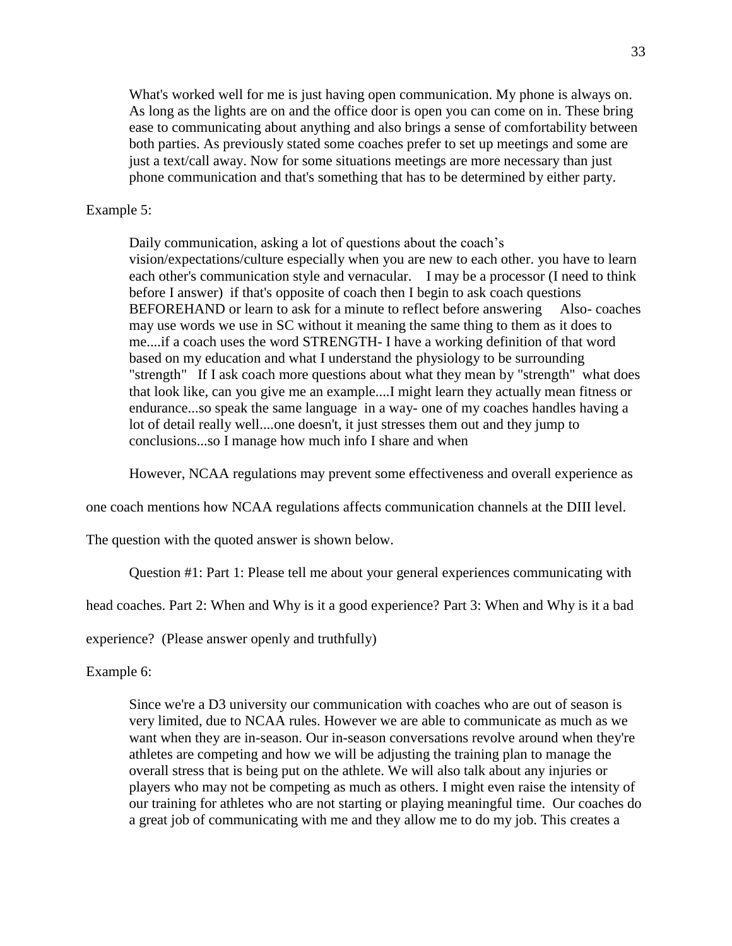What's worked well for me is just having open communication. My phone is always on. As long as the lights are on and the office door is open you can come on in. These bring ease to communicating about anything and also brings a sense of comfortability between both parties. As previously stated some coaches prefer to set up meetings and some are just a text/call away. Now for some situations meetings are more necessary than just phone communication and that's something that has to be determined by either party.

#### Example 5:

Daily communication, asking a lot of questions about the coach's vision/expectations/culture especially when you are new to each other. you have to learn each other's communication style and vernacular. I may be a processor (I need to think before I answer) if that's opposite of coach then I begin to ask coach questions BEFOREHAND or learn to ask for a minute to reflect before answering Also- coaches may use words we use in SC without it meaning the same thing to them as it does to me....if a coach uses the word STRENGTH- I have a working definition of that word based on my education and what I understand the physiology to be surrounding "strength" If I ask coach more questions about what they mean by "strength" what does that look like, can you give me an example....I might learn they actually mean fitness or endurance...so speak the same language in a way- one of my coaches handles having a lot of detail really well....one doesn't, it just stresses them out and they jump to conclusions...so I manage how much info I share and when

However, NCAA regulations may prevent some effectiveness and overall experience as

one coach mentions how NCAA regulations affects communication channels at the DIII level.

The question with the quoted answer is shown below.

Question #1: Part 1: Please tell me about your general experiences communicating with

head coaches. Part 2: When and Why is it a good experience? Part 3: When and Why is it a bad

experience? (Please answer openly and truthfully)

Example 6:

Since we're a D3 university our communication with coaches who are out of season is very limited, due to NCAA rules. However we are able to communicate as much as we want when they are in-season. Our in-season conversations revolve around when they're athletes are competing and how we will be adjusting the training plan to manage the overall stress that is being put on the athlete. We will also talk about any injuries or players who may not be competing as much as others. I might even raise the intensity of our training for athletes who are not starting or playing meaningful time. Our coaches do a great job of communicating with me and they allow me to do my job. This creates a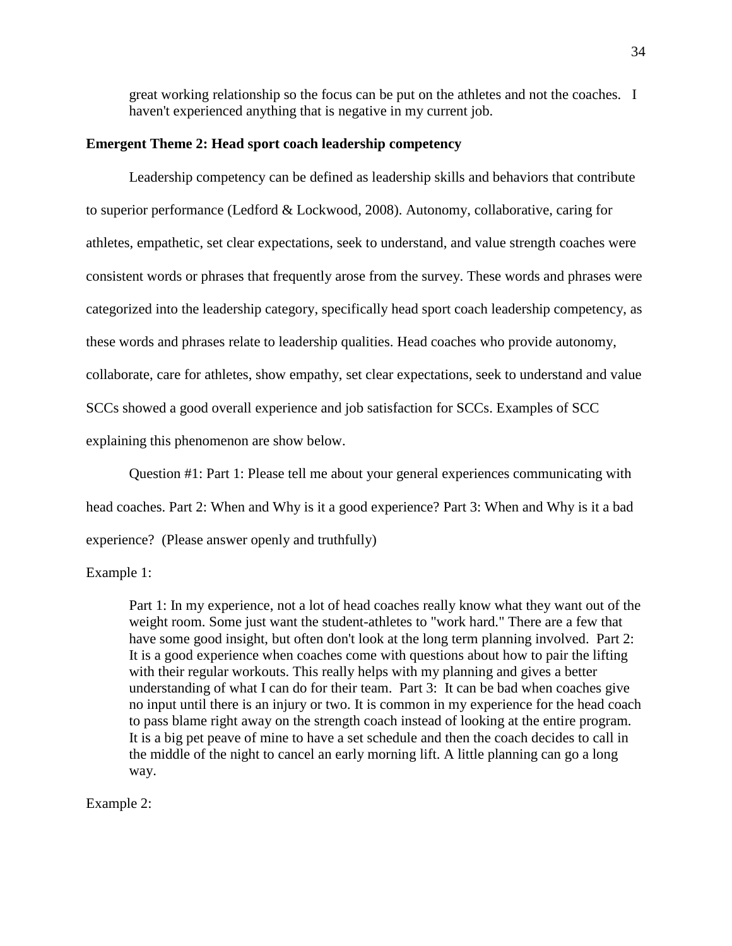great working relationship so the focus can be put on the athletes and not the coaches. I haven't experienced anything that is negative in my current job.

#### **Emergent Theme 2: Head sport coach leadership competency**

Leadership competency can be defined as leadership skills and behaviors that contribute to superior performance (Ledford & Lockwood, 2008). Autonomy, collaborative, caring for athletes, empathetic, set clear expectations, seek to understand, and value strength coaches were consistent words or phrases that frequently arose from the survey. These words and phrases were categorized into the leadership category, specifically head sport coach leadership competency, as these words and phrases relate to leadership qualities. Head coaches who provide autonomy, collaborate, care for athletes, show empathy, set clear expectations, seek to understand and value SCCs showed a good overall experience and job satisfaction for SCCs. Examples of SCC explaining this phenomenon are show below.

Question #1: Part 1: Please tell me about your general experiences communicating with

head coaches. Part 2: When and Why is it a good experience? Part 3: When and Why is it a bad

experience? (Please answer openly and truthfully)

Example 1:

Part 1: In my experience, not a lot of head coaches really know what they want out of the weight room. Some just want the student-athletes to "work hard." There are a few that have some good insight, but often don't look at the long term planning involved. Part 2: It is a good experience when coaches come with questions about how to pair the lifting with their regular workouts. This really helps with my planning and gives a better understanding of what I can do for their team. Part 3: It can be bad when coaches give no input until there is an injury or two. It is common in my experience for the head coach to pass blame right away on the strength coach instead of looking at the entire program. It is a big pet peave of mine to have a set schedule and then the coach decides to call in the middle of the night to cancel an early morning lift. A little planning can go a long way.

Example 2: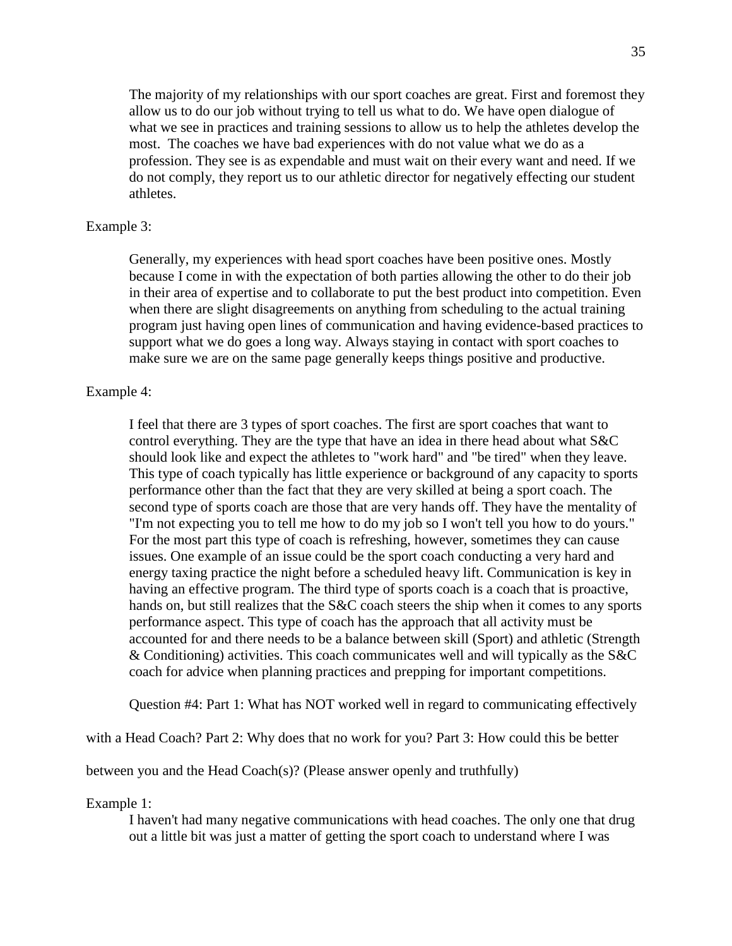The majority of my relationships with our sport coaches are great. First and foremost they allow us to do our job without trying to tell us what to do. We have open dialogue of what we see in practices and training sessions to allow us to help the athletes develop the most. The coaches we have bad experiences with do not value what we do as a profession. They see is as expendable and must wait on their every want and need. If we do not comply, they report us to our athletic director for negatively effecting our student athletes.

#### Example 3:

Generally, my experiences with head sport coaches have been positive ones. Mostly because I come in with the expectation of both parties allowing the other to do their job in their area of expertise and to collaborate to put the best product into competition. Even when there are slight disagreements on anything from scheduling to the actual training program just having open lines of communication and having evidence-based practices to support what we do goes a long way. Always staying in contact with sport coaches to make sure we are on the same page generally keeps things positive and productive.

#### Example 4:

I feel that there are 3 types of sport coaches. The first are sport coaches that want to control everything. They are the type that have an idea in there head about what S&C should look like and expect the athletes to "work hard" and "be tired" when they leave. This type of coach typically has little experience or background of any capacity to sports performance other than the fact that they are very skilled at being a sport coach. The second type of sports coach are those that are very hands off. They have the mentality of "I'm not expecting you to tell me how to do my job so I won't tell you how to do yours." For the most part this type of coach is refreshing, however, sometimes they can cause issues. One example of an issue could be the sport coach conducting a very hard and energy taxing practice the night before a scheduled heavy lift. Communication is key in having an effective program. The third type of sports coach is a coach that is proactive, hands on, but still realizes that the S&C coach steers the ship when it comes to any sports performance aspect. This type of coach has the approach that all activity must be accounted for and there needs to be a balance between skill (Sport) and athletic (Strength & Conditioning) activities. This coach communicates well and will typically as the S&C coach for advice when planning practices and prepping for important competitions.

Question #4: Part 1: What has NOT worked well in regard to communicating effectively

with a Head Coach? Part 2: Why does that no work for you? Part 3: How could this be better

between you and the Head Coach(s)? (Please answer openly and truthfully)

Example 1:

I haven't had many negative communications with head coaches. The only one that drug out a little bit was just a matter of getting the sport coach to understand where I was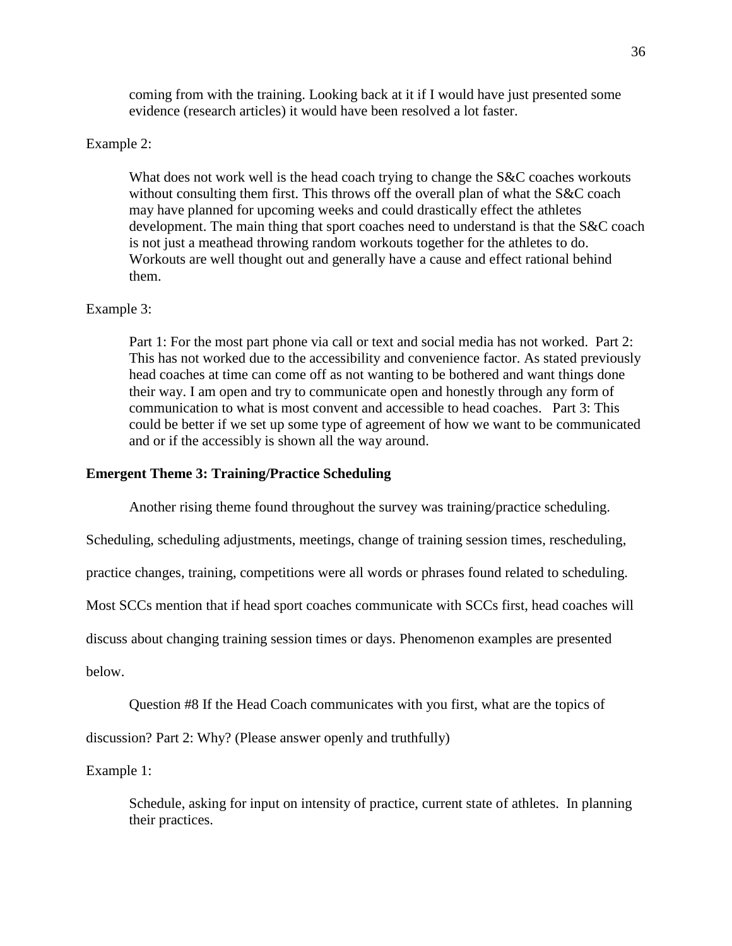coming from with the training. Looking back at it if I would have just presented some evidence (research articles) it would have been resolved a lot faster.

## Example 2:

What does not work well is the head coach trying to change the S&C coaches workouts without consulting them first. This throws off the overall plan of what the S&C coach may have planned for upcoming weeks and could drastically effect the athletes development. The main thing that sport coaches need to understand is that the S&C coach is not just a meathead throwing random workouts together for the athletes to do. Workouts are well thought out and generally have a cause and effect rational behind them.

#### Example 3:

Part 1: For the most part phone via call or text and social media has not worked. Part 2: This has not worked due to the accessibility and convenience factor. As stated previously head coaches at time can come off as not wanting to be bothered and want things done their way. I am open and try to communicate open and honestly through any form of communication to what is most convent and accessible to head coaches. Part 3: This could be better if we set up some type of agreement of how we want to be communicated and or if the accessibly is shown all the way around.

## **Emergent Theme 3: Training/Practice Scheduling**

Another rising theme found throughout the survey was training/practice scheduling.

Scheduling, scheduling adjustments, meetings, change of training session times, rescheduling,

practice changes, training, competitions were all words or phrases found related to scheduling.

Most SCCs mention that if head sport coaches communicate with SCCs first, head coaches will

discuss about changing training session times or days. Phenomenon examples are presented

below.

Question #8 If the Head Coach communicates with you first, what are the topics of

discussion? Part 2: Why? (Please answer openly and truthfully)

Example 1:

Schedule, asking for input on intensity of practice, current state of athletes. In planning their practices.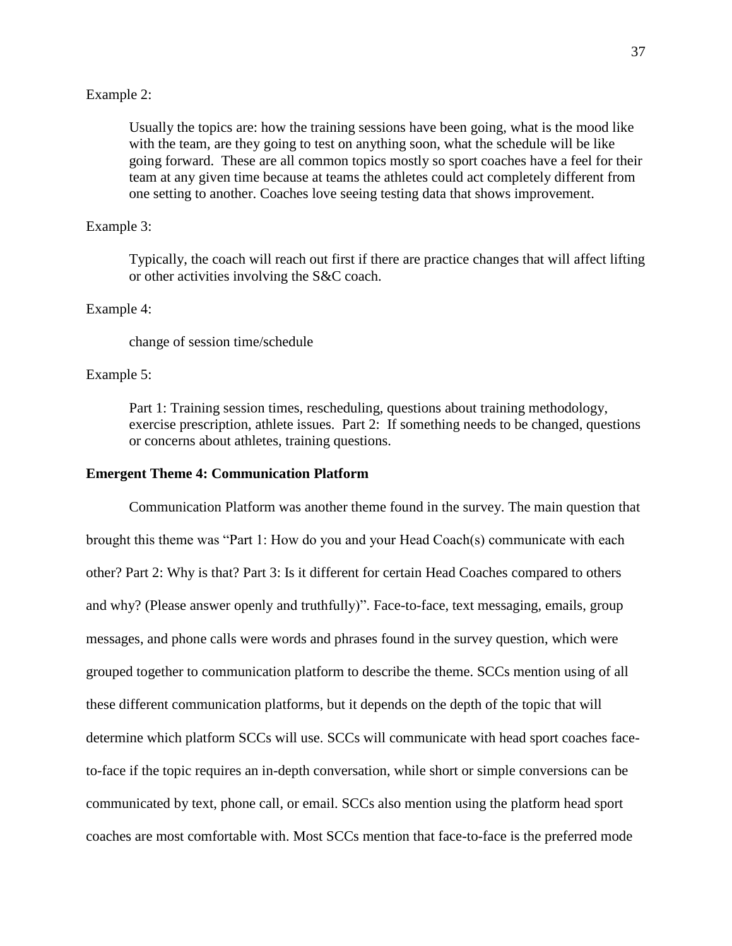#### Example 2:

Usually the topics are: how the training sessions have been going, what is the mood like with the team, are they going to test on anything soon, what the schedule will be like going forward. These are all common topics mostly so sport coaches have a feel for their team at any given time because at teams the athletes could act completely different from one setting to another. Coaches love seeing testing data that shows improvement.

#### Example 3:

Typically, the coach will reach out first if there are practice changes that will affect lifting or other activities involving the S&C coach.

#### Example 4:

change of session time/schedule

#### Example 5:

Part 1: Training session times, rescheduling, questions about training methodology, exercise prescription, athlete issues. Part 2: If something needs to be changed, questions or concerns about athletes, training questions.

#### **Emergent Theme 4: Communication Platform**

Communication Platform was another theme found in the survey. The main question that brought this theme was "Part 1: How do you and your Head Coach(s) communicate with each other? Part 2: Why is that? Part 3: Is it different for certain Head Coaches compared to others and why? (Please answer openly and truthfully)". Face-to-face, text messaging, emails, group messages, and phone calls were words and phrases found in the survey question, which were grouped together to communication platform to describe the theme. SCCs mention using of all these different communication platforms, but it depends on the depth of the topic that will determine which platform SCCs will use. SCCs will communicate with head sport coaches faceto-face if the topic requires an in-depth conversation, while short or simple conversions can be communicated by text, phone call, or email. SCCs also mention using the platform head sport coaches are most comfortable with. Most SCCs mention that face-to-face is the preferred mode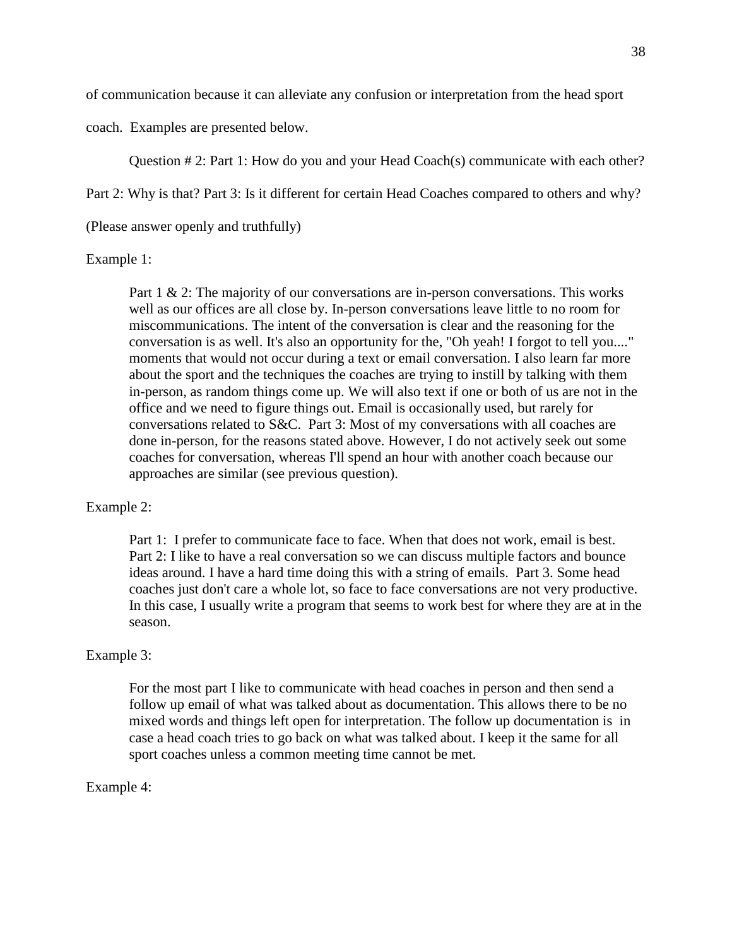of communication because it can alleviate any confusion or interpretation from the head sport

coach. Examples are presented below.

Question # 2: Part 1: How do you and your Head Coach(s) communicate with each other?

Part 2: Why is that? Part 3: Is it different for certain Head Coaches compared to others and why?

(Please answer openly and truthfully)

Example 1:

Part 1 & 2: The majority of our conversations are in-person conversations. This works well as our offices are all close by. In-person conversations leave little to no room for miscommunications. The intent of the conversation is clear and the reasoning for the conversation is as well. It's also an opportunity for the, "Oh yeah! I forgot to tell you...." moments that would not occur during a text or email conversation. I also learn far more about the sport and the techniques the coaches are trying to instill by talking with them in-person, as random things come up. We will also text if one or both of us are not in the office and we need to figure things out. Email is occasionally used, but rarely for conversations related to S&C. Part 3: Most of my conversations with all coaches are done in-person, for the reasons stated above. However, I do not actively seek out some coaches for conversation, whereas I'll spend an hour with another coach because our approaches are similar (see previous question).

# Example 2:

Part 1: I prefer to communicate face to face. When that does not work, email is best. Part 2: I like to have a real conversation so we can discuss multiple factors and bounce ideas around. I have a hard time doing this with a string of emails. Part 3. Some head coaches just don't care a whole lot, so face to face conversations are not very productive. In this case, I usually write a program that seems to work best for where they are at in the season.

#### Example 3:

For the most part I like to communicate with head coaches in person and then send a follow up email of what was talked about as documentation. This allows there to be no mixed words and things left open for interpretation. The follow up documentation is in case a head coach tries to go back on what was talked about. I keep it the same for all sport coaches unless a common meeting time cannot be met.

#### Example 4: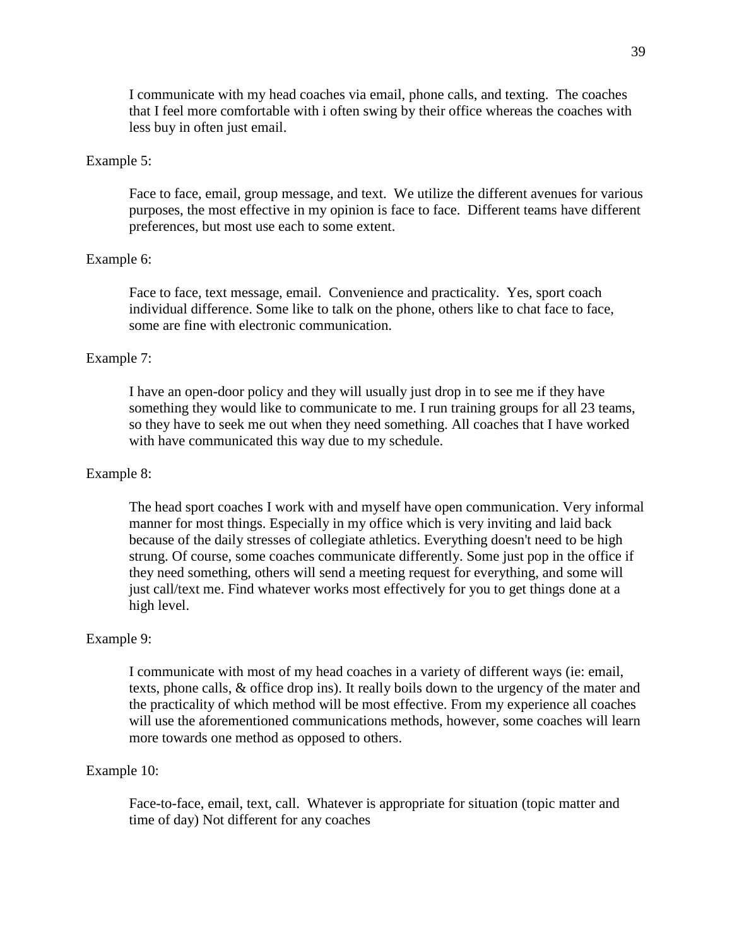I communicate with my head coaches via email, phone calls, and texting. The coaches that I feel more comfortable with i often swing by their office whereas the coaches with less buy in often just email.

#### Example 5:

Face to face, email, group message, and text. We utilize the different avenues for various purposes, the most effective in my opinion is face to face. Different teams have different preferences, but most use each to some extent.

#### Example 6:

Face to face, text message, email. Convenience and practicality. Yes, sport coach individual difference. Some like to talk on the phone, others like to chat face to face, some are fine with electronic communication.

#### Example 7:

I have an open-door policy and they will usually just drop in to see me if they have something they would like to communicate to me. I run training groups for all 23 teams, so they have to seek me out when they need something. All coaches that I have worked with have communicated this way due to my schedule.

#### Example 8:

The head sport coaches I work with and myself have open communication. Very informal manner for most things. Especially in my office which is very inviting and laid back because of the daily stresses of collegiate athletics. Everything doesn't need to be high strung. Of course, some coaches communicate differently. Some just pop in the office if they need something, others will send a meeting request for everything, and some will just call/text me. Find whatever works most effectively for you to get things done at a high level.

#### Example 9:

I communicate with most of my head coaches in a variety of different ways (ie: email, texts, phone calls, & office drop ins). It really boils down to the urgency of the mater and the practicality of which method will be most effective. From my experience all coaches will use the aforementioned communications methods, however, some coaches will learn more towards one method as opposed to others.

#### Example 10:

Face-to-face, email, text, call. Whatever is appropriate for situation (topic matter and time of day) Not different for any coaches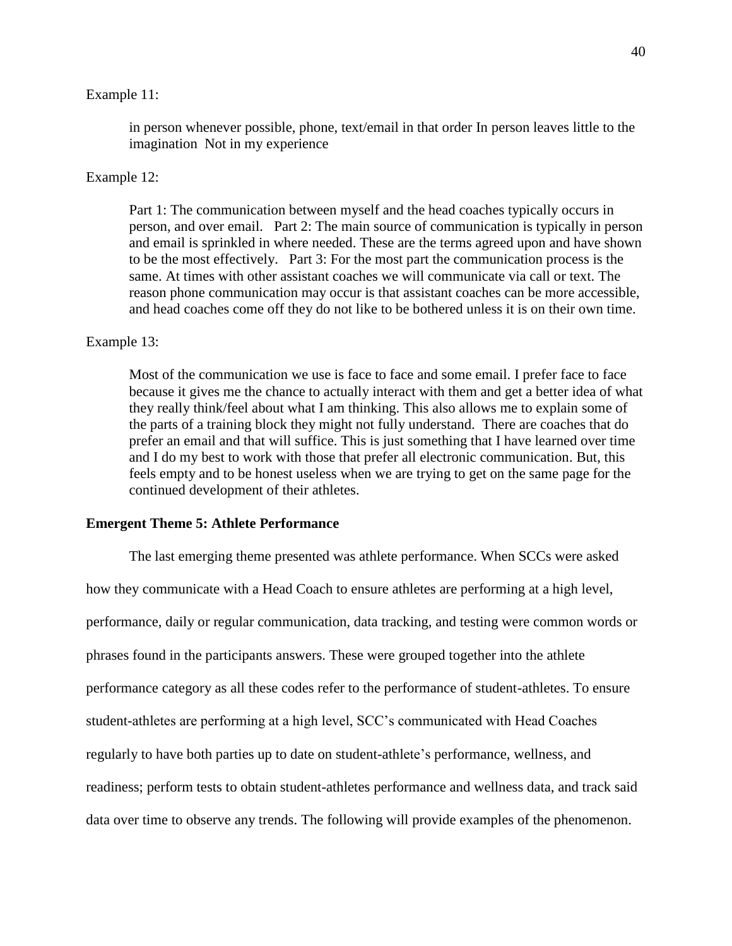#### Example 11:

in person whenever possible, phone, text/email in that order In person leaves little to the imagination Not in my experience

#### Example 12:

Part 1: The communication between myself and the head coaches typically occurs in person, and over email. Part 2: The main source of communication is typically in person and email is sprinkled in where needed. These are the terms agreed upon and have shown to be the most effectively. Part 3: For the most part the communication process is the same. At times with other assistant coaches we will communicate via call or text. The reason phone communication may occur is that assistant coaches can be more accessible, and head coaches come off they do not like to be bothered unless it is on their own time.

#### Example 13:

Most of the communication we use is face to face and some email. I prefer face to face because it gives me the chance to actually interact with them and get a better idea of what they really think/feel about what I am thinking. This also allows me to explain some of the parts of a training block they might not fully understand. There are coaches that do prefer an email and that will suffice. This is just something that I have learned over time and I do my best to work with those that prefer all electronic communication. But, this feels empty and to be honest useless when we are trying to get on the same page for the continued development of their athletes.

#### **Emergent Theme 5: Athlete Performance**

The last emerging theme presented was athlete performance. When SCCs were asked how they communicate with a Head Coach to ensure athletes are performing at a high level, performance, daily or regular communication, data tracking, and testing were common words or phrases found in the participants answers. These were grouped together into the athlete performance category as all these codes refer to the performance of student-athletes. To ensure student-athletes are performing at a high level, SCC's communicated with Head Coaches regularly to have both parties up to date on student-athlete's performance, wellness, and readiness; perform tests to obtain student-athletes performance and wellness data, and track said data over time to observe any trends. The following will provide examples of the phenomenon.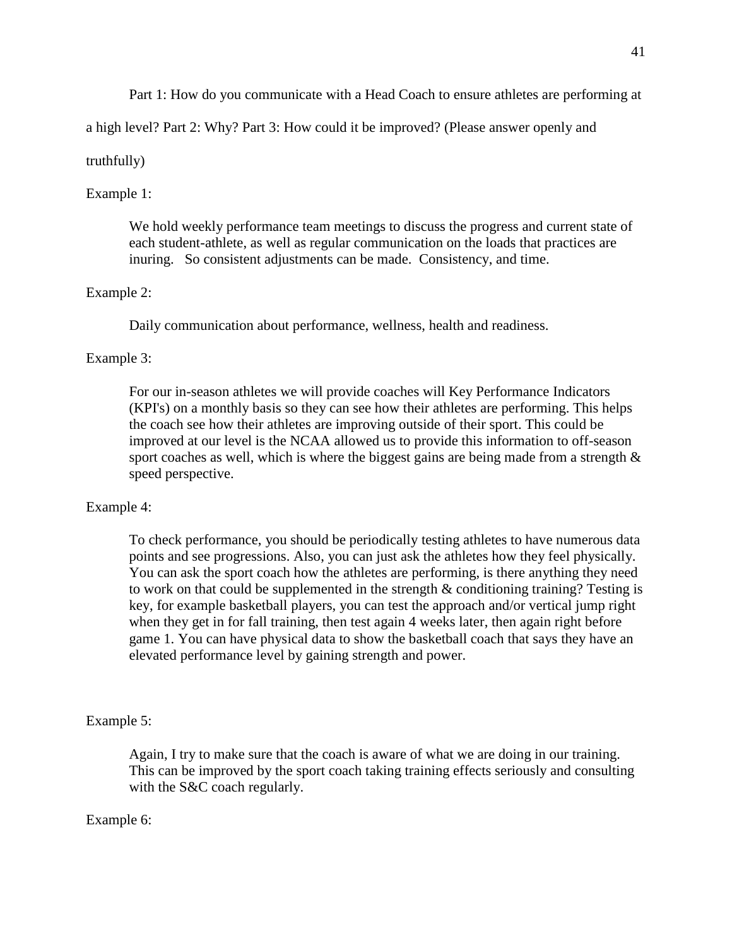Part 1: How do you communicate with a Head Coach to ensure athletes are performing at

a high level? Part 2: Why? Part 3: How could it be improved? (Please answer openly and

## truthfully)

## Example 1:

We hold weekly performance team meetings to discuss the progress and current state of each student-athlete, as well as regular communication on the loads that practices are inuring. So consistent adjustments can be made. Consistency, and time.

## Example 2:

Daily communication about performance, wellness, health and readiness.

## Example 3:

For our in-season athletes we will provide coaches will Key Performance Indicators (KPI's) on a monthly basis so they can see how their athletes are performing. This helps the coach see how their athletes are improving outside of their sport. This could be improved at our level is the NCAA allowed us to provide this information to off-season sport coaches as well, which is where the biggest gains are being made from a strength  $\&$ speed perspective.

#### Example 4:

To check performance, you should be periodically testing athletes to have numerous data points and see progressions. Also, you can just ask the athletes how they feel physically. You can ask the sport coach how the athletes are performing, is there anything they need to work on that could be supplemented in the strength & conditioning training? Testing is key, for example basketball players, you can test the approach and/or vertical jump right when they get in for fall training, then test again 4 weeks later, then again right before game 1. You can have physical data to show the basketball coach that says they have an elevated performance level by gaining strength and power.

#### Example 5:

Again, I try to make sure that the coach is aware of what we are doing in our training. This can be improved by the sport coach taking training effects seriously and consulting with the S&C coach regularly.

## Example 6: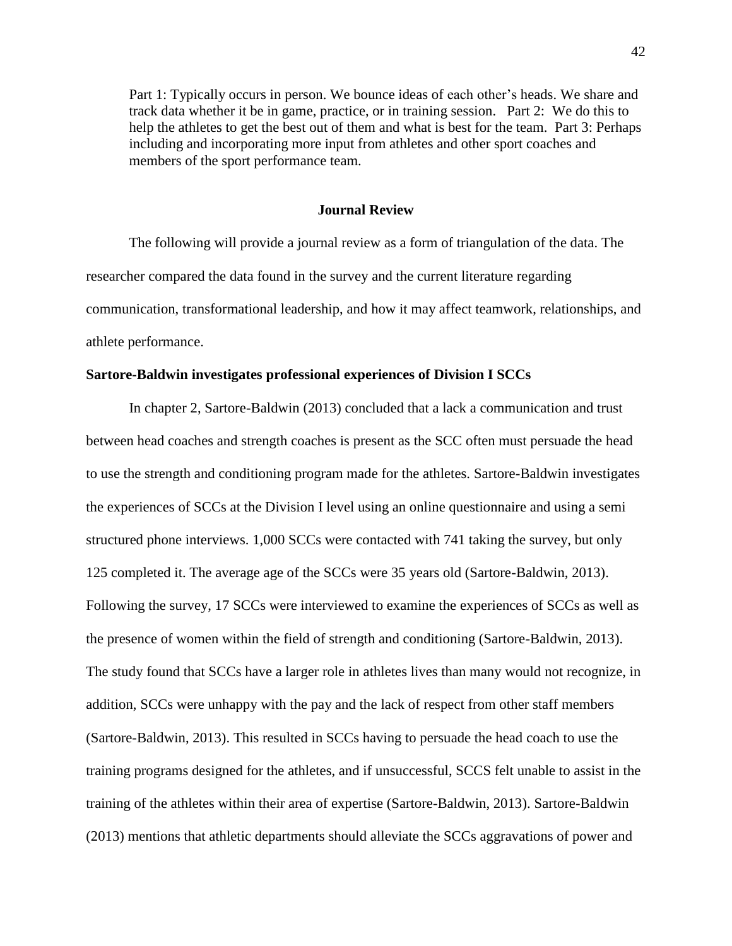Part 1: Typically occurs in person. We bounce ideas of each other's heads. We share and track data whether it be in game, practice, or in training session. Part 2: We do this to help the athletes to get the best out of them and what is best for the team. Part 3: Perhaps including and incorporating more input from athletes and other sport coaches and members of the sport performance team.

## **Journal Review**

The following will provide a journal review as a form of triangulation of the data. The researcher compared the data found in the survey and the current literature regarding communication, transformational leadership, and how it may affect teamwork, relationships, and athlete performance.

#### **Sartore-Baldwin investigates professional experiences of Division I SCCs**

In chapter 2, Sartore-Baldwin (2013) concluded that a lack a communication and trust between head coaches and strength coaches is present as the SCC often must persuade the head to use the strength and conditioning program made for the athletes. Sartore-Baldwin investigates the experiences of SCCs at the Division I level using an online questionnaire and using a semi structured phone interviews. 1,000 SCCs were contacted with 741 taking the survey, but only 125 completed it. The average age of the SCCs were 35 years old (Sartore-Baldwin, 2013). Following the survey, 17 SCCs were interviewed to examine the experiences of SCCs as well as the presence of women within the field of strength and conditioning (Sartore-Baldwin, 2013). The study found that SCCs have a larger role in athletes lives than many would not recognize, in addition, SCCs were unhappy with the pay and the lack of respect from other staff members (Sartore-Baldwin, 2013). This resulted in SCCs having to persuade the head coach to use the training programs designed for the athletes, and if unsuccessful, SCCS felt unable to assist in the training of the athletes within their area of expertise (Sartore-Baldwin, 2013). Sartore-Baldwin (2013) mentions that athletic departments should alleviate the SCCs aggravations of power and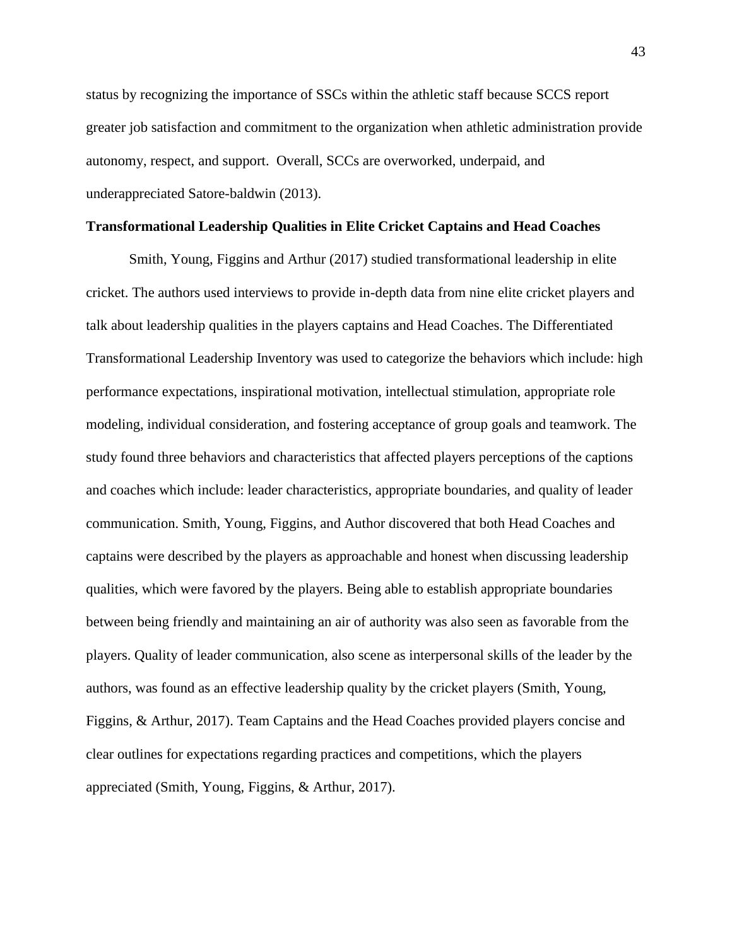status by recognizing the importance of SSCs within the athletic staff because SCCS report greater job satisfaction and commitment to the organization when athletic administration provide autonomy, respect, and support. Overall, SCCs are overworked, underpaid, and underappreciated Satore-baldwin (2013).

#### **Transformational Leadership Qualities in Elite Cricket Captains and Head Coaches**

Smith, Young, Figgins and Arthur (2017) studied transformational leadership in elite cricket. The authors used interviews to provide in-depth data from nine elite cricket players and talk about leadership qualities in the players captains and Head Coaches. The Differentiated Transformational Leadership Inventory was used to categorize the behaviors which include: high performance expectations, inspirational motivation, intellectual stimulation, appropriate role modeling, individual consideration, and fostering acceptance of group goals and teamwork. The study found three behaviors and characteristics that affected players perceptions of the captions and coaches which include: leader characteristics, appropriate boundaries, and quality of leader communication. Smith, Young, Figgins, and Author discovered that both Head Coaches and captains were described by the players as approachable and honest when discussing leadership qualities, which were favored by the players. Being able to establish appropriate boundaries between being friendly and maintaining an air of authority was also seen as favorable from the players. Quality of leader communication, also scene as interpersonal skills of the leader by the authors, was found as an effective leadership quality by the cricket players (Smith, Young, Figgins, & Arthur, 2017). Team Captains and the Head Coaches provided players concise and clear outlines for expectations regarding practices and competitions, which the players appreciated (Smith, Young, Figgins, & Arthur, 2017).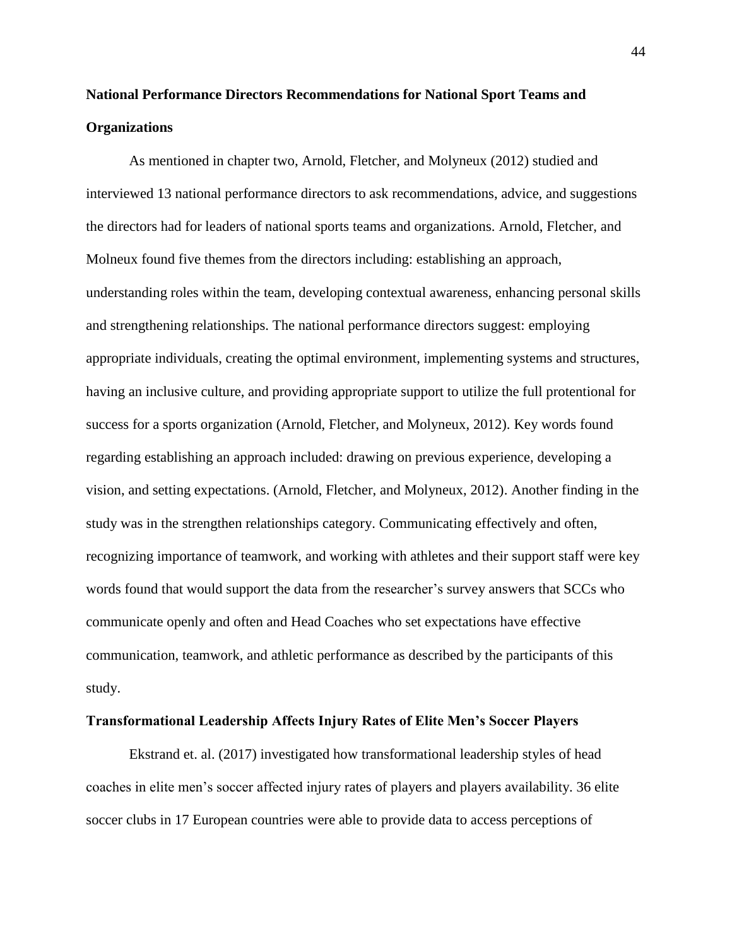# **National Performance Directors Recommendations for National Sport Teams and Organizations**

As mentioned in chapter two, Arnold, Fletcher, and Molyneux (2012) studied and interviewed 13 national performance directors to ask recommendations, advice, and suggestions the directors had for leaders of national sports teams and organizations. Arnold, Fletcher, and Molneux found five themes from the directors including: establishing an approach, understanding roles within the team, developing contextual awareness, enhancing personal skills and strengthening relationships. The national performance directors suggest: employing appropriate individuals, creating the optimal environment, implementing systems and structures, having an inclusive culture, and providing appropriate support to utilize the full protentional for success for a sports organization (Arnold, Fletcher, and Molyneux, 2012). Key words found regarding establishing an approach included: drawing on previous experience, developing a vision, and setting expectations. (Arnold, Fletcher, and Molyneux, 2012). Another finding in the study was in the strengthen relationships category. Communicating effectively and often, recognizing importance of teamwork, and working with athletes and their support staff were key words found that would support the data from the researcher's survey answers that SCCs who communicate openly and often and Head Coaches who set expectations have effective communication, teamwork, and athletic performance as described by the participants of this study.

## **Transformational Leadership Affects Injury Rates of Elite Men's Soccer Players**

Ekstrand et. al. (2017) investigated how transformational leadership styles of head coaches in elite men's soccer affected injury rates of players and players availability. 36 elite soccer clubs in 17 European countries were able to provide data to access perceptions of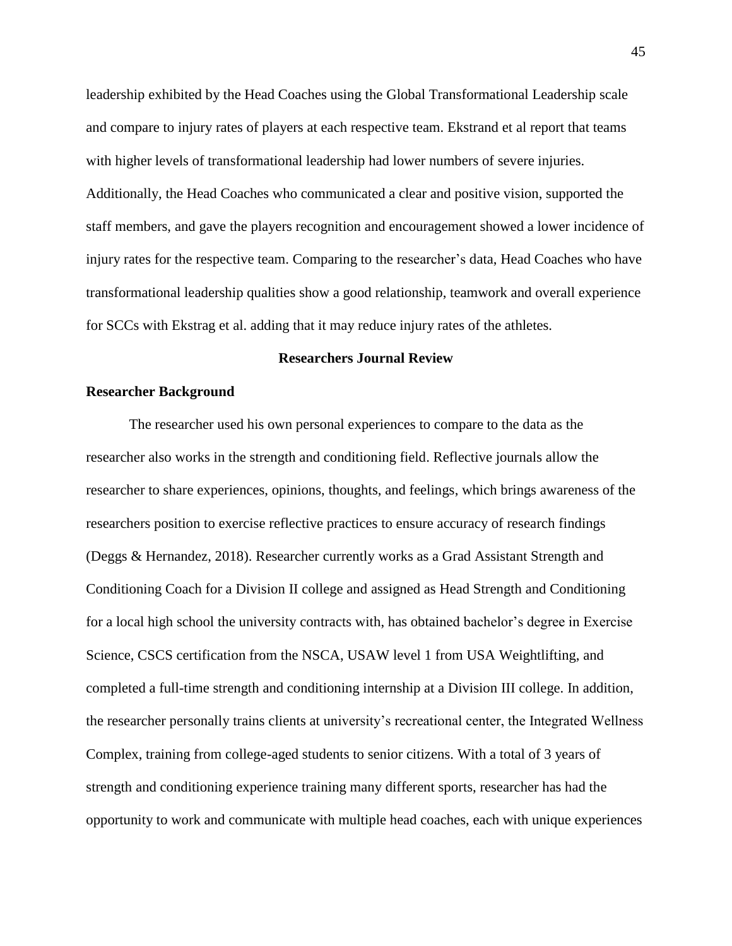leadership exhibited by the Head Coaches using the Global Transformational Leadership scale and compare to injury rates of players at each respective team. Ekstrand et al report that teams with higher levels of transformational leadership had lower numbers of severe injuries. Additionally, the Head Coaches who communicated a clear and positive vision, supported the staff members, and gave the players recognition and encouragement showed a lower incidence of injury rates for the respective team. Comparing to the researcher's data, Head Coaches who have transformational leadership qualities show a good relationship, teamwork and overall experience for SCCs with Ekstrag et al. adding that it may reduce injury rates of the athletes.

#### **Researchers Journal Review**

#### **Researcher Background**

The researcher used his own personal experiences to compare to the data as the researcher also works in the strength and conditioning field. Reflective journals allow the researcher to share experiences, opinions, thoughts, and feelings, which brings awareness of the researchers position to exercise reflective practices to ensure accuracy of research findings (Deggs & Hernandez, 2018). Researcher currently works as a Grad Assistant Strength and Conditioning Coach for a Division II college and assigned as Head Strength and Conditioning for a local high school the university contracts with, has obtained bachelor's degree in Exercise Science, CSCS certification from the NSCA, USAW level 1 from USA Weightlifting, and completed a full-time strength and conditioning internship at a Division III college. In addition, the researcher personally trains clients at university's recreational center, the Integrated Wellness Complex, training from college-aged students to senior citizens. With a total of 3 years of strength and conditioning experience training many different sports, researcher has had the opportunity to work and communicate with multiple head coaches, each with unique experiences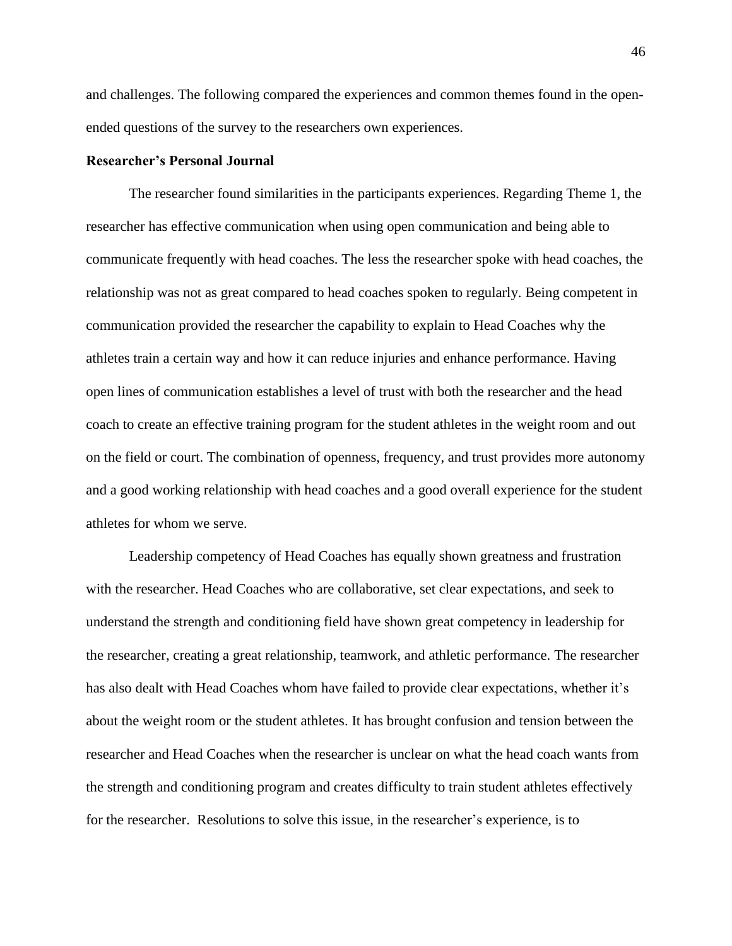and challenges. The following compared the experiences and common themes found in the openended questions of the survey to the researchers own experiences.

#### **Researcher's Personal Journal**

The researcher found similarities in the participants experiences. Regarding Theme 1, the researcher has effective communication when using open communication and being able to communicate frequently with head coaches. The less the researcher spoke with head coaches, the relationship was not as great compared to head coaches spoken to regularly. Being competent in communication provided the researcher the capability to explain to Head Coaches why the athletes train a certain way and how it can reduce injuries and enhance performance. Having open lines of communication establishes a level of trust with both the researcher and the head coach to create an effective training program for the student athletes in the weight room and out on the field or court. The combination of openness, frequency, and trust provides more autonomy and a good working relationship with head coaches and a good overall experience for the student athletes for whom we serve.

Leadership competency of Head Coaches has equally shown greatness and frustration with the researcher. Head Coaches who are collaborative, set clear expectations, and seek to understand the strength and conditioning field have shown great competency in leadership for the researcher, creating a great relationship, teamwork, and athletic performance. The researcher has also dealt with Head Coaches whom have failed to provide clear expectations, whether it's about the weight room or the student athletes. It has brought confusion and tension between the researcher and Head Coaches when the researcher is unclear on what the head coach wants from the strength and conditioning program and creates difficulty to train student athletes effectively for the researcher. Resolutions to solve this issue, in the researcher's experience, is to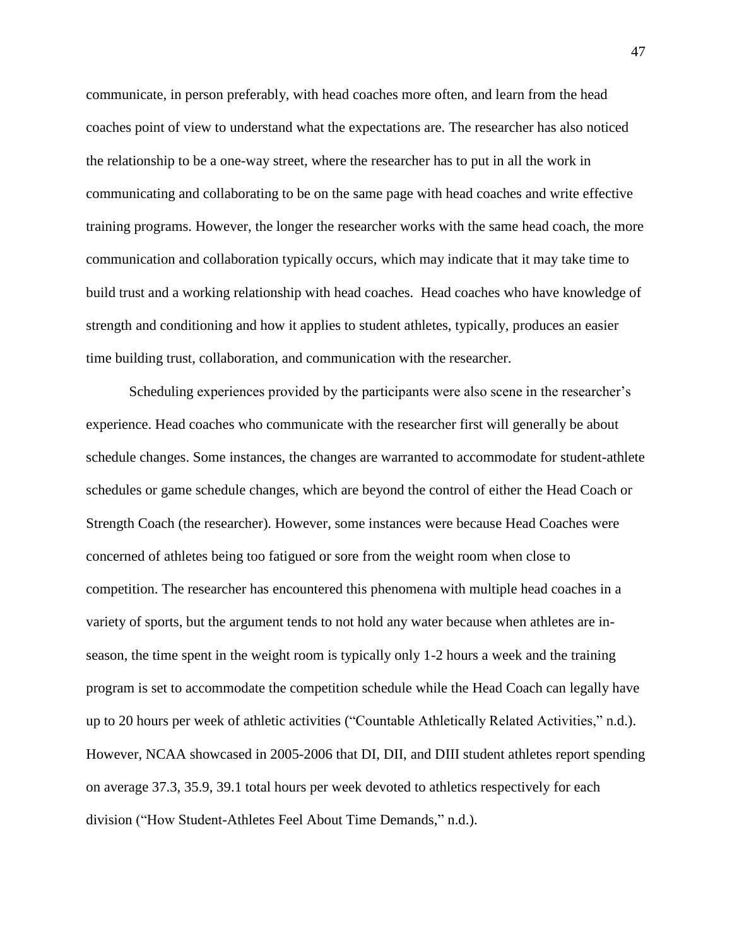communicate, in person preferably, with head coaches more often, and learn from the head coaches point of view to understand what the expectations are. The researcher has also noticed the relationship to be a one-way street, where the researcher has to put in all the work in communicating and collaborating to be on the same page with head coaches and write effective training programs. However, the longer the researcher works with the same head coach, the more communication and collaboration typically occurs, which may indicate that it may take time to build trust and a working relationship with head coaches. Head coaches who have knowledge of strength and conditioning and how it applies to student athletes, typically, produces an easier time building trust, collaboration, and communication with the researcher.

Scheduling experiences provided by the participants were also scene in the researcher's experience. Head coaches who communicate with the researcher first will generally be about schedule changes. Some instances, the changes are warranted to accommodate for student-athlete schedules or game schedule changes, which are beyond the control of either the Head Coach or Strength Coach (the researcher). However, some instances were because Head Coaches were concerned of athletes being too fatigued or sore from the weight room when close to competition. The researcher has encountered this phenomena with multiple head coaches in a variety of sports, but the argument tends to not hold any water because when athletes are inseason, the time spent in the weight room is typically only 1-2 hours a week and the training program is set to accommodate the competition schedule while the Head Coach can legally have up to 20 hours per week of athletic activities ("Countable Athletically Related Activities," n.d.). However, NCAA showcased in 2005-2006 that DI, DII, and DIII student athletes report spending on average 37.3, 35.9, 39.1 total hours per week devoted to athletics respectively for each division ("How Student-Athletes Feel About Time Demands," n.d.).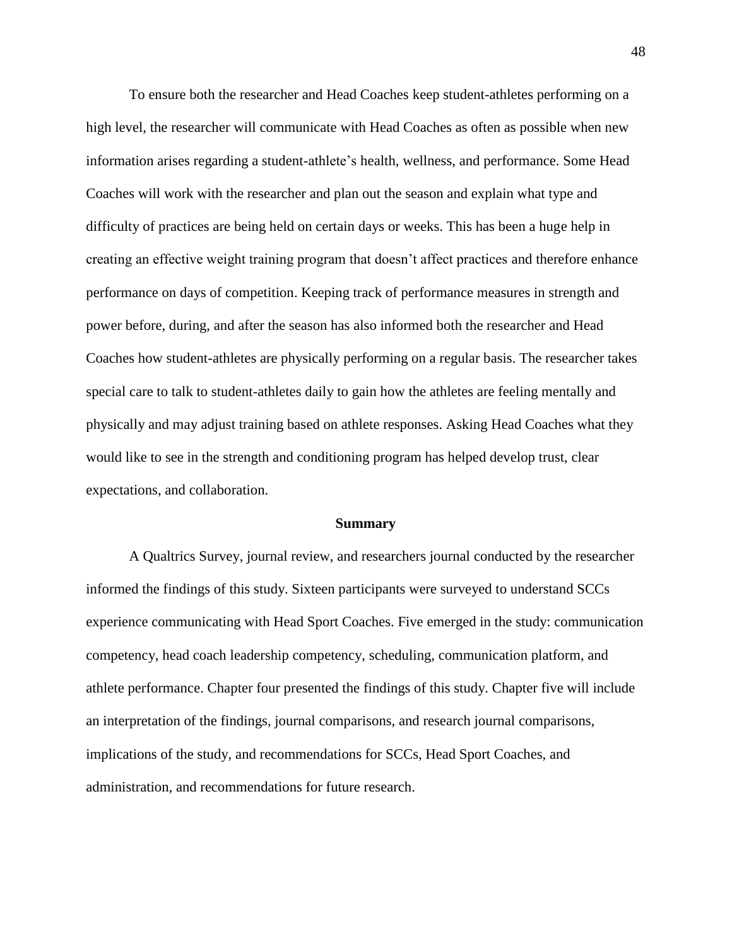To ensure both the researcher and Head Coaches keep student-athletes performing on a high level, the researcher will communicate with Head Coaches as often as possible when new information arises regarding a student-athlete's health, wellness, and performance. Some Head Coaches will work with the researcher and plan out the season and explain what type and difficulty of practices are being held on certain days or weeks. This has been a huge help in creating an effective weight training program that doesn't affect practices and therefore enhance performance on days of competition. Keeping track of performance measures in strength and power before, during, and after the season has also informed both the researcher and Head Coaches how student-athletes are physically performing on a regular basis. The researcher takes special care to talk to student-athletes daily to gain how the athletes are feeling mentally and physically and may adjust training based on athlete responses. Asking Head Coaches what they would like to see in the strength and conditioning program has helped develop trust, clear expectations, and collaboration.

#### **Summary**

A Qualtrics Survey, journal review, and researchers journal conducted by the researcher informed the findings of this study. Sixteen participants were surveyed to understand SCCs experience communicating with Head Sport Coaches. Five emerged in the study: communication competency, head coach leadership competency, scheduling, communication platform, and athlete performance. Chapter four presented the findings of this study. Chapter five will include an interpretation of the findings, journal comparisons, and research journal comparisons, implications of the study, and recommendations for SCCs, Head Sport Coaches, and administration, and recommendations for future research.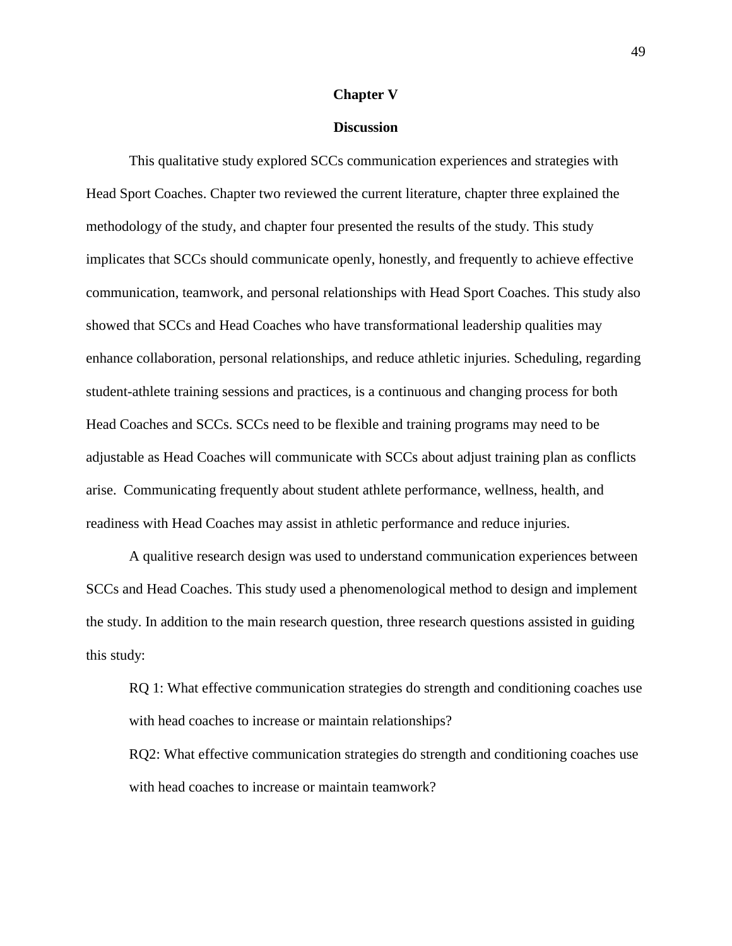#### **Chapter V**

#### **Discussion**

This qualitative study explored SCCs communication experiences and strategies with Head Sport Coaches. Chapter two reviewed the current literature, chapter three explained the methodology of the study, and chapter four presented the results of the study. This study implicates that SCCs should communicate openly, honestly, and frequently to achieve effective communication, teamwork, and personal relationships with Head Sport Coaches. This study also showed that SCCs and Head Coaches who have transformational leadership qualities may enhance collaboration, personal relationships, and reduce athletic injuries. Scheduling, regarding student-athlete training sessions and practices, is a continuous and changing process for both Head Coaches and SCCs. SCCs need to be flexible and training programs may need to be adjustable as Head Coaches will communicate with SCCs about adjust training plan as conflicts arise. Communicating frequently about student athlete performance, wellness, health, and readiness with Head Coaches may assist in athletic performance and reduce injuries.

A qualitive research design was used to understand communication experiences between SCCs and Head Coaches. This study used a phenomenological method to design and implement the study. In addition to the main research question, three research questions assisted in guiding this study:

RQ 1: What effective communication strategies do strength and conditioning coaches use with head coaches to increase or maintain relationships?

RQ2: What effective communication strategies do strength and conditioning coaches use with head coaches to increase or maintain teamwork?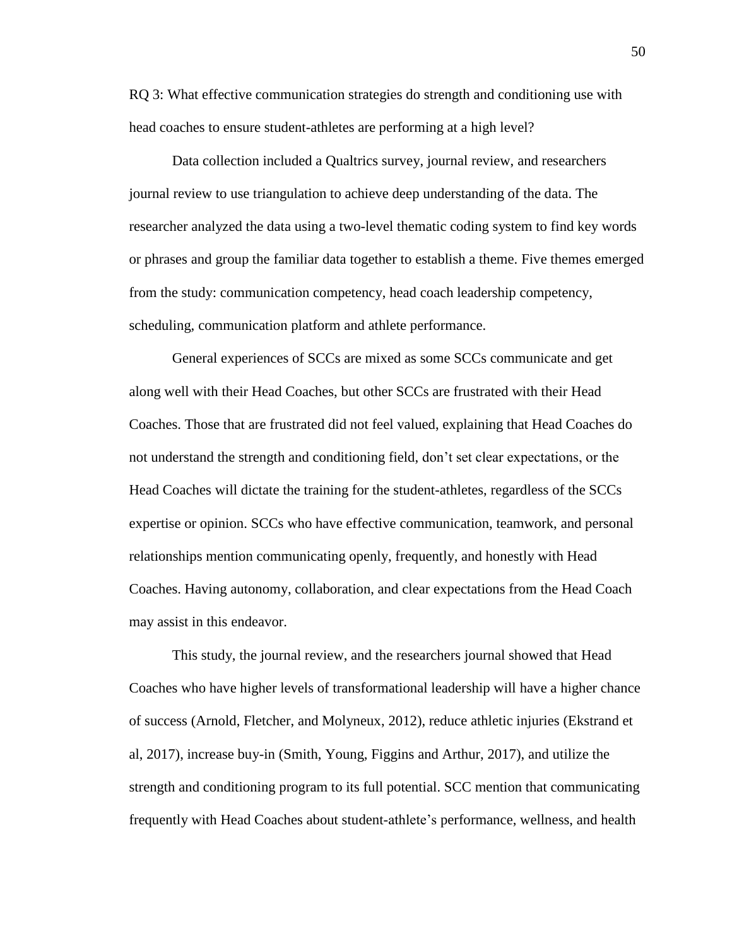RQ 3: What effective communication strategies do strength and conditioning use with head coaches to ensure student-athletes are performing at a high level?

Data collection included a Qualtrics survey, journal review, and researchers journal review to use triangulation to achieve deep understanding of the data. The researcher analyzed the data using a two-level thematic coding system to find key words or phrases and group the familiar data together to establish a theme. Five themes emerged from the study: communication competency, head coach leadership competency, scheduling, communication platform and athlete performance.

General experiences of SCCs are mixed as some SCCs communicate and get along well with their Head Coaches, but other SCCs are frustrated with their Head Coaches. Those that are frustrated did not feel valued, explaining that Head Coaches do not understand the strength and conditioning field, don't set clear expectations, or the Head Coaches will dictate the training for the student-athletes, regardless of the SCCs expertise or opinion. SCCs who have effective communication, teamwork, and personal relationships mention communicating openly, frequently, and honestly with Head Coaches. Having autonomy, collaboration, and clear expectations from the Head Coach may assist in this endeavor.

This study, the journal review, and the researchers journal showed that Head Coaches who have higher levels of transformational leadership will have a higher chance of success (Arnold, Fletcher, and Molyneux, 2012), reduce athletic injuries (Ekstrand et al, 2017), increase buy-in (Smith, Young, Figgins and Arthur, 2017), and utilize the strength and conditioning program to its full potential. SCC mention that communicating frequently with Head Coaches about student-athlete's performance, wellness, and health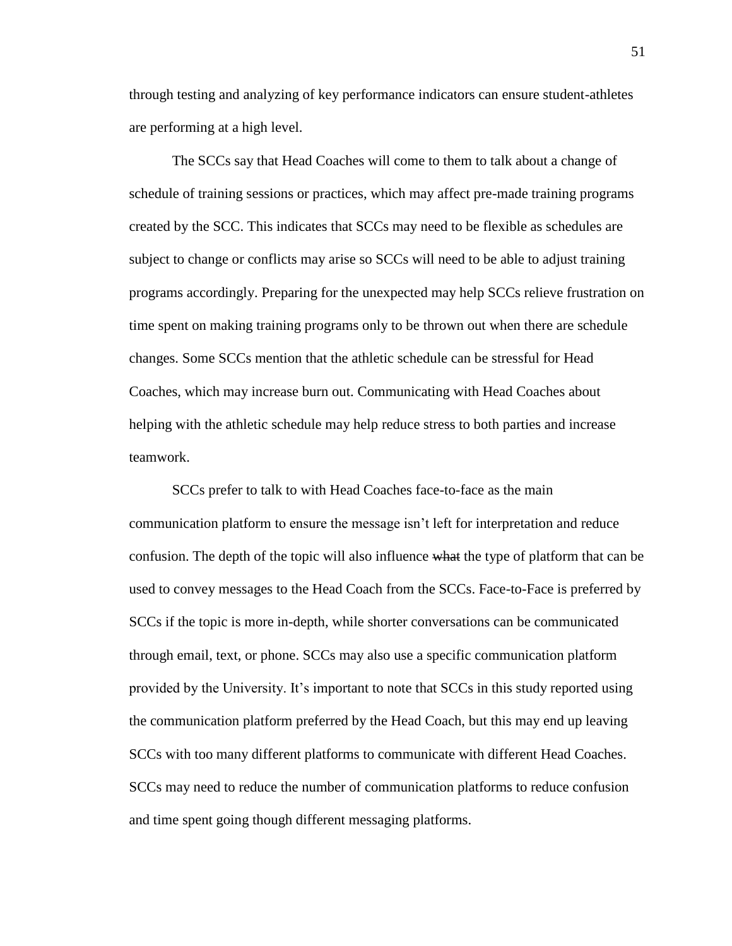through testing and analyzing of key performance indicators can ensure student-athletes are performing at a high level.

The SCCs say that Head Coaches will come to them to talk about a change of schedule of training sessions or practices, which may affect pre-made training programs created by the SCC. This indicates that SCCs may need to be flexible as schedules are subject to change or conflicts may arise so SCCs will need to be able to adjust training programs accordingly. Preparing for the unexpected may help SCCs relieve frustration on time spent on making training programs only to be thrown out when there are schedule changes. Some SCCs mention that the athletic schedule can be stressful for Head Coaches, which may increase burn out. Communicating with Head Coaches about helping with the athletic schedule may help reduce stress to both parties and increase teamwork.

SCCs prefer to talk to with Head Coaches face-to-face as the main communication platform to ensure the message isn't left for interpretation and reduce confusion. The depth of the topic will also influence what the type of platform that can be used to convey messages to the Head Coach from the SCCs. Face-to-Face is preferred by SCCs if the topic is more in-depth, while shorter conversations can be communicated through email, text, or phone. SCCs may also use a specific communication platform provided by the University. It's important to note that SCCs in this study reported using the communication platform preferred by the Head Coach, but this may end up leaving SCCs with too many different platforms to communicate with different Head Coaches. SCCs may need to reduce the number of communication platforms to reduce confusion and time spent going though different messaging platforms.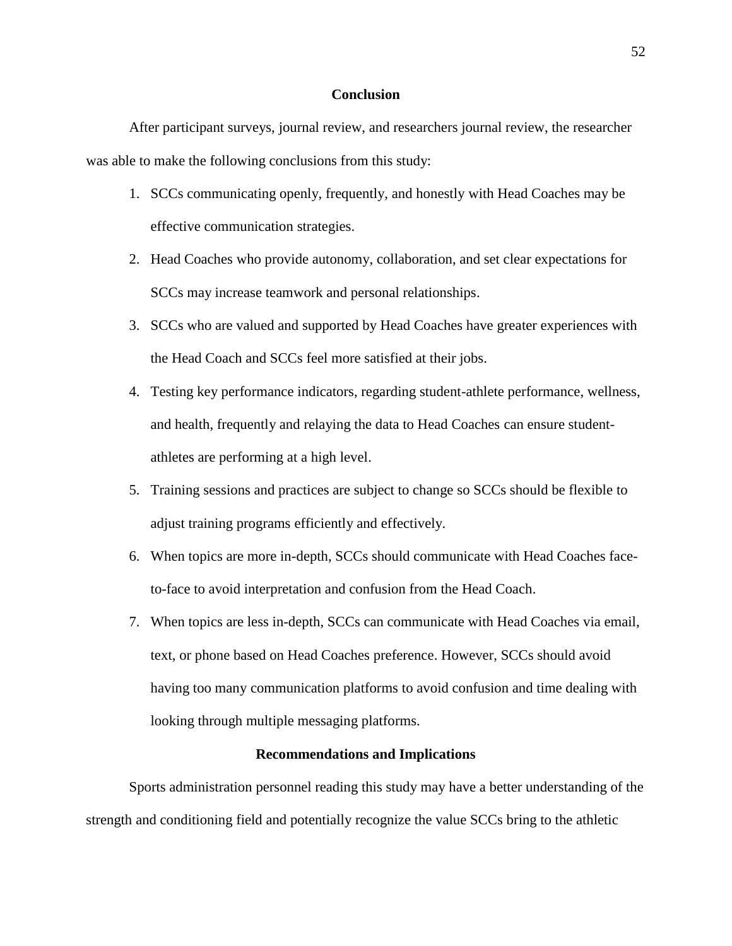#### **Conclusion**

After participant surveys, journal review, and researchers journal review, the researcher was able to make the following conclusions from this study:

- 1. SCCs communicating openly, frequently, and honestly with Head Coaches may be effective communication strategies.
- 2. Head Coaches who provide autonomy, collaboration, and set clear expectations for SCCs may increase teamwork and personal relationships.
- 3. SCCs who are valued and supported by Head Coaches have greater experiences with the Head Coach and SCCs feel more satisfied at their jobs.
- 4. Testing key performance indicators, regarding student-athlete performance, wellness, and health, frequently and relaying the data to Head Coaches can ensure studentathletes are performing at a high level.
- 5. Training sessions and practices are subject to change so SCCs should be flexible to adjust training programs efficiently and effectively.
- 6. When topics are more in-depth, SCCs should communicate with Head Coaches faceto-face to avoid interpretation and confusion from the Head Coach.
- 7. When topics are less in-depth, SCCs can communicate with Head Coaches via email, text, or phone based on Head Coaches preference. However, SCCs should avoid having too many communication platforms to avoid confusion and time dealing with looking through multiple messaging platforms.

#### **Recommendations and Implications**

Sports administration personnel reading this study may have a better understanding of the strength and conditioning field and potentially recognize the value SCCs bring to the athletic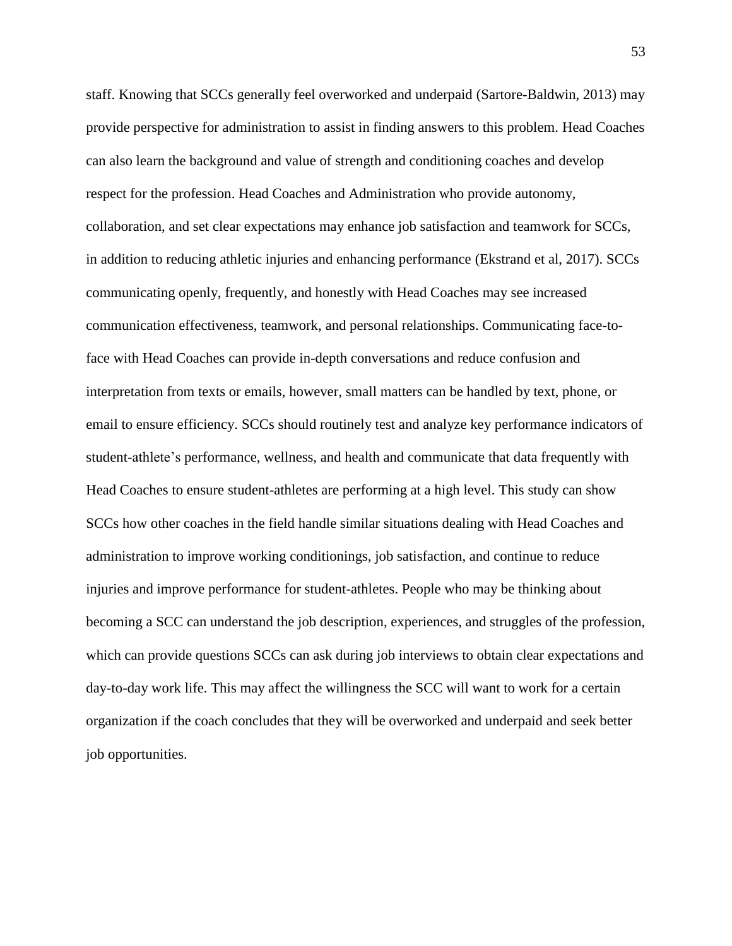staff. Knowing that SCCs generally feel overworked and underpaid (Sartore-Baldwin, 2013) may provide perspective for administration to assist in finding answers to this problem. Head Coaches can also learn the background and value of strength and conditioning coaches and develop respect for the profession. Head Coaches and Administration who provide autonomy, collaboration, and set clear expectations may enhance job satisfaction and teamwork for SCCs, in addition to reducing athletic injuries and enhancing performance (Ekstrand et al, 2017). SCCs communicating openly, frequently, and honestly with Head Coaches may see increased communication effectiveness, teamwork, and personal relationships. Communicating face-toface with Head Coaches can provide in-depth conversations and reduce confusion and interpretation from texts or emails, however, small matters can be handled by text, phone, or email to ensure efficiency. SCCs should routinely test and analyze key performance indicators of student-athlete's performance, wellness, and health and communicate that data frequently with Head Coaches to ensure student-athletes are performing at a high level. This study can show SCCs how other coaches in the field handle similar situations dealing with Head Coaches and administration to improve working conditionings, job satisfaction, and continue to reduce injuries and improve performance for student-athletes. People who may be thinking about becoming a SCC can understand the job description, experiences, and struggles of the profession, which can provide questions SCCs can ask during job interviews to obtain clear expectations and day-to-day work life. This may affect the willingness the SCC will want to work for a certain organization if the coach concludes that they will be overworked and underpaid and seek better job opportunities.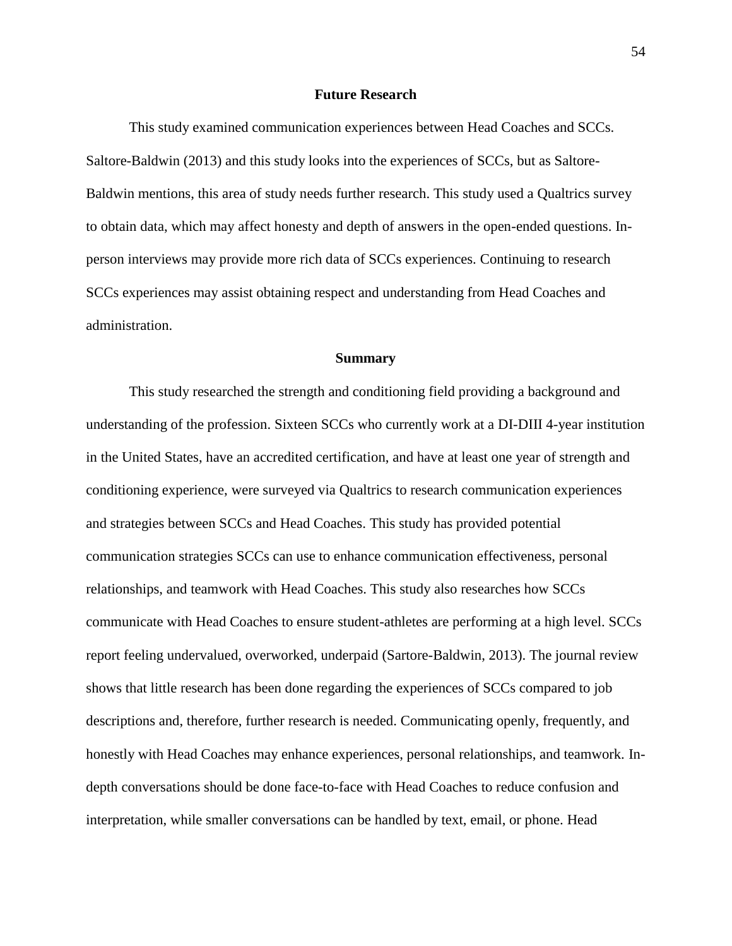#### **Future Research**

This study examined communication experiences between Head Coaches and SCCs. Saltore-Baldwin (2013) and this study looks into the experiences of SCCs, but as Saltore-Baldwin mentions, this area of study needs further research. This study used a Qualtrics survey to obtain data, which may affect honesty and depth of answers in the open-ended questions. Inperson interviews may provide more rich data of SCCs experiences. Continuing to research SCCs experiences may assist obtaining respect and understanding from Head Coaches and administration.

#### **Summary**

This study researched the strength and conditioning field providing a background and understanding of the profession. Sixteen SCCs who currently work at a DI-DIII 4-year institution in the United States, have an accredited certification, and have at least one year of strength and conditioning experience, were surveyed via Qualtrics to research communication experiences and strategies between SCCs and Head Coaches. This study has provided potential communication strategies SCCs can use to enhance communication effectiveness, personal relationships, and teamwork with Head Coaches. This study also researches how SCCs communicate with Head Coaches to ensure student-athletes are performing at a high level. SCCs report feeling undervalued, overworked, underpaid (Sartore-Baldwin, 2013). The journal review shows that little research has been done regarding the experiences of SCCs compared to job descriptions and, therefore, further research is needed. Communicating openly, frequently, and honestly with Head Coaches may enhance experiences, personal relationships, and teamwork. Indepth conversations should be done face-to-face with Head Coaches to reduce confusion and interpretation, while smaller conversations can be handled by text, email, or phone. Head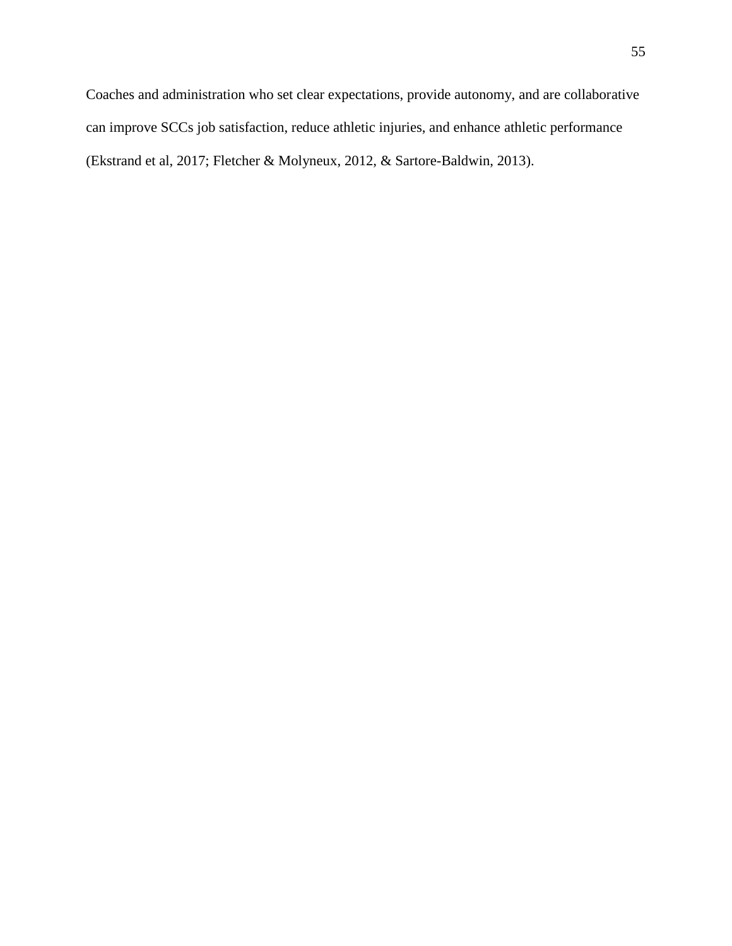Coaches and administration who set clear expectations, provide autonomy, and are collaborative can improve SCCs job satisfaction, reduce athletic injuries, and enhance athletic performance (Ekstrand et al, 2017; Fletcher & Molyneux, 2012, & Sartore-Baldwin, 2013).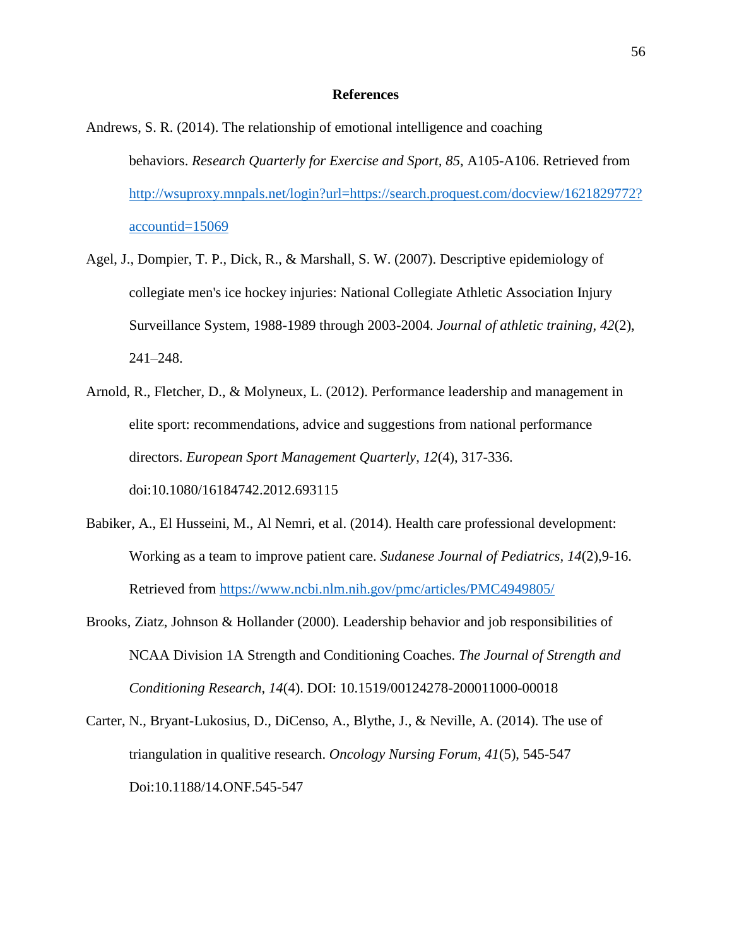#### **References**

- Andrews, S. R. (2014). The relationship of emotional intelligence and coaching behaviors. *Research Quarterly for Exercise and Sport, 85*, A105-A106. Retrieved from [http://wsuproxy.mnpals.net/login?url=https://search.proquest.com/docview/1621829772?](http://wsuproxy.mnpals.net/login?url=https://search.proquest.com/docview/1621829772?accountid=15069) [accountid=15069](http://wsuproxy.mnpals.net/login?url=https://search.proquest.com/docview/1621829772?accountid=15069)
- Agel, J., Dompier, T. P., Dick, R., & Marshall, S. W. (2007). Descriptive epidemiology of collegiate men's ice hockey injuries: National Collegiate Athletic Association Injury Surveillance System, 1988-1989 through 2003-2004. *Journal of athletic training*, *42*(2), 241–248.
- Arnold, R., Fletcher, D., & Molyneux, L. (2012). Performance leadership and management in elite sport: recommendations, advice and suggestions from national performance directors. *European Sport Management Quarterly, 12*(4), 317-336. doi:10.1080/16184742.2012.693115
- Babiker, A., El Husseini, M., Al Nemri, et al. (2014). Health care professional development: Working as a team to improve patient care. *Sudanese Journal of Pediatrics, 14*(2),9-16. Retrieved from<https://www.ncbi.nlm.nih.gov/pmc/articles/PMC4949805/>
- Brooks, Ziatz, Johnson & Hollander (2000). Leadership behavior and job responsibilities of NCAA Division 1A Strength and Conditioning Coaches. *The Journal of Strength and Conditioning Research, 14*(4). DOI: 10.1519/00124278-200011000-00018
- Carter, N., Bryant-Lukosius, D., DiCenso, A., Blythe, J., & Neville, A. (2014). The use of triangulation in qualitive research. *Oncology Nursing Forum, 41*(5), 545-547 Doi:10.1188/14.ONF.545-547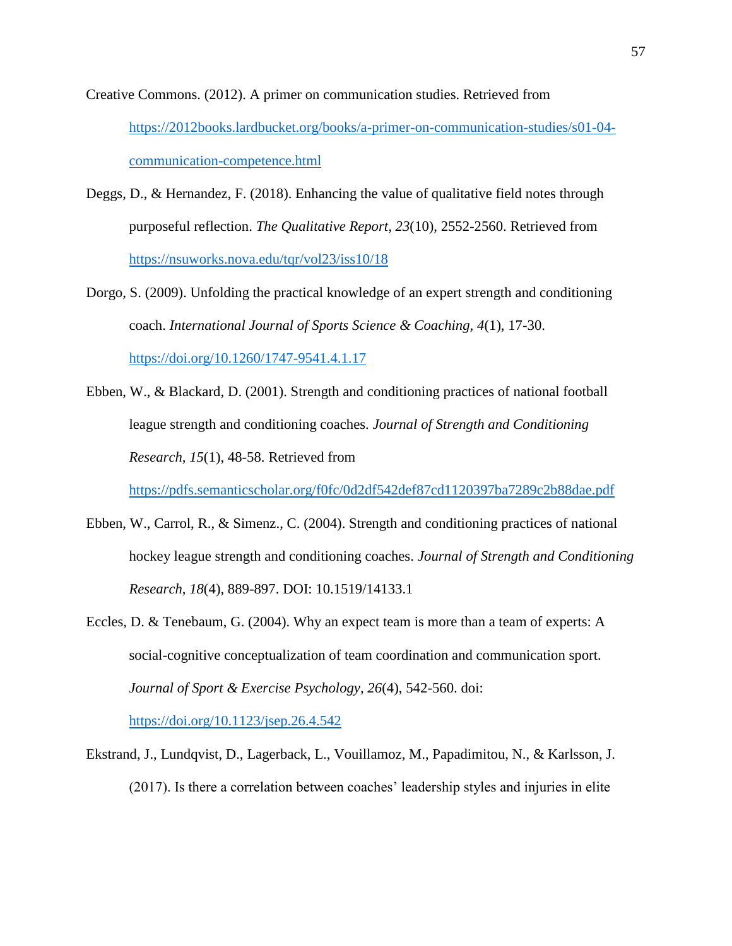Creative Commons. (2012). A primer on communication studies. Retrieved from [https://2012books.lardbucket.org/books/a-primer-on-communication-studies/s01-04](https://2012books.lardbucket.org/books/a-primer-on-communication-studies/s01-04-communication-competence.html) [communication-competence.html](https://2012books.lardbucket.org/books/a-primer-on-communication-studies/s01-04-communication-competence.html)

- Deggs, D., & Hernandez, F. (2018). Enhancing the value of qualitative field notes through purposeful reflection. *The Qualitative Report, 23*(10), 2552-2560. Retrieved from <https://nsuworks.nova.edu/tqr/vol23/iss10/18>
- Dorgo, S. (2009). Unfolding the practical knowledge of an expert strength and conditioning coach. *International Journal of Sports Science & Coaching, 4*(1), 17-30. <https://doi.org/10.1260/1747-9541.4.1.17>
- Ebben, W., & Blackard, D. (2001). Strength and conditioning practices of national football league strength and conditioning coaches. *Journal of Strength and Conditioning Research, 15*(1), 48-58. Retrieved from

<https://pdfs.semanticscholar.org/f0fc/0d2df542def87cd1120397ba7289c2b88dae.pdf>

- Ebben, W., Carrol, R., & Simenz., C. (2004). Strength and conditioning practices of national hockey league strength and conditioning coaches. *Journal of Strength and Conditioning Research, 18*(4), 889-897. DOI: 10.1519/14133.1
- Eccles, D. & Tenebaum, G. (2004). Why an expect team is more than a team of experts: A social-cognitive conceptualization of team coordination and communication sport. *Journal of Sport & Exercise Psychology, 26*(4), 542-560. doi: <https://doi.org/10.1123/jsep.26.4.542>
- Ekstrand, J., Lundqvist, D., Lagerback, L., Vouillamoz, M., Papadimitou, N., & Karlsson, J. (2017). Is there a correlation between coaches' leadership styles and injuries in elite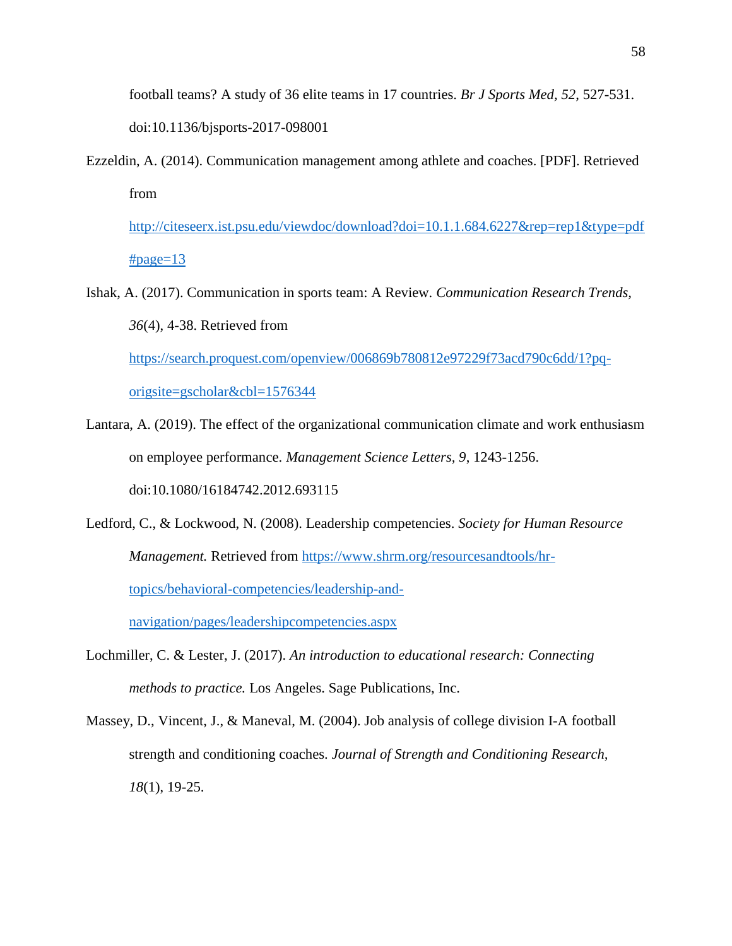football teams? A study of 36 elite teams in 17 countries. *Br J Sports Med, 52*, 527-531. doi:10.1136/bjsports-2017-098001

Ezzeldin, A. (2014). Communication management among athlete and coaches. [PDF]. Retrieved from

[http://citeseerx.ist.psu.edu/viewdoc/download?doi=10.1.1.684.6227&rep=rep1&type=pdf](http://citeseerx.ist.psu.edu/viewdoc/download?doi=10.1.1.684.6227&rep=rep1&type=pdf#page=13)  $\#page=13$  $\#page=13$ 

Ishak, A. (2017). Communication in sports team: A Review. *Communication Research Trends, 36*(4), 4-38. Retrieved from [https://search.proquest.com/openview/006869b780812e97229f73acd790c6dd/1?pq-](https://search.proquest.com/openview/006869b780812e97229f73acd790c6dd/1?pq-origsite=gscholar&cbl=1576344)

[origsite=gscholar&cbl=1576344](https://search.proquest.com/openview/006869b780812e97229f73acd790c6dd/1?pq-origsite=gscholar&cbl=1576344)

- Lantara, A. (2019). The effect of the organizational communication climate and work enthusiasm on employee performance. *Management Science Letters, 9*, 1243-1256. doi:10.1080/16184742.2012.693115
- Ledford, C., & Lockwood, N. (2008). Leadership competencies. *Society for Human Resource Management.* Retrieved from [https://www.shrm.org/resourcesandtools/hr](https://www.shrm.org/resourcesandtools/hr-topics/behavioral-competencies/leadership-and-navigation/pages/leadershipcompetencies.aspx)[topics/behavioral-competencies/leadership-and-](https://www.shrm.org/resourcesandtools/hr-topics/behavioral-competencies/leadership-and-navigation/pages/leadershipcompetencies.aspx)

[navigation/pages/leadershipcompetencies.aspx](https://www.shrm.org/resourcesandtools/hr-topics/behavioral-competencies/leadership-and-navigation/pages/leadershipcompetencies.aspx)

- Lochmiller, C. & Lester, J. (2017). *An introduction to educational research: Connecting methods to practice.* Los Angeles. Sage Publications, Inc.
- Massey, D., Vincent, J., & Maneval, M. (2004). Job analysis of college division I-A football strength and conditioning coaches. *Journal of Strength and Conditioning Research, 18*(1), 19-25.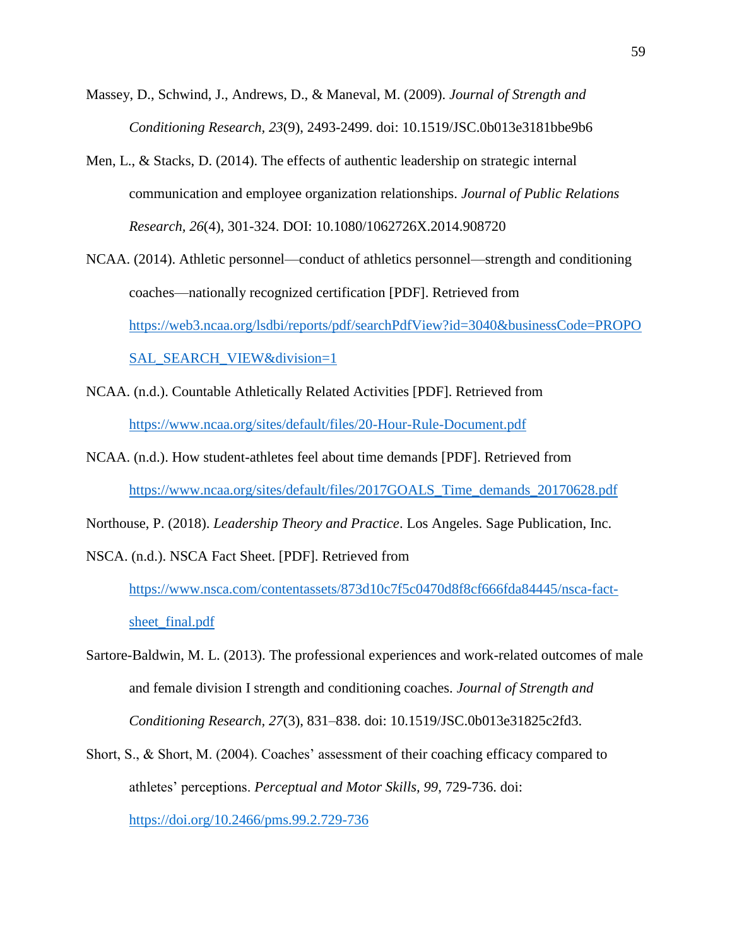- Massey, D., Schwind, J., Andrews, D., & Maneval, M. (2009). *Journal of Strength and Conditioning Research, 23*(9), 2493-2499. doi: 10.1519/JSC.0b013e3181bbe9b6
- Men, L., & Stacks, D. (2014). The effects of authentic leadership on strategic internal communication and employee organization relationships. *Journal of Public Relations Research, 26*(4), 301-324. DOI: 10.1080/1062726X.2014.908720
- NCAA. (2014). Athletic personnel—conduct of athletics personnel—strength and conditioning coaches—nationally recognized certification [PDF]. Retrieved from [https://web3.ncaa.org/lsdbi/reports/pdf/searchPdfView?id=3040&businessCode=PROPO](https://web3.ncaa.org/lsdbi/reports/pdf/searchPdfView?id=3040&businessCode=PROPOSAL_SEARCH_VIEW&division=1) [SAL\\_SEARCH\\_VIEW&division=1](https://web3.ncaa.org/lsdbi/reports/pdf/searchPdfView?id=3040&businessCode=PROPOSAL_SEARCH_VIEW&division=1)
- NCAA. (n.d.). Countable Athletically Related Activities [PDF]. Retrieved from <https://www.ncaa.org/sites/default/files/20-Hour-Rule-Document.pdf>
- NCAA. (n.d.). How student-athletes feel about time demands [PDF]. Retrieved from [https://www.ncaa.org/sites/default/files/2017GOALS\\_Time\\_demands\\_20170628.pdf](https://www.ncaa.org/sites/default/files/2017GOALS_Time_demands_20170628.pdf)
- Northouse, P. (2018). *Leadership Theory and Practice*. Los Angeles. Sage Publication, Inc.
- NSCA. (n.d.). NSCA Fact Sheet. [PDF]. Retrieved from

[https://www.nsca.com/contentassets/873d10c7f5c0470d8f8cf666fda84445/nsca-fact](https://www.nsca.com/contentassets/873d10c7f5c0470d8f8cf666fda84445/nsca-fact-sheet_final.pdf)sheet final.pdf

- Sartore-Baldwin, M. L. (2013). The professional experiences and work-related outcomes of male and female division I strength and conditioning coaches. *Journal of Strength and Conditioning Research, 27*(3), 831–838. doi: 10.1519/JSC.0b013e31825c2fd3.
- Short, S., & Short, M. (2004). Coaches' assessment of their coaching efficacy compared to athletes' perceptions. *Perceptual and Motor Skills, 99*, 729-736. doi: [https://doi.org/10.2466/pms.99.2.729-736](https://doi.org/10.2466%2Fpms.99.2.729-736)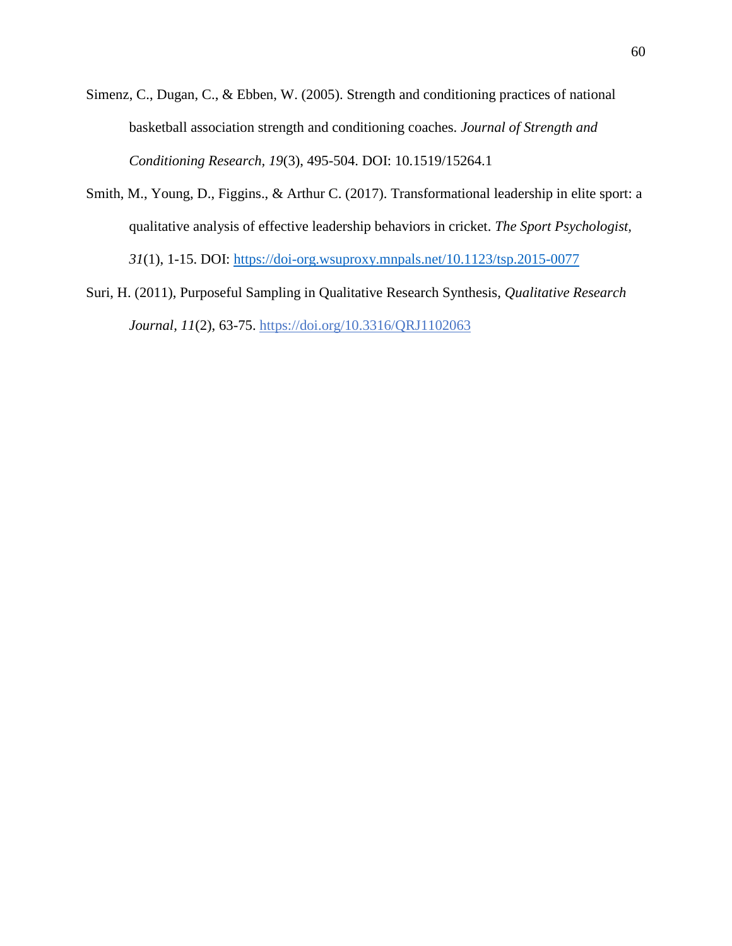- Simenz, C., Dugan, C., & Ebben, W. (2005). Strength and conditioning practices of national basketball association strength and conditioning coaches. *Journal of Strength and Conditioning Research, 19*(3), 495-504. DOI: 10.1519/15264.1
- Smith, M., Young, D., Figgins., & Arthur C. (2017). Transformational leadership in elite sport: a qualitative analysis of effective leadership behaviors in cricket. *The Sport Psychologist, 31*(1), 1-15. DOI:<https://doi-org.wsuproxy.mnpals.net/10.1123/tsp.2015-0077>
- [Suri, H.](https://www.emerald.com/insight/search?q=Harsh%20Suri) (2011), Purposeful Sampling in Qualitative Research Synthesis, *[Qualitative Research](https://www.emerald.com/insight/publication/issn/1443-9883)  [Journal,](https://www.emerald.com/insight/publication/issn/1443-9883) 11*(2), 63-75. <https://doi.org/10.3316/QRJ1102063>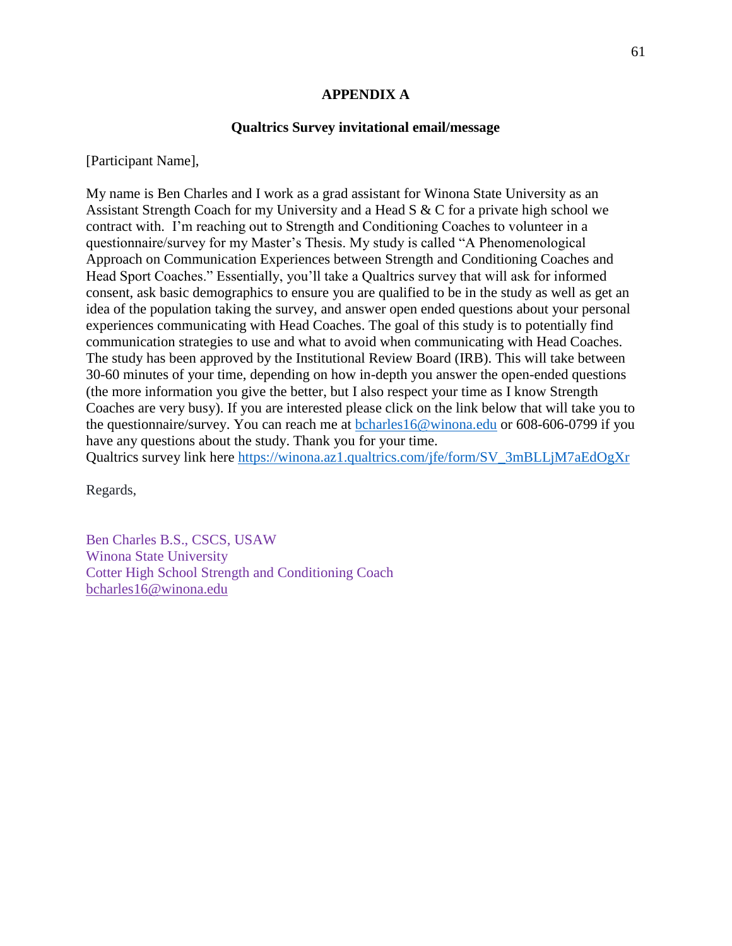## **APPENDIX A**

#### **Qualtrics Survey invitational email/message**

[Participant Name],

My name is Ben Charles and I work as a grad assistant for Winona State University as an Assistant Strength Coach for my University and a Head S & C for a private high school we contract with. I'm reaching out to Strength and Conditioning Coaches to volunteer in a questionnaire/survey for my Master's Thesis. My study is called "A Phenomenological Approach on Communication Experiences between Strength and Conditioning Coaches and Head Sport Coaches." Essentially, you'll take a Qualtrics survey that will ask for informed consent, ask basic demographics to ensure you are qualified to be in the study as well as get an idea of the population taking the survey, and answer open ended questions about your personal experiences communicating with Head Coaches. The goal of this study is to potentially find communication strategies to use and what to avoid when communicating with Head Coaches. The study has been approved by the Institutional Review Board (IRB). This will take between 30-60 minutes of your time, depending on how in-depth you answer the open-ended questions (the more information you give the better, but I also respect your time as I know Strength Coaches are very busy). If you are interested please click on the link below that will take you to the questionnaire/survey. You can reach me at [bcharles16@winona.edu](mailto:bcharles16@winona.edu) or 608-606-0799 if you have any questions about the study. Thank you for your time.

Qualtrics survey link here [https://winona.az1.qualtrics.com/jfe/form/SV\\_3mBLLjM7aEdOgXr](https://winona.az1.qualtrics.com/jfe/form/SV_3mBLLjM7aEdOgXr)

Regards,

Ben Charles B.S., CSCS, USAW Winona State University Cotter High School Strength and Conditioning Coach [bcharles16@winona.edu](mailto:bcharles16@winona.edu)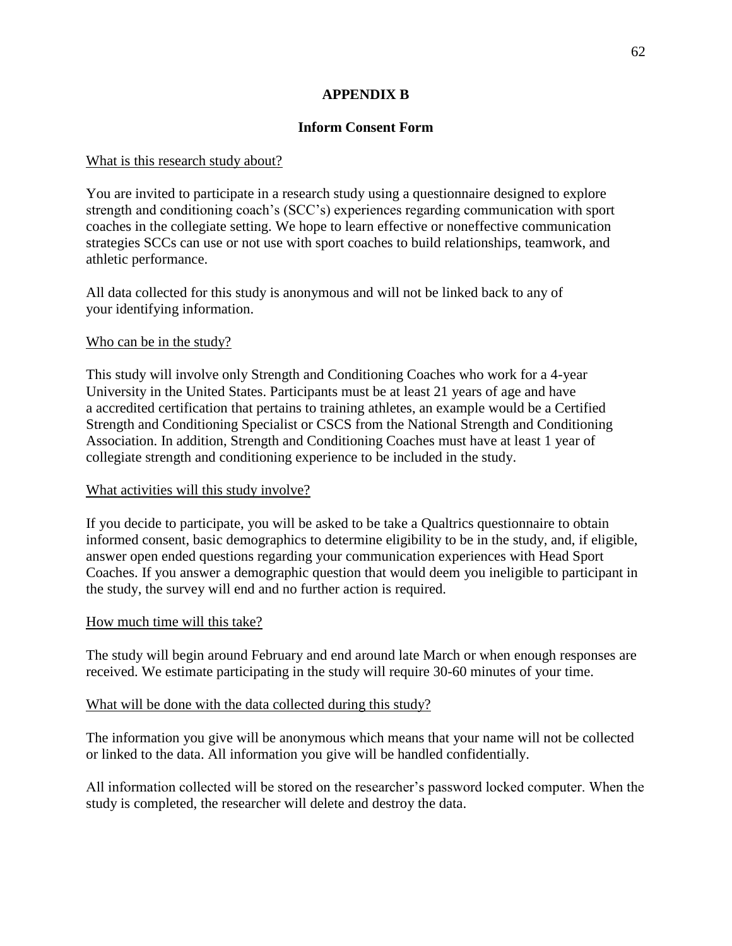# **APPENDIX B**

# **Inform Consent Form**

## What is this research study about?

You are invited to participate in a research study using a questionnaire designed to explore strength and conditioning coach's (SCC's) experiences regarding communication with sport coaches in the collegiate setting. We hope to learn effective or noneffective communication strategies SCCs can use or not use with sport coaches to build relationships, teamwork, and athletic performance.

All data collected for this study is anonymous and will not be linked back to any of your identifying information.

# Who can be in the study?

This study will involve only Strength and Conditioning Coaches who work for a 4-year University in the United States. Participants must be at least 21 years of age and have a accredited certification that pertains to training athletes, an example would be a Certified Strength and Conditioning Specialist or CSCS from the National Strength and Conditioning Association. In addition, Strength and Conditioning Coaches must have at least 1 year of collegiate strength and conditioning experience to be included in the study.

# What activities will this study involve?

If you decide to participate, you will be asked to be take a Qualtrics questionnaire to obtain informed consent, basic demographics to determine eligibility to be in the study, and, if eligible, answer open ended questions regarding your communication experiences with Head Sport Coaches. If you answer a demographic question that would deem you ineligible to participant in the study, the survey will end and no further action is required.

#### How much time will this take?

The study will begin around February and end around late March or when enough responses are received. We estimate participating in the study will require 30-60 minutes of your time.

#### What will be done with the data collected during this study?

The information you give will be anonymous which means that your name will not be collected or linked to the data. All information you give will be handled confidentially.

All information collected will be stored on the researcher's password locked computer. When the study is completed, the researcher will delete and destroy the data.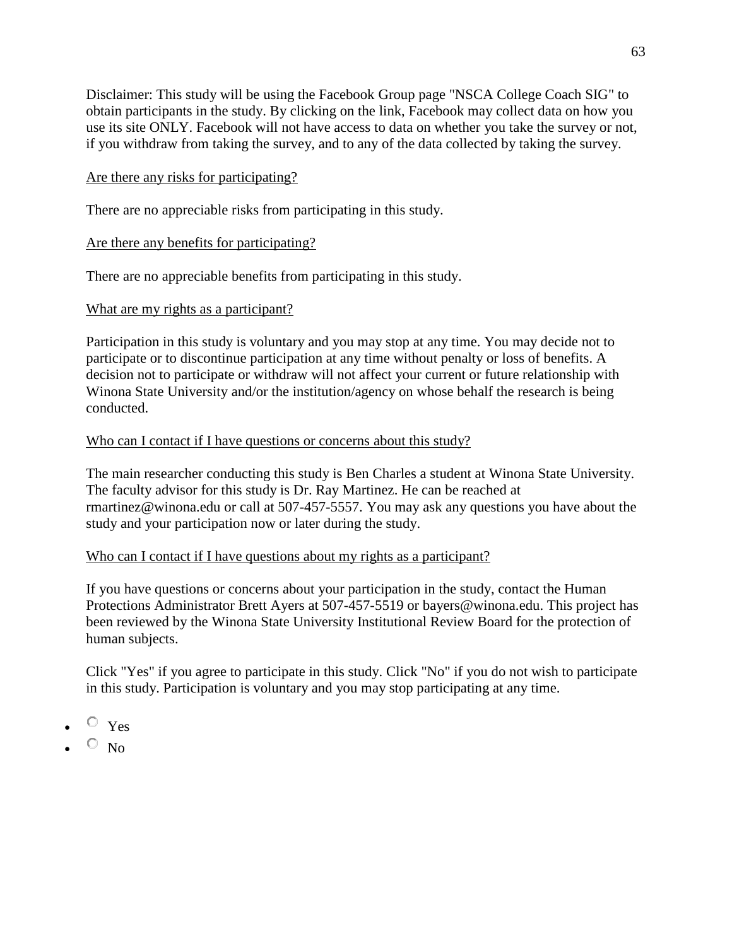Disclaimer: This study will be using the Facebook Group page "NSCA College Coach SIG" to obtain participants in the study. By clicking on the link, Facebook may collect data on how you use its site ONLY. Facebook will not have access to data on whether you take the survey or not, if you withdraw from taking the survey, and to any of the data collected by taking the survey.

# Are there any risks for participating?

There are no appreciable risks from participating in this study.

# Are there any benefits for participating?

There are no appreciable benefits from participating in this study.

# What are my rights as a participant?

Participation in this study is voluntary and you may stop at any time. You may decide not to participate or to discontinue participation at any time without penalty or loss of benefits. A decision not to participate or withdraw will not affect your current or future relationship with Winona State University and/or the institution/agency on whose behalf the research is being conducted.

# Who can I contact if I have questions or concerns about this study?

The main researcher conducting this study is Ben Charles a student at Winona State University. The faculty advisor for this study is Dr. Ray Martinez. He can be reached at rmartinez@winona.edu or call at 507-457-5557. You may ask any questions you have about the study and your participation now or later during the study.

# Who can I contact if I have questions about my rights as a participant?

If you have questions or concerns about your participation in the study, contact the Human Protections Administrator Brett Ayers at 507-457-5519 or bayers@winona.edu. This project has been reviewed by the Winona State University Institutional Review Board for the protection of human subjects.

Click "Yes" if you agree to participate in this study. Click "No" if you do not wish to participate in this study. Participation is voluntary and you may stop participating at any time.

- $\circ$   $_{\text{Yes}}$
- $\circ$  No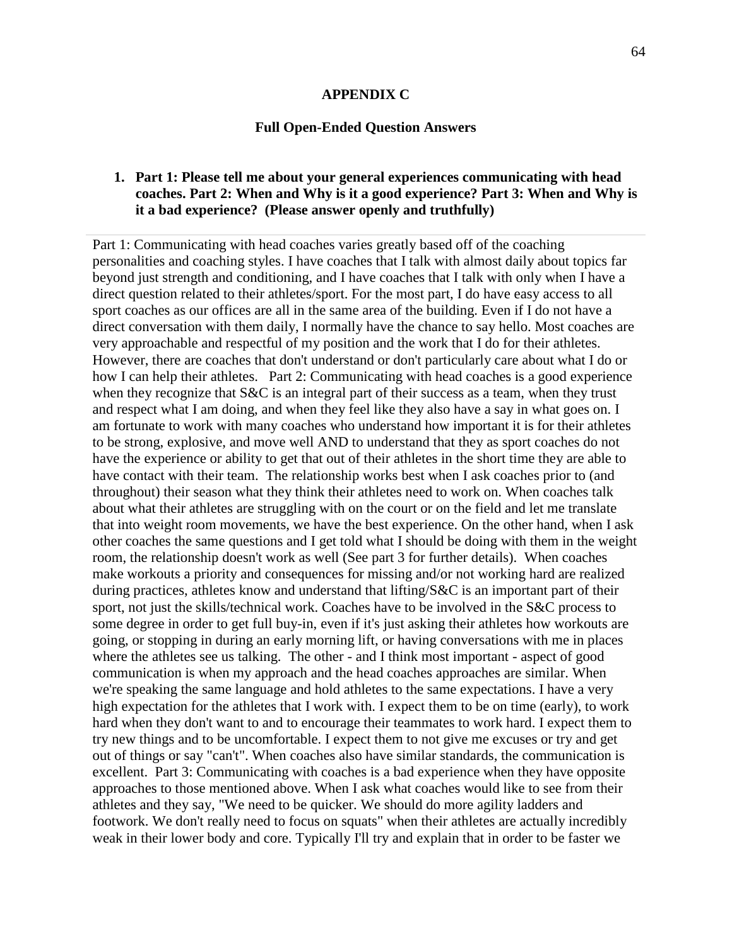#### **APPENDIX C**

#### **Full Open-Ended Question Answers**

# **1. Part 1: Please tell me about your general experiences communicating with head coaches. Part 2: When and Why is it a good experience? Part 3: When and Why is it a bad experience? (Please answer openly and truthfully)**

Part 1: Communicating with head coaches varies greatly based off of the coaching personalities and coaching styles. I have coaches that I talk with almost daily about topics far beyond just strength and conditioning, and I have coaches that I talk with only when I have a direct question related to their athletes/sport. For the most part, I do have easy access to all sport coaches as our offices are all in the same area of the building. Even if I do not have a direct conversation with them daily, I normally have the chance to say hello. Most coaches are very approachable and respectful of my position and the work that I do for their athletes. However, there are coaches that don't understand or don't particularly care about what I do or how I can help their athletes. Part 2: Communicating with head coaches is a good experience when they recognize that S&C is an integral part of their success as a team, when they trust and respect what I am doing, and when they feel like they also have a say in what goes on. I am fortunate to work with many coaches who understand how important it is for their athletes to be strong, explosive, and move well AND to understand that they as sport coaches do not have the experience or ability to get that out of their athletes in the short time they are able to have contact with their team. The relationship works best when I ask coaches prior to (and throughout) their season what they think their athletes need to work on. When coaches talk about what their athletes are struggling with on the court or on the field and let me translate that into weight room movements, we have the best experience. On the other hand, when I ask other coaches the same questions and I get told what I should be doing with them in the weight room, the relationship doesn't work as well (See part 3 for further details). When coaches make workouts a priority and consequences for missing and/or not working hard are realized during practices, athletes know and understand that lifting/S&C is an important part of their sport, not just the skills/technical work. Coaches have to be involved in the S&C process to some degree in order to get full buy-in, even if it's just asking their athletes how workouts are going, or stopping in during an early morning lift, or having conversations with me in places where the athletes see us talking. The other - and I think most important - aspect of good communication is when my approach and the head coaches approaches are similar. When we're speaking the same language and hold athletes to the same expectations. I have a very high expectation for the athletes that I work with. I expect them to be on time (early), to work hard when they don't want to and to encourage their teammates to work hard. I expect them to try new things and to be uncomfortable. I expect them to not give me excuses or try and get out of things or say "can't". When coaches also have similar standards, the communication is excellent. Part 3: Communicating with coaches is a bad experience when they have opposite approaches to those mentioned above. When I ask what coaches would like to see from their athletes and they say, "We need to be quicker. We should do more agility ladders and footwork. We don't really need to focus on squats" when their athletes are actually incredibly weak in their lower body and core. Typically I'll try and explain that in order to be faster we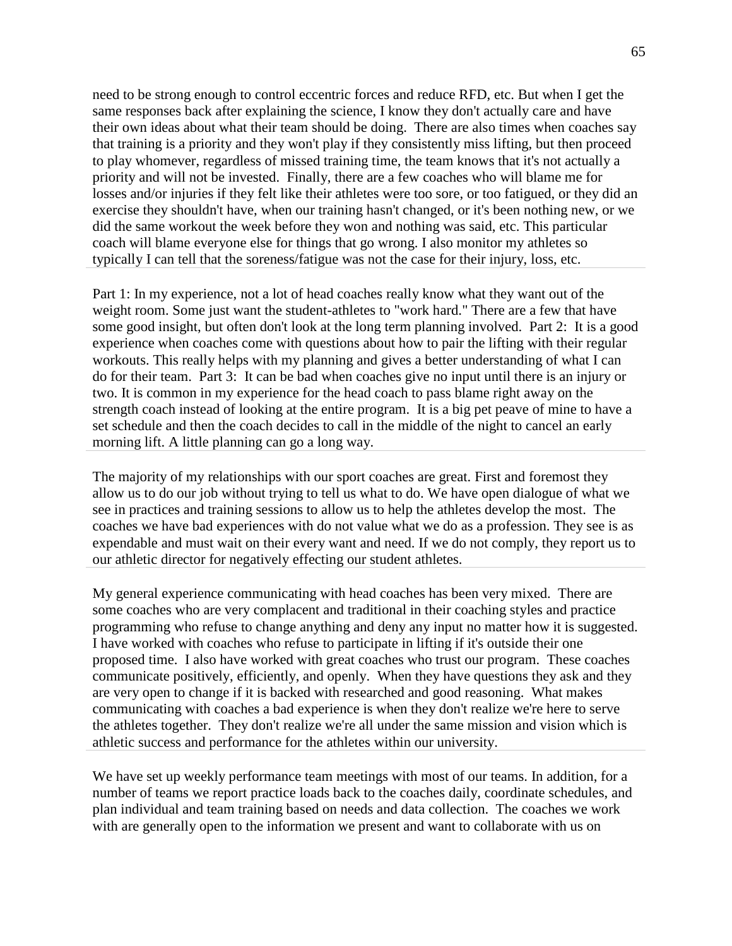need to be strong enough to control eccentric forces and reduce RFD, etc. But when I get the same responses back after explaining the science, I know they don't actually care and have their own ideas about what their team should be doing. There are also times when coaches say that training is a priority and they won't play if they consistently miss lifting, but then proceed to play whomever, regardless of missed training time, the team knows that it's not actually a priority and will not be invested. Finally, there are a few coaches who will blame me for losses and/or injuries if they felt like their athletes were too sore, or too fatigued, or they did an exercise they shouldn't have, when our training hasn't changed, or it's been nothing new, or we did the same workout the week before they won and nothing was said, etc. This particular coach will blame everyone else for things that go wrong. I also monitor my athletes so typically I can tell that the soreness/fatigue was not the case for their injury, loss, etc.

Part 1: In my experience, not a lot of head coaches really know what they want out of the weight room. Some just want the student-athletes to "work hard." There are a few that have some good insight, but often don't look at the long term planning involved. Part 2: It is a good experience when coaches come with questions about how to pair the lifting with their regular workouts. This really helps with my planning and gives a better understanding of what I can do for their team. Part 3: It can be bad when coaches give no input until there is an injury or two. It is common in my experience for the head coach to pass blame right away on the strength coach instead of looking at the entire program. It is a big pet peave of mine to have a set schedule and then the coach decides to call in the middle of the night to cancel an early morning lift. A little planning can go a long way.

The majority of my relationships with our sport coaches are great. First and foremost they allow us to do our job without trying to tell us what to do. We have open dialogue of what we see in practices and training sessions to allow us to help the athletes develop the most. The coaches we have bad experiences with do not value what we do as a profession. They see is as expendable and must wait on their every want and need. If we do not comply, they report us to our athletic director for negatively effecting our student athletes.

My general experience communicating with head coaches has been very mixed. There are some coaches who are very complacent and traditional in their coaching styles and practice programming who refuse to change anything and deny any input no matter how it is suggested. I have worked with coaches who refuse to participate in lifting if it's outside their one proposed time. I also have worked with great coaches who trust our program. These coaches communicate positively, efficiently, and openly. When they have questions they ask and they are very open to change if it is backed with researched and good reasoning. What makes communicating with coaches a bad experience is when they don't realize we're here to serve the athletes together. They don't realize we're all under the same mission and vision which is athletic success and performance for the athletes within our university.

We have set up weekly performance team meetings with most of our teams. In addition, for a number of teams we report practice loads back to the coaches daily, coordinate schedules, and plan individual and team training based on needs and data collection. The coaches we work with are generally open to the information we present and want to collaborate with us on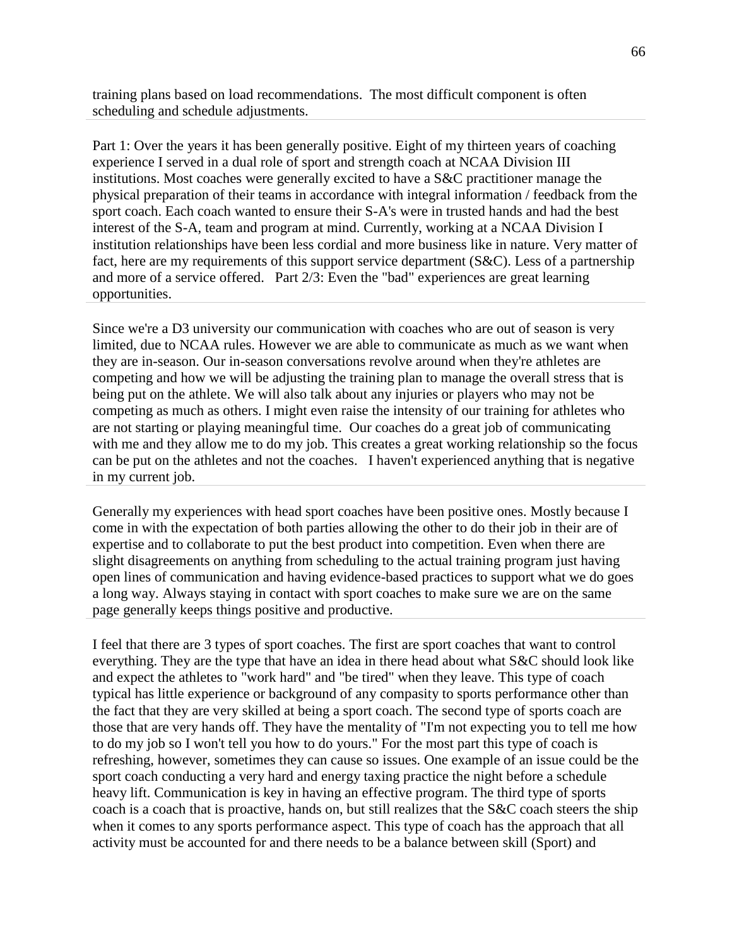training plans based on load recommendations. The most difficult component is often scheduling and schedule adjustments.

Part 1: Over the years it has been generally positive. Eight of my thirteen years of coaching experience I served in a dual role of sport and strength coach at NCAA Division III institutions. Most coaches were generally excited to have a S&C practitioner manage the physical preparation of their teams in accordance with integral information / feedback from the sport coach. Each coach wanted to ensure their S-A's were in trusted hands and had the best interest of the S-A, team and program at mind. Currently, working at a NCAA Division I institution relationships have been less cordial and more business like in nature. Very matter of fact, here are my requirements of this support service department (S&C). Less of a partnership and more of a service offered. Part 2/3: Even the "bad" experiences are great learning opportunities.

Since we're a D3 university our communication with coaches who are out of season is very limited, due to NCAA rules. However we are able to communicate as much as we want when they are in-season. Our in-season conversations revolve around when they're athletes are competing and how we will be adjusting the training plan to manage the overall stress that is being put on the athlete. We will also talk about any injuries or players who may not be competing as much as others. I might even raise the intensity of our training for athletes who are not starting or playing meaningful time. Our coaches do a great job of communicating with me and they allow me to do my job. This creates a great working relationship so the focus can be put on the athletes and not the coaches. I haven't experienced anything that is negative in my current job.

Generally my experiences with head sport coaches have been positive ones. Mostly because I come in with the expectation of both parties allowing the other to do their job in their are of expertise and to collaborate to put the best product into competition. Even when there are slight disagreements on anything from scheduling to the actual training program just having open lines of communication and having evidence-based practices to support what we do goes a long way. Always staying in contact with sport coaches to make sure we are on the same page generally keeps things positive and productive.

I feel that there are 3 types of sport coaches. The first are sport coaches that want to control everything. They are the type that have an idea in there head about what S&C should look like and expect the athletes to "work hard" and "be tired" when they leave. This type of coach typical has little experience or background of any compasity to sports performance other than the fact that they are very skilled at being a sport coach. The second type of sports coach are those that are very hands off. They have the mentality of "I'm not expecting you to tell me how to do my job so I won't tell you how to do yours." For the most part this type of coach is refreshing, however, sometimes they can cause so issues. One example of an issue could be the sport coach conducting a very hard and energy taxing practice the night before a schedule heavy lift. Communication is key in having an effective program. The third type of sports coach is a coach that is proactive, hands on, but still realizes that the S&C coach steers the ship when it comes to any sports performance aspect. This type of coach has the approach that all activity must be accounted for and there needs to be a balance between skill (Sport) and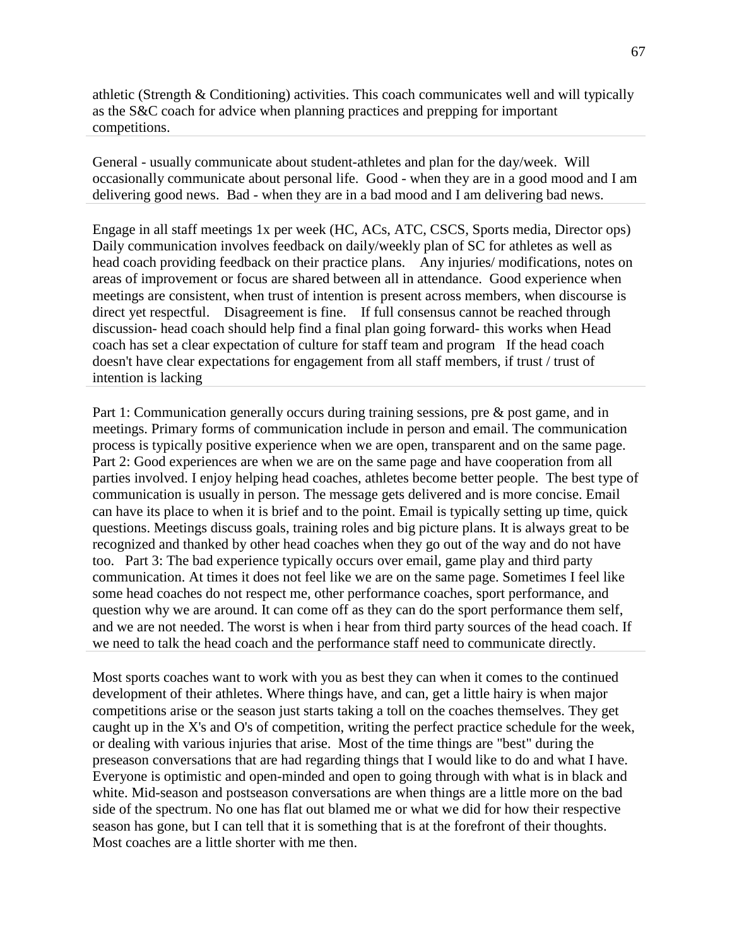athletic (Strength & Conditioning) activities. This coach communicates well and will typically as the S&C coach for advice when planning practices and prepping for important competitions.

General - usually communicate about student-athletes and plan for the day/week. Will occasionally communicate about personal life. Good - when they are in a good mood and I am delivering good news. Bad - when they are in a bad mood and I am delivering bad news.

Engage in all staff meetings 1x per week (HC, ACs, ATC, CSCS, Sports media, Director ops) Daily communication involves feedback on daily/weekly plan of SC for athletes as well as head coach providing feedback on their practice plans. Any injuries/ modifications, notes on areas of improvement or focus are shared between all in attendance. Good experience when meetings are consistent, when trust of intention is present across members, when discourse is direct yet respectful. Disagreement is fine. If full consensus cannot be reached through discussion- head coach should help find a final plan going forward- this works when Head coach has set a clear expectation of culture for staff team and program If the head coach doesn't have clear expectations for engagement from all staff members, if trust / trust of intention is lacking

Part 1: Communication generally occurs during training sessions, pre & post game, and in meetings. Primary forms of communication include in person and email. The communication process is typically positive experience when we are open, transparent and on the same page. Part 2: Good experiences are when we are on the same page and have cooperation from all parties involved. I enjoy helping head coaches, athletes become better people. The best type of communication is usually in person. The message gets delivered and is more concise. Email can have its place to when it is brief and to the point. Email is typically setting up time, quick questions. Meetings discuss goals, training roles and big picture plans. It is always great to be recognized and thanked by other head coaches when they go out of the way and do not have too. Part 3: The bad experience typically occurs over email, game play and third party communication. At times it does not feel like we are on the same page. Sometimes I feel like some head coaches do not respect me, other performance coaches, sport performance, and question why we are around. It can come off as they can do the sport performance them self, and we are not needed. The worst is when i hear from third party sources of the head coach. If we need to talk the head coach and the performance staff need to communicate directly.

Most sports coaches want to work with you as best they can when it comes to the continued development of their athletes. Where things have, and can, get a little hairy is when major competitions arise or the season just starts taking a toll on the coaches themselves. They get caught up in the X's and O's of competition, writing the perfect practice schedule for the week, or dealing with various injuries that arise. Most of the time things are "best" during the preseason conversations that are had regarding things that I would like to do and what I have. Everyone is optimistic and open-minded and open to going through with what is in black and white. Mid-season and postseason conversations are when things are a little more on the bad side of the spectrum. No one has flat out blamed me or what we did for how their respective season has gone, but I can tell that it is something that is at the forefront of their thoughts. Most coaches are a little shorter with me then.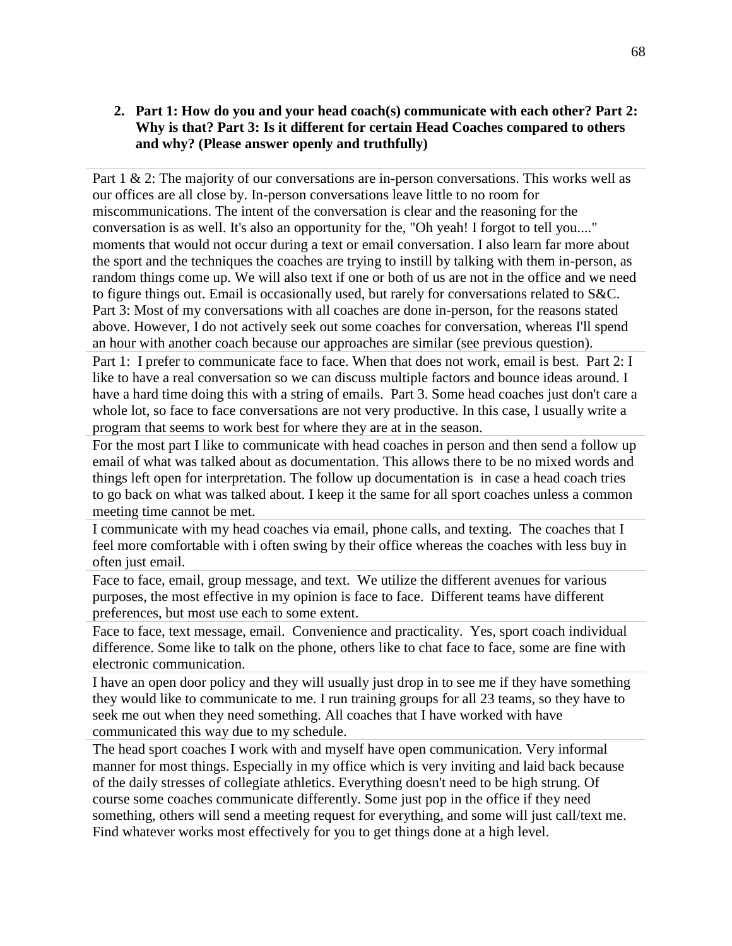## **2. Part 1: How do you and your head coach(s) communicate with each other? Part 2: Why is that? Part 3: Is it different for certain Head Coaches compared to others and why? (Please answer openly and truthfully)**

Part 1 & 2: The majority of our conversations are in-person conversations. This works well as our offices are all close by. In-person conversations leave little to no room for miscommunications. The intent of the conversation is clear and the reasoning for the conversation is as well. It's also an opportunity for the, "Oh yeah! I forgot to tell you...." moments that would not occur during a text or email conversation. I also learn far more about the sport and the techniques the coaches are trying to instill by talking with them in-person, as random things come up. We will also text if one or both of us are not in the office and we need to figure things out. Email is occasionally used, but rarely for conversations related to S&C. Part 3: Most of my conversations with all coaches are done in-person, for the reasons stated above. However, I do not actively seek out some coaches for conversation, whereas I'll spend an hour with another coach because our approaches are similar (see previous question).

Part 1: I prefer to communicate face to face. When that does not work, email is best. Part 2: I like to have a real conversation so we can discuss multiple factors and bounce ideas around. I have a hard time doing this with a string of emails. Part 3. Some head coaches just don't care a whole lot, so face to face conversations are not very productive. In this case, I usually write a program that seems to work best for where they are at in the season.

For the most part I like to communicate with head coaches in person and then send a follow up email of what was talked about as documentation. This allows there to be no mixed words and things left open for interpretation. The follow up documentation is in case a head coach tries to go back on what was talked about. I keep it the same for all sport coaches unless a common meeting time cannot be met.

I communicate with my head coaches via email, phone calls, and texting. The coaches that I feel more comfortable with i often swing by their office whereas the coaches with less buy in often just email.

Face to face, email, group message, and text. We utilize the different avenues for various purposes, the most effective in my opinion is face to face. Different teams have different preferences, but most use each to some extent.

Face to face, text message, email. Convenience and practicality. Yes, sport coach individual difference. Some like to talk on the phone, others like to chat face to face, some are fine with electronic communication.

I have an open door policy and they will usually just drop in to see me if they have something they would like to communicate to me. I run training groups for all 23 teams, so they have to seek me out when they need something. All coaches that I have worked with have communicated this way due to my schedule.

The head sport coaches I work with and myself have open communication. Very informal manner for most things. Especially in my office which is very inviting and laid back because of the daily stresses of collegiate athletics. Everything doesn't need to be high strung. Of course some coaches communicate differently. Some just pop in the office if they need something, others will send a meeting request for everything, and some will just call/text me. Find whatever works most effectively for you to get things done at a high level.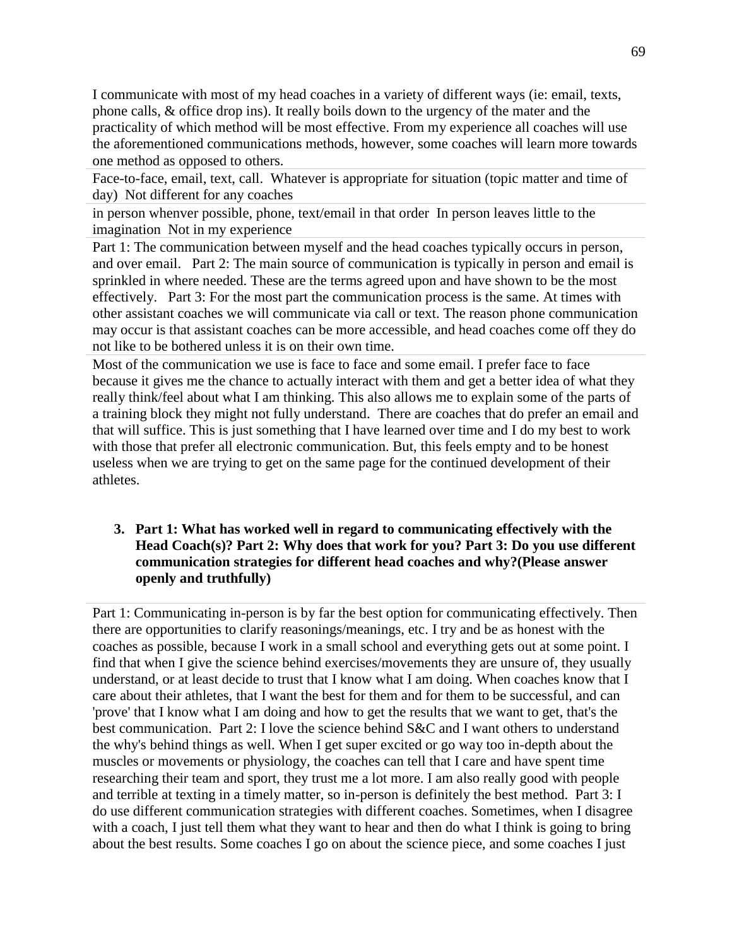I communicate with most of my head coaches in a variety of different ways (ie: email, texts, phone calls, & office drop ins). It really boils down to the urgency of the mater and the practicality of which method will be most effective. From my experience all coaches will use the aforementioned communications methods, however, some coaches will learn more towards one method as opposed to others.

Face-to-face, email, text, call. Whatever is appropriate for situation (topic matter and time of day) Not different for any coaches

in person whenver possible, phone, text/email in that order In person leaves little to the imagination Not in my experience

Part 1: The communication between myself and the head coaches typically occurs in person, and over email. Part 2: The main source of communication is typically in person and email is sprinkled in where needed. These are the terms agreed upon and have shown to be the most effectively. Part 3: For the most part the communication process is the same. At times with other assistant coaches we will communicate via call or text. The reason phone communication may occur is that assistant coaches can be more accessible, and head coaches come off they do not like to be bothered unless it is on their own time.

Most of the communication we use is face to face and some email. I prefer face to face because it gives me the chance to actually interact with them and get a better idea of what they really think/feel about what I am thinking. This also allows me to explain some of the parts of a training block they might not fully understand. There are coaches that do prefer an email and that will suffice. This is just something that I have learned over time and I do my best to work with those that prefer all electronic communication. But, this feels empty and to be honest useless when we are trying to get on the same page for the continued development of their athletes.

### **3. Part 1: What has worked well in regard to communicating effectively with the Head Coach(s)? Part 2: Why does that work for you? Part 3: Do you use different communication strategies for different head coaches and why?(Please answer openly and truthfully)**

Part 1: Communicating in-person is by far the best option for communicating effectively. Then there are opportunities to clarify reasonings/meanings, etc. I try and be as honest with the coaches as possible, because I work in a small school and everything gets out at some point. I find that when I give the science behind exercises/movements they are unsure of, they usually understand, or at least decide to trust that I know what I am doing. When coaches know that I care about their athletes, that I want the best for them and for them to be successful, and can 'prove' that I know what I am doing and how to get the results that we want to get, that's the best communication. Part 2: I love the science behind S&C and I want others to understand the why's behind things as well. When I get super excited or go way too in-depth about the muscles or movements or physiology, the coaches can tell that I care and have spent time researching their team and sport, they trust me a lot more. I am also really good with people and terrible at texting in a timely matter, so in-person is definitely the best method. Part 3: I do use different communication strategies with different coaches. Sometimes, when I disagree with a coach, I just tell them what they want to hear and then do what I think is going to bring about the best results. Some coaches I go on about the science piece, and some coaches I just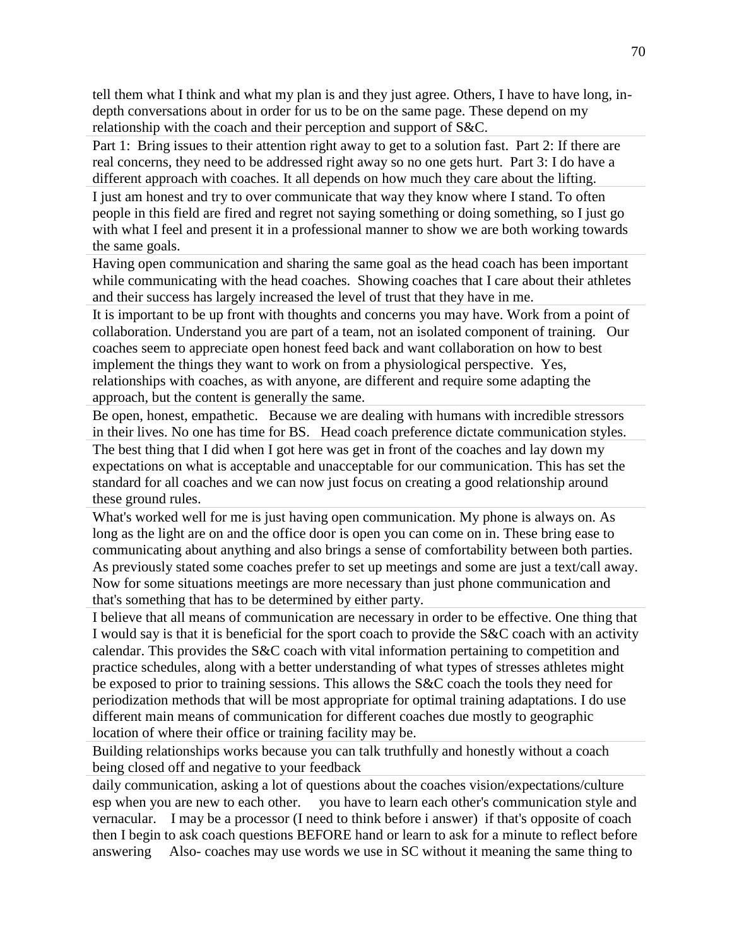tell them what I think and what my plan is and they just agree. Others, I have to have long, indepth conversations about in order for us to be on the same page. These depend on my relationship with the coach and their perception and support of S&C.

Part 1: Bring issues to their attention right away to get to a solution fast. Part 2: If there are real concerns, they need to be addressed right away so no one gets hurt. Part 3: I do have a different approach with coaches. It all depends on how much they care about the lifting. I just am honest and try to over communicate that way they know where I stand. To often people in this field are fired and regret not saying something or doing something, so I just go with what I feel and present it in a professional manner to show we are both working towards the same goals.

Having open communication and sharing the same goal as the head coach has been important while communicating with the head coaches. Showing coaches that I care about their athletes and their success has largely increased the level of trust that they have in me.

It is important to be up front with thoughts and concerns you may have. Work from a point of collaboration. Understand you are part of a team, not an isolated component of training. Our coaches seem to appreciate open honest feed back and want collaboration on how to best implement the things they want to work on from a physiological perspective. Yes, relationships with coaches, as with anyone, are different and require some adapting the approach, but the content is generally the same.

Be open, honest, empathetic. Because we are dealing with humans with incredible stressors in their lives. No one has time for BS. Head coach preference dictate communication styles. The best thing that I did when I got here was get in front of the coaches and lay down my expectations on what is acceptable and unacceptable for our communication. This has set the standard for all coaches and we can now just focus on creating a good relationship around these ground rules.

What's worked well for me is just having open communication. My phone is always on. As long as the light are on and the office door is open you can come on in. These bring ease to communicating about anything and also brings a sense of comfortability between both parties. As previously stated some coaches prefer to set up meetings and some are just a text/call away. Now for some situations meetings are more necessary than just phone communication and that's something that has to be determined by either party.

I believe that all means of communication are necessary in order to be effective. One thing that I would say is that it is beneficial for the sport coach to provide the S&C coach with an activity calendar. This provides the S&C coach with vital information pertaining to competition and practice schedules, along with a better understanding of what types of stresses athletes might be exposed to prior to training sessions. This allows the S&C coach the tools they need for periodization methods that will be most appropriate for optimal training adaptations. I do use different main means of communication for different coaches due mostly to geographic location of where their office or training facility may be.

Building relationships works because you can talk truthfully and honestly without a coach being closed off and negative to your feedback

daily communication, asking a lot of questions about the coaches vision/expectations/culture esp when you are new to each other. you have to learn each other's communication style and vernacular. I may be a processor (I need to think before i answer) if that's opposite of coach then I begin to ask coach questions BEFORE hand or learn to ask for a minute to reflect before answering Also- coaches may use words we use in SC without it meaning the same thing to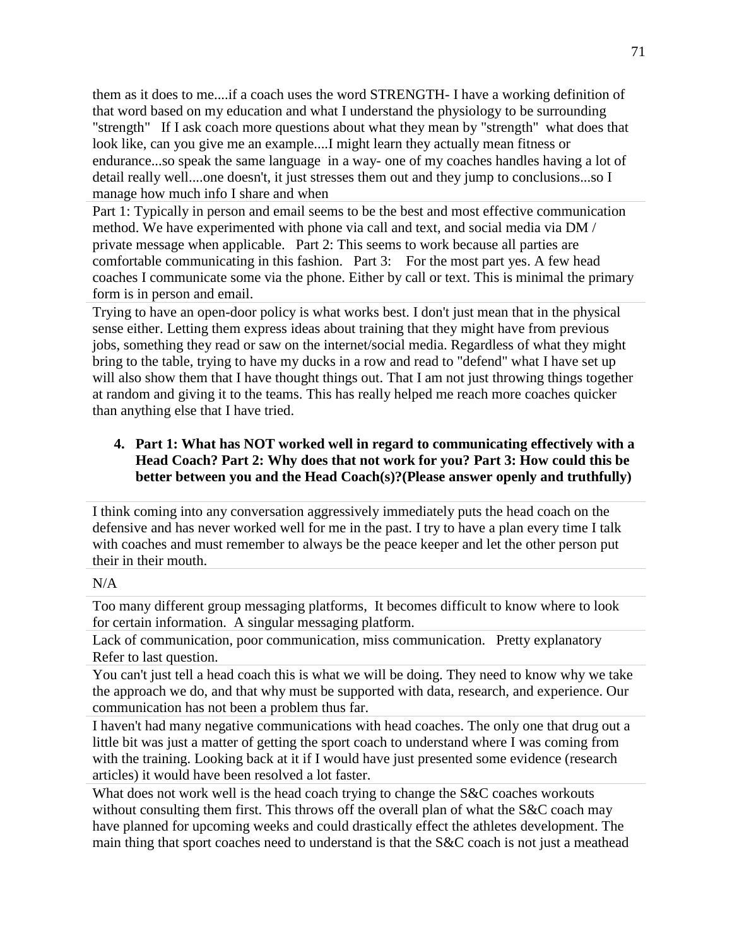them as it does to me....if a coach uses the word STRENGTH- I have a working definition of that word based on my education and what I understand the physiology to be surrounding "strength" If I ask coach more questions about what they mean by "strength" what does that look like, can you give me an example....I might learn they actually mean fitness or endurance...so speak the same language in a way- one of my coaches handles having a lot of detail really well....one doesn't, it just stresses them out and they jump to conclusions...so I manage how much info I share and when

Part 1: Typically in person and email seems to be the best and most effective communication method. We have experimented with phone via call and text, and social media via DM / private message when applicable. Part 2: This seems to work because all parties are comfortable communicating in this fashion. Part 3: For the most part yes. A few head coaches I communicate some via the phone. Either by call or text. This is minimal the primary form is in person and email.

Trying to have an open-door policy is what works best. I don't just mean that in the physical sense either. Letting them express ideas about training that they might have from previous jobs, something they read or saw on the internet/social media. Regardless of what they might bring to the table, trying to have my ducks in a row and read to "defend" what I have set up will also show them that I have thought things out. That I am not just throwing things together at random and giving it to the teams. This has really helped me reach more coaches quicker than anything else that I have tried.

# **4. Part 1: What has NOT worked well in regard to communicating effectively with a Head Coach? Part 2: Why does that not work for you? Part 3: How could this be better between you and the Head Coach(s)?(Please answer openly and truthfully)**

I think coming into any conversation aggressively immediately puts the head coach on the defensive and has never worked well for me in the past. I try to have a plan every time I talk with coaches and must remember to always be the peace keeper and let the other person put their in their mouth.

#### $N/A$

Too many different group messaging platforms, It becomes difficult to know where to look for certain information. A singular messaging platform.

Lack of communication, poor communication, miss communication. Pretty explanatory Refer to last question.

You can't just tell a head coach this is what we will be doing. They need to know why we take the approach we do, and that why must be supported with data, research, and experience. Our communication has not been a problem thus far.

I haven't had many negative communications with head coaches. The only one that drug out a little bit was just a matter of getting the sport coach to understand where I was coming from with the training. Looking back at it if I would have just presented some evidence (research articles) it would have been resolved a lot faster.

What does not work well is the head coach trying to change the S&C coaches workouts without consulting them first. This throws off the overall plan of what the S&C coach may have planned for upcoming weeks and could drastically effect the athletes development. The main thing that sport coaches need to understand is that the S&C coach is not just a meathead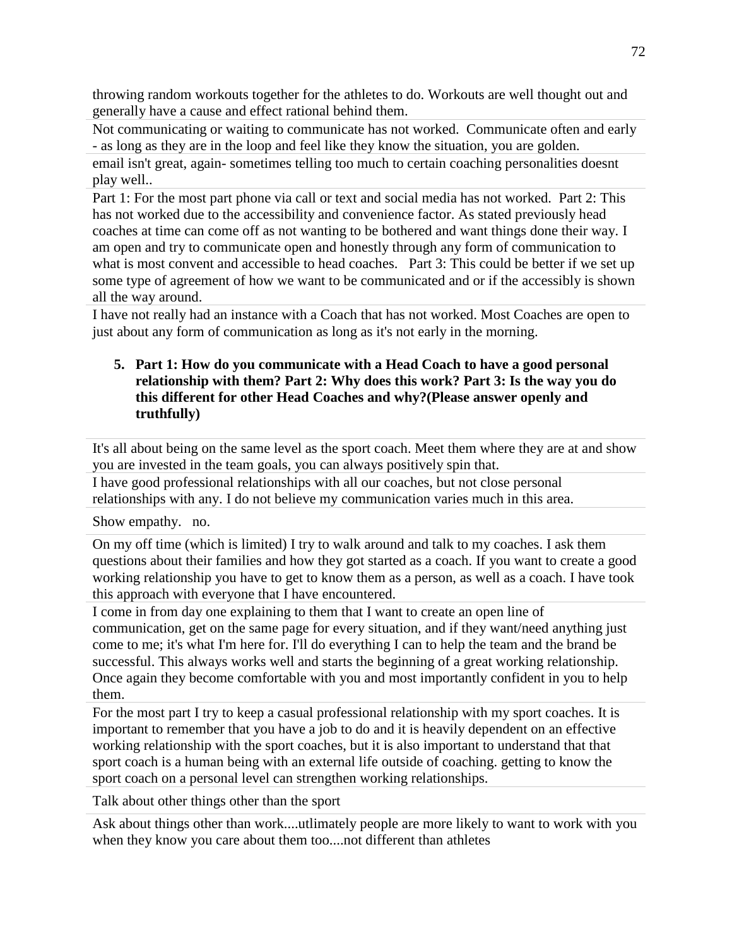throwing random workouts together for the athletes to do. Workouts are well thought out and generally have a cause and effect rational behind them.

Not communicating or waiting to communicate has not worked. Communicate often and early - as long as they are in the loop and feel like they know the situation, you are golden.

email isn't great, again- sometimes telling too much to certain coaching personalities doesnt play well..

Part 1: For the most part phone via call or text and social media has not worked. Part 2: This has not worked due to the accessibility and convenience factor. As stated previously head coaches at time can come off as not wanting to be bothered and want things done their way. I am open and try to communicate open and honestly through any form of communication to what is most convent and accessible to head coaches. Part 3: This could be better if we set up some type of agreement of how we want to be communicated and or if the accessibly is shown all the way around.

I have not really had an instance with a Coach that has not worked. Most Coaches are open to just about any form of communication as long as it's not early in the morning.

# **5. Part 1: How do you communicate with a Head Coach to have a good personal relationship with them? Part 2: Why does this work? Part 3: Is the way you do this different for other Head Coaches and why?(Please answer openly and truthfully)**

It's all about being on the same level as the sport coach. Meet them where they are at and show you are invested in the team goals, you can always positively spin that.

I have good professional relationships with all our coaches, but not close personal relationships with any. I do not believe my communication varies much in this area.

Show empathy. no.

On my off time (which is limited) I try to walk around and talk to my coaches. I ask them questions about their families and how they got started as a coach. If you want to create a good working relationship you have to get to know them as a person, as well as a coach. I have took this approach with everyone that I have encountered.

I come in from day one explaining to them that I want to create an open line of communication, get on the same page for every situation, and if they want/need anything just come to me; it's what I'm here for. I'll do everything I can to help the team and the brand be successful. This always works well and starts the beginning of a great working relationship. Once again they become comfortable with you and most importantly confident in you to help them.

For the most part I try to keep a casual professional relationship with my sport coaches. It is important to remember that you have a job to do and it is heavily dependent on an effective working relationship with the sport coaches, but it is also important to understand that that sport coach is a human being with an external life outside of coaching. getting to know the sport coach on a personal level can strengthen working relationships.

Talk about other things other than the sport

Ask about things other than work....utlimately people are more likely to want to work with you when they know you care about them too....not different than athletes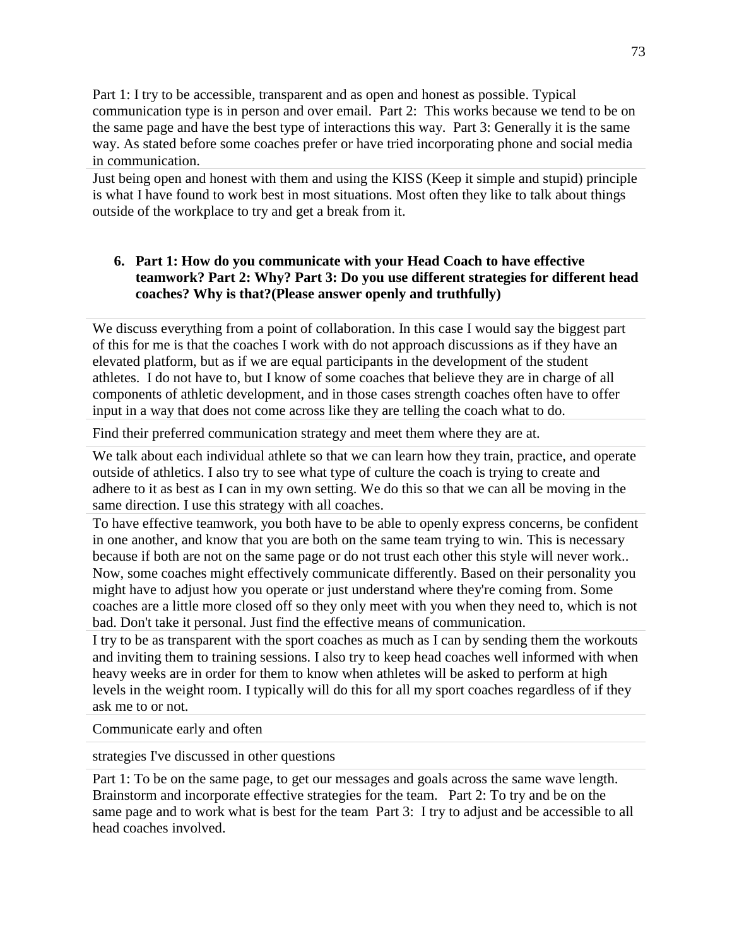Part 1: I try to be accessible, transparent and as open and honest as possible. Typical communication type is in person and over email. Part 2: This works because we tend to be on the same page and have the best type of interactions this way. Part 3: Generally it is the same way. As stated before some coaches prefer or have tried incorporating phone and social media in communication.

Just being open and honest with them and using the KISS (Keep it simple and stupid) principle is what I have found to work best in most situations. Most often they like to talk about things outside of the workplace to try and get a break from it.

#### **6. Part 1: How do you communicate with your Head Coach to have effective teamwork? Part 2: Why? Part 3: Do you use different strategies for different head coaches? Why is that?(Please answer openly and truthfully)**

We discuss everything from a point of collaboration. In this case I would say the biggest part of this for me is that the coaches I work with do not approach discussions as if they have an elevated platform, but as if we are equal participants in the development of the student athletes. I do not have to, but I know of some coaches that believe they are in charge of all components of athletic development, and in those cases strength coaches often have to offer input in a way that does not come across like they are telling the coach what to do.

Find their preferred communication strategy and meet them where they are at.

We talk about each individual athlete so that we can learn how they train, practice, and operate outside of athletics. I also try to see what type of culture the coach is trying to create and adhere to it as best as I can in my own setting. We do this so that we can all be moving in the same direction. I use this strategy with all coaches.

To have effective teamwork, you both have to be able to openly express concerns, be confident in one another, and know that you are both on the same team trying to win. This is necessary because if both are not on the same page or do not trust each other this style will never work.. Now, some coaches might effectively communicate differently. Based on their personality you might have to adjust how you operate or just understand where they're coming from. Some coaches are a little more closed off so they only meet with you when they need to, which is not bad. Don't take it personal. Just find the effective means of communication.

I try to be as transparent with the sport coaches as much as I can by sending them the workouts and inviting them to training sessions. I also try to keep head coaches well informed with when heavy weeks are in order for them to know when athletes will be asked to perform at high levels in the weight room. I typically will do this for all my sport coaches regardless of if they ask me to or not.

Communicate early and often

strategies I've discussed in other questions

Part 1: To be on the same page, to get our messages and goals across the same wave length. Brainstorm and incorporate effective strategies for the team. Part 2: To try and be on the same page and to work what is best for the team Part 3: I try to adjust and be accessible to all head coaches involved.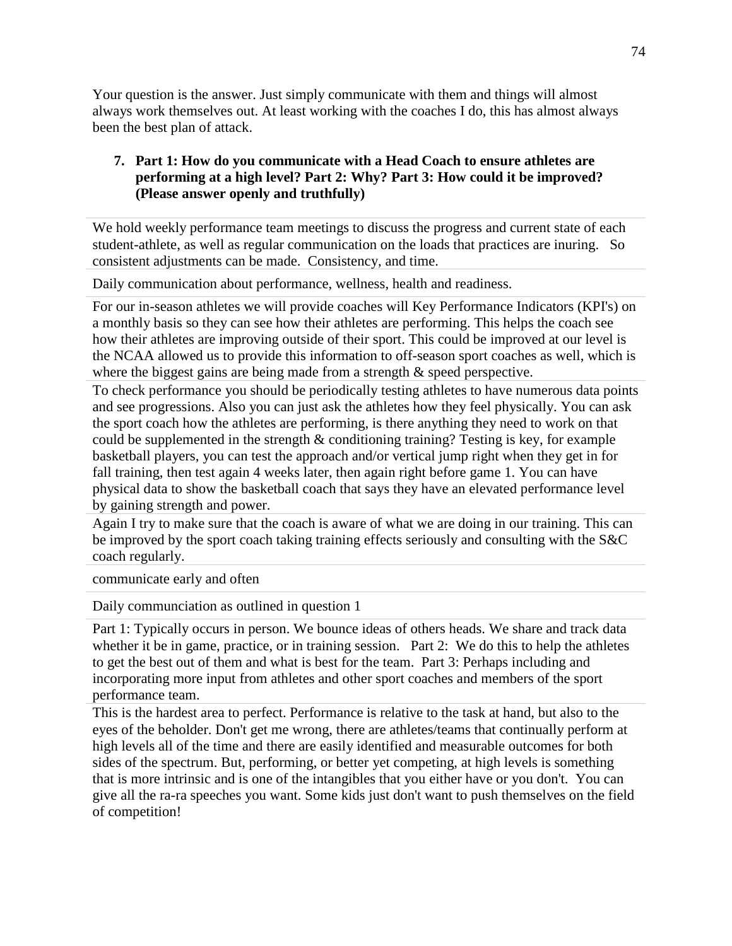Your question is the answer. Just simply communicate with them and things will almost always work themselves out. At least working with the coaches I do, this has almost always been the best plan of attack.

# **7. Part 1: How do you communicate with a Head Coach to ensure athletes are performing at a high level? Part 2: Why? Part 3: How could it be improved? (Please answer openly and truthfully)**

We hold weekly performance team meetings to discuss the progress and current state of each student-athlete, as well as regular communication on the loads that practices are inuring. So consistent adjustments can be made. Consistency, and time.

Daily communication about performance, wellness, health and readiness.

For our in-season athletes we will provide coaches will Key Performance Indicators (KPI's) on a monthly basis so they can see how their athletes are performing. This helps the coach see how their athletes are improving outside of their sport. This could be improved at our level is the NCAA allowed us to provide this information to off-season sport coaches as well, which is where the biggest gains are being made from a strength  $\&$  speed perspective.

To check performance you should be periodically testing athletes to have numerous data points and see progressions. Also you can just ask the athletes how they feel physically. You can ask the sport coach how the athletes are performing, is there anything they need to work on that could be supplemented in the strength & conditioning training? Testing is key, for example basketball players, you can test the approach and/or vertical jump right when they get in for fall training, then test again 4 weeks later, then again right before game 1. You can have physical data to show the basketball coach that says they have an elevated performance level by gaining strength and power.

Again I try to make sure that the coach is aware of what we are doing in our training. This can be improved by the sport coach taking training effects seriously and consulting with the S&C coach regularly.

communicate early and often

Daily communciation as outlined in question 1

Part 1: Typically occurs in person. We bounce ideas of others heads. We share and track data whether it be in game, practice, or in training session. Part 2: We do this to help the athletes to get the best out of them and what is best for the team. Part 3: Perhaps including and incorporating more input from athletes and other sport coaches and members of the sport performance team.

This is the hardest area to perfect. Performance is relative to the task at hand, but also to the eyes of the beholder. Don't get me wrong, there are athletes/teams that continually perform at high levels all of the time and there are easily identified and measurable outcomes for both sides of the spectrum. But, performing, or better yet competing, at high levels is something that is more intrinsic and is one of the intangibles that you either have or you don't. You can give all the ra-ra speeches you want. Some kids just don't want to push themselves on the field of competition!